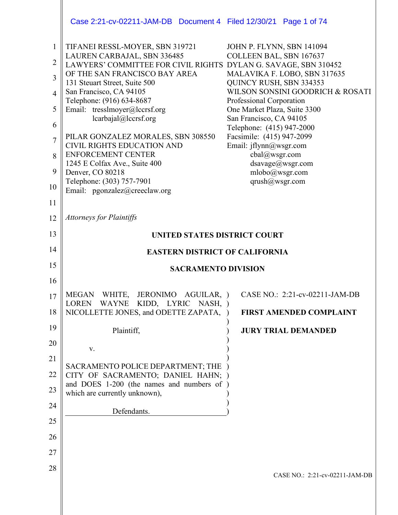|                                                              | Case 2:21-cv-02211-JAM-DB  Document 4  Filed 12/30/21  Page 1 of 74                                                                                                                                                                                                                                                                                                                                                                                                                                                                             |                                                                                                                                                                                                                                                                                                                                                                                                         |
|--------------------------------------------------------------|-------------------------------------------------------------------------------------------------------------------------------------------------------------------------------------------------------------------------------------------------------------------------------------------------------------------------------------------------------------------------------------------------------------------------------------------------------------------------------------------------------------------------------------------------|---------------------------------------------------------------------------------------------------------------------------------------------------------------------------------------------------------------------------------------------------------------------------------------------------------------------------------------------------------------------------------------------------------|
| 1<br>2<br>3<br>4<br>5<br>6<br>$\overline{7}$<br>8<br>9<br>10 | TIFANEI RESSL-MOYER, SBN 319721<br>LAUREN CARBAJAL, SBN 336485<br>LAWYERS' COMMITTEE FOR CIVIL RIGHTS DYLAN G. SAVAGE, SBN 310452<br>OF THE SAN FRANCISCO BAY AREA<br>131 Steuart Street, Suite 500<br>San Francisco, CA 94105<br>Telephone: (916) 634-8687<br>Email: tresslmoyer@lccrsf.org<br>lcarbajal@lccrsf.org<br>PILAR GONZALEZ MORALES, SBN 308550<br><b>CIVIL RIGHTS EDUCATION AND</b><br><b>ENFORCEMENT CENTER</b><br>1245 E Colfax Ave., Suite 400<br>Denver, CO 80218<br>Telephone: (303) 757-7901<br>Email: pgonzalez@creeclaw.org | JOHN P. FLYNN, SBN 141094<br>COLLEEN BAL, SBN 167637<br>MALAVIKA F. LOBO, SBN 317635<br>QUINCY RUSH, SBN 334353<br>WILSON SONSINI GOODRICH & ROSATI<br>Professional Corporation<br>One Market Plaza, Suite 3300<br>San Francisco, CA 94105<br>Telephone: (415) 947-2000<br>Facsimile: (415) 947-2099<br>Email: jflynn@wsgr.com<br>cbal@wsgr.com<br>dsavage@wsgr.com<br>mlobo@wsgr.com<br>qrush@wsgr.com |
| 11                                                           |                                                                                                                                                                                                                                                                                                                                                                                                                                                                                                                                                 |                                                                                                                                                                                                                                                                                                                                                                                                         |
| 12                                                           | <b>Attorneys for Plaintiffs</b>                                                                                                                                                                                                                                                                                                                                                                                                                                                                                                                 |                                                                                                                                                                                                                                                                                                                                                                                                         |
| 13                                                           | <b>UNITED STATES DISTRICT COURT</b>                                                                                                                                                                                                                                                                                                                                                                                                                                                                                                             |                                                                                                                                                                                                                                                                                                                                                                                                         |
| 14                                                           | <b>EASTERN DISTRICT OF CALIFORNIA</b>                                                                                                                                                                                                                                                                                                                                                                                                                                                                                                           |                                                                                                                                                                                                                                                                                                                                                                                                         |
| 15                                                           | <b>SACRAMENTO DIVISION</b>                                                                                                                                                                                                                                                                                                                                                                                                                                                                                                                      |                                                                                                                                                                                                                                                                                                                                                                                                         |
| 16                                                           |                                                                                                                                                                                                                                                                                                                                                                                                                                                                                                                                                 |                                                                                                                                                                                                                                                                                                                                                                                                         |
| 17                                                           | MEGAN WHITE, JERONIMO AGUILAR, )<br>WAYNE KIDD, LYRIC NASH, )<br>LOREN                                                                                                                                                                                                                                                                                                                                                                                                                                                                          | CASE NO.: 2:21-cv-02211-JAM-DB                                                                                                                                                                                                                                                                                                                                                                          |
| 18                                                           | NICOLLETTE JONES, and ODETTE ZAPATA,                                                                                                                                                                                                                                                                                                                                                                                                                                                                                                            | <b>FIRST AMENDED COMPLAINT</b>                                                                                                                                                                                                                                                                                                                                                                          |
| 19                                                           |                                                                                                                                                                                                                                                                                                                                                                                                                                                                                                                                                 |                                                                                                                                                                                                                                                                                                                                                                                                         |
| 20                                                           | Plaintiff,                                                                                                                                                                                                                                                                                                                                                                                                                                                                                                                                      | <b>JURY TRIAL DEMANDED</b>                                                                                                                                                                                                                                                                                                                                                                              |
| 21                                                           | V.                                                                                                                                                                                                                                                                                                                                                                                                                                                                                                                                              |                                                                                                                                                                                                                                                                                                                                                                                                         |
| 22                                                           | SACRAMENTO POLICE DEPARTMENT; THE<br>CITY OF SACRAMENTO; DANIEL HAHN; )                                                                                                                                                                                                                                                                                                                                                                                                                                                                         |                                                                                                                                                                                                                                                                                                                                                                                                         |
| 23                                                           | and DOES 1-200 (the names and numbers of)<br>which are currently unknown),                                                                                                                                                                                                                                                                                                                                                                                                                                                                      |                                                                                                                                                                                                                                                                                                                                                                                                         |
| 24                                                           | Defendants.                                                                                                                                                                                                                                                                                                                                                                                                                                                                                                                                     |                                                                                                                                                                                                                                                                                                                                                                                                         |
| 25                                                           |                                                                                                                                                                                                                                                                                                                                                                                                                                                                                                                                                 |                                                                                                                                                                                                                                                                                                                                                                                                         |
| 26                                                           |                                                                                                                                                                                                                                                                                                                                                                                                                                                                                                                                                 |                                                                                                                                                                                                                                                                                                                                                                                                         |
| 27<br>28                                                     |                                                                                                                                                                                                                                                                                                                                                                                                                                                                                                                                                 |                                                                                                                                                                                                                                                                                                                                                                                                         |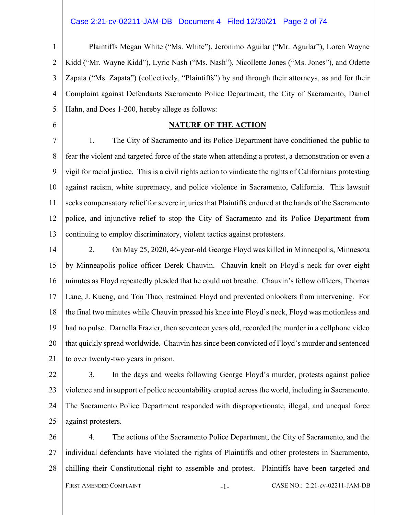#### Case 2:21-cv-02211-JAM-DB Document 4 Filed 12/30/21 Page 2 of 74

1  $\overline{2}$ 3 4 5 Plaintiffs Megan White ("Ms. White"), Jeronimo Aguilar ("Mr. Aguilar"), Loren Wayne Kidd ("Mr. Wayne Kidd"), Lyric Nash ("Ms. Nash"), Nicollette Jones ("Ms. Jones"), and Odette Zapata ("Ms. Zapata") (collectively, "Plaintiffs") by and through their attorneys, as and for their Complaint against Defendants Sacramento Police Department, the City of Sacramento, Daniel Hahn, and Does 1-200, hereby allege as follows:

#### **NATURE OF THE ACTION**

6

7 8 9 10 11 12 13 1. The City of Sacramento and its Police Department have conditioned the public to fear the violent and targeted force of the state when attending a protest, a demonstration or even a vigil for racial justice. This is a civil rights action to vindicate the rights of Californians protesting against racism, white supremacy, and police violence in Sacramento, California. This lawsuit seeks compensatory relief for severe injuries that Plaintiffs endured at the hands of the Sacramento police, and injunctive relief to stop the City of Sacramento and its Police Department from continuing to employ discriminatory, violent tactics against protesters.

14 15 16 17 18 19 20 21 2. On May 25, 2020, 46-year-old George Floyd was killed in Minneapolis, Minnesota by Minneapolis police officer Derek Chauvin. Chauvin knelt on Floyd's neck for over eight minutes as Floyd repeatedly pleaded that he could not breathe. Chauvin's fellow officers, Thomas Lane, J. Kueng, and Tou Thao, restrained Floyd and prevented onlookers from intervening. For the final two minutes while Chauvin pressed his knee into Floyd's neck, Floyd was motionless and had no pulse. Darnella Frazier, then seventeen years old, recorded the murder in a cellphone video that quickly spread worldwide. Chauvin has since been convicted of Floyd's murder and sentenced to over twenty-two years in prison.

22 23 24 25 3. In the days and weeks following George Floyd's murder, protests against police violence and in support of police accountability erupted across the world, including in Sacramento. The Sacramento Police Department responded with disproportionate, illegal, and unequal force against protesters.

26 27 28 FIRST AMENDED COMPLAINT  $-1-$  CASE NO.: 2:21-cv-02211-JAM-DB 4. The actions of the Sacramento Police Department, the City of Sacramento, and the individual defendants have violated the rights of Plaintiffs and other protesters in Sacramento, chilling their Constitutional right to assemble and protest. Plaintiffs have been targeted and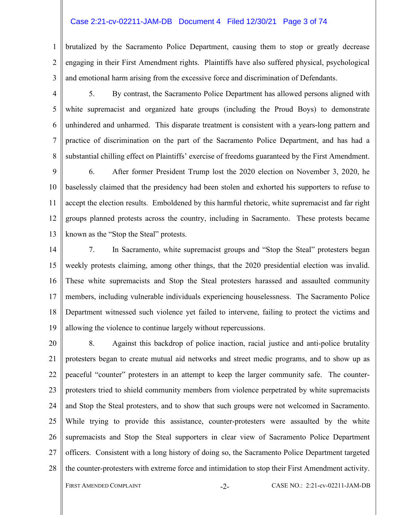#### Case 2:21-cv-02211-JAM-DB Document 4 Filed 12/30/21 Page 3 of 74

1  $\mathfrak{D}$ 3 brutalized by the Sacramento Police Department, causing them to stop or greatly decrease engaging in their First Amendment rights. Plaintiffs have also suffered physical, psychological and emotional harm arising from the excessive force and discrimination of Defendants.

4

5

6

7

8

5. By contrast, the Sacramento Police Department has allowed persons aligned with white supremacist and organized hate groups (including the Proud Boys) to demonstrate unhindered and unharmed. This disparate treatment is consistent with a years-long pattern and practice of discrimination on the part of the Sacramento Police Department, and has had a substantial chilling effect on Plaintiffs' exercise of freedoms guaranteed by the First Amendment.

9 10 11 12 13 6. After former President Trump lost the 2020 election on November 3, 2020, he baselessly claimed that the presidency had been stolen and exhorted his supporters to refuse to accept the election results. Emboldened by this harmful rhetoric, white supremacist and far right groups planned protests across the country, including in Sacramento. These protests became known as the "Stop the Steal" protests.

14 15 16 17 18 19 7. In Sacramento, white supremacist groups and "Stop the Steal" protesters began weekly protests claiming, among other things, that the 2020 presidential election was invalid. These white supremacists and Stop the Steal protesters harassed and assaulted community members, including vulnerable individuals experiencing houselessness. The Sacramento Police Department witnessed such violence yet failed to intervene, failing to protect the victims and allowing the violence to continue largely without repercussions.

20 21 22 23 24 25 26 27 28 8. Against this backdrop of police inaction, racial justice and anti-police brutality protesters began to create mutual aid networks and street medic programs, and to show up as peaceful "counter" protesters in an attempt to keep the larger community safe. The counterprotesters tried to shield community members from violence perpetrated by white supremacists and Stop the Steal protesters, and to show that such groups were not welcomed in Sacramento. While trying to provide this assistance, counter-protesters were assaulted by the white supremacists and Stop the Steal supporters in clear view of Sacramento Police Department officers. Consistent with a long history of doing so, the Sacramento Police Department targeted the counter-protesters with extreme force and intimidation to stop their First Amendment activity.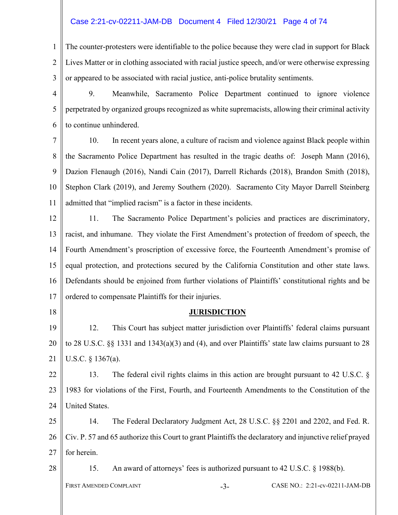# Case 2:21-cv-02211-JAM-DB Document 4 Filed 12/30/21 Page 4 of 74

1  $\mathfrak{D}$ 3 The counter-protesters were identifiable to the police because they were clad in support for Black Lives Matter or in clothing associated with racial justice speech, and/or were otherwise expressing or appeared to be associated with racial justice, anti-police brutality sentiments.

4 5 6 9. Meanwhile, Sacramento Police Department continued to ignore violence perpetrated by organized groups recognized as white supremacists, allowing their criminal activity to continue unhindered.

7 8 9 10 11 10. In recent years alone, a culture of racism and violence against Black people within the Sacramento Police Department has resulted in the tragic deaths of: Joseph Mann (2016), Dazion Flenaugh (2016), Nandi Cain (2017), Darrell Richards (2018), Brandon Smith (2018), Stephon Clark (2019), and Jeremy Southern (2020). Sacramento City Mayor Darrell Steinberg admitted that "implied racism" is a factor in these incidents.

12 13 14 15 16 17 11. The Sacramento Police Department's policies and practices are discriminatory, racist, and inhumane. They violate the First Amendment's protection of freedom of speech, the Fourth Amendment's proscription of excessive force, the Fourteenth Amendment's promise of equal protection, and protections secured by the California Constitution and other state laws. Defendants should be enjoined from further violations of Plaintiffs' constitutional rights and be ordered to compensate Plaintiffs for their injuries.

18

28

# **JURISDICTION**

19 20 21 12. This Court has subject matter jurisdiction over Plaintiffs' federal claims pursuant to 28 U.S.C. §§ 1331 and 1343(a)(3) and (4), and over Plaintiffs' state law claims pursuant to 28 U.S.C. § 1367(a).

22 23 24 13. The federal civil rights claims in this action are brought pursuant to 42 U.S.C. § 1983 for violations of the First, Fourth, and Fourteenth Amendments to the Constitution of the United States.

25 26 27 14. The Federal Declaratory Judgment Act, 28 U.S.C. §§ 2201 and 2202, and Fed. R. Civ. P. 57 and 65 authorize this Court to grant Plaintiffs the declaratory and injunctive relief prayed for herein.

15. An award of attorneys' fees is authorized pursuant to 42 U.S.C. § 1988(b).

FIRST AMENDED COMPLAINT -3- CASE NO.: 2:21-cv-02211-JAM-DB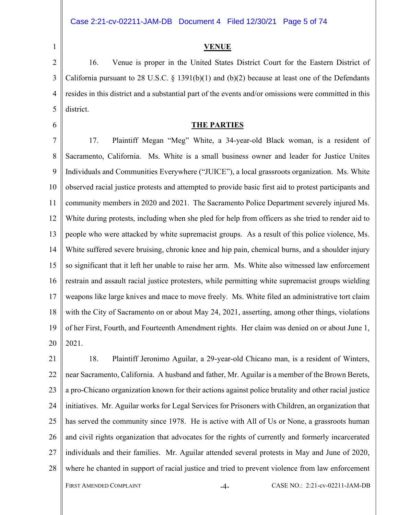2

3

4

5

1

#### **VENUE**

16. Venue is proper in the United States District Court for the Eastern District of California pursuant to 28 U.S.C.  $\S$  1391(b)(1) and (b)(2) because at least one of the Defendants resides in this district and a substantial part of the events and/or omissions were committed in this district.

6

#### **THE PARTIES**

7 8 9 10 11 12 13 14 15 16 17 18 19 20 17. Plaintiff Megan "Meg" White, a 34-year-old Black woman, is a resident of Sacramento, California. Ms. White is a small business owner and leader for Justice Unites Individuals and Communities Everywhere ("JUICE"), a local grassroots organization. Ms. White observed racial justice protests and attempted to provide basic first aid to protest participants and community members in 2020 and 2021. The Sacramento Police Department severely injured Ms. White during protests, including when she pled for help from officers as she tried to render aid to people who were attacked by white supremacist groups. As a result of this police violence, Ms. White suffered severe bruising, chronic knee and hip pain, chemical burns, and a shoulder injury so significant that it left her unable to raise her arm. Ms. White also witnessed law enforcement restrain and assault racial justice protesters, while permitting white supremacist groups wielding weapons like large knives and mace to move freely. Ms. White filed an administrative tort claim with the City of Sacramento on or about May 24, 2021, asserting, among other things, violations of her First, Fourth, and Fourteenth Amendment rights. Her claim was denied on or about June 1, 2021.

21 22 23 24 25 26 27 28 FIRST AMENDED COMPLAINT **-4-** CASE NO.: 2:21-cv-02211-JAM-DB 18. Plaintiff Jeronimo Aguilar, a 29-year-old Chicano man, is a resident of Winters, near Sacramento, California. A husband and father, Mr. Aguilar is a member of the Brown Berets, a pro-Chicano organization known for their actions against police brutality and other racial justice initiatives. Mr. Aguilar works for Legal Services for Prisoners with Children, an organization that has served the community since 1978. He is active with All of Us or None, a grassroots human and civil rights organization that advocates for the rights of currently and formerly incarcerated individuals and their families. Mr. Aguilar attended several protests in May and June of 2020, where he chanted in support of racial justice and tried to prevent violence from law enforcement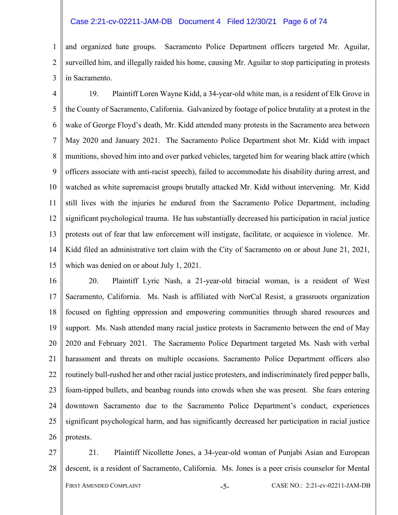#### Case 2:21-cv-02211-JAM-DB Document 4 Filed 12/30/21 Page 6 of 74

1 2 and organized hate groups. Sacramento Police Department officers targeted Mr. Aguilar, surveilled him, and illegally raided his home, causing Mr. Aguilar to stop participating in protests in Sacramento.

3

4 5 6 7 8 9 10 11 12 13 14 15 19. Plaintiff Loren Wayne Kidd, a 34-year-old white man, is a resident of Elk Grove in the County of Sacramento, California. Galvanized by footage of police brutality at a protest in the wake of George Floyd's death, Mr. Kidd attended many protests in the Sacramento area between May 2020 and January 2021. The Sacramento Police Department shot Mr. Kidd with impact munitions, shoved him into and over parked vehicles, targeted him for wearing black attire (which officers associate with anti-racist speech), failed to accommodate his disability during arrest, and watched as white supremacist groups brutally attacked Mr. Kidd without intervening. Mr. Kidd still lives with the injuries he endured from the Sacramento Police Department, including significant psychological trauma. He has substantially decreased his participation in racial justice protests out of fear that law enforcement will instigate, facilitate, or acquiesce in violence. Mr. Kidd filed an administrative tort claim with the City of Sacramento on or about June 21, 2021, which was denied on or about July 1, 2021.

16 17 18 19 20 21 22 23 24 25 26 20. Plaintiff Lyric Nash, a 21-year-old biracial woman, is a resident of West Sacramento, California. Ms. Nash is affiliated with NorCal Resist, a grassroots organization focused on fighting oppression and empowering communities through shared resources and support. Ms. Nash attended many racial justice protests in Sacramento between the end of May 2020 and February 2021. The Sacramento Police Department targeted Ms. Nash with verbal harassment and threats on multiple occasions. Sacramento Police Department officers also routinely bull-rushed her and other racial justice protesters, and indiscriminately fired pepper balls, foam-tipped bullets, and beanbag rounds into crowds when she was present. She fears entering downtown Sacramento due to the Sacramento Police Department's conduct, experiences significant psychological harm, and has significantly decreased her participation in racial justice protests.

27 28 FIRST AMENDED COMPLAINT -5- CASE NO.: 2:21-cv-02211-JAM-DB 21. Plaintiff Nicollette Jones, a 34-year-old woman of Punjabi Asian and European descent, is a resident of Sacramento, California. Ms. Jones is a peer crisis counselor for Mental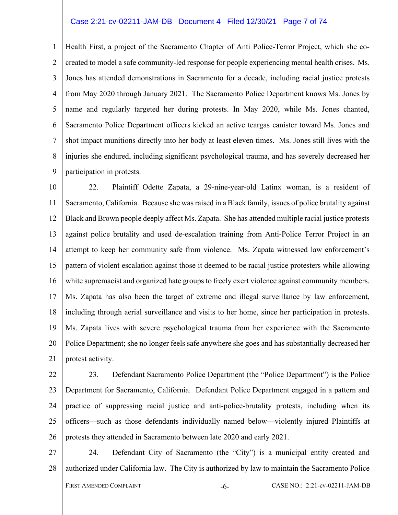#### Case 2:21-cv-02211-JAM-DB Document 4 Filed 12/30/21 Page 7 of 74

1  $\mathfrak{D}$ 3 4 5 6 7 8 9 Health First, a project of the Sacramento Chapter of Anti Police-Terror Project, which she cocreated to model a safe community-led response for people experiencing mental health crises. Ms. Jones has attended demonstrations in Sacramento for a decade, including racial justice protests from May 2020 through January 2021. The Sacramento Police Department knows Ms. Jones by name and regularly targeted her during protests. In May 2020, while Ms. Jones chanted, Sacramento Police Department officers kicked an active teargas canister toward Ms. Jones and shot impact munitions directly into her body at least eleven times. Ms. Jones still lives with the injuries she endured, including significant psychological trauma, and has severely decreased her participation in protests.

10 11 12 13 14 15 16 17 18 19 20 21 22. Plaintiff Odette Zapata, a 29-nine-year-old Latinx woman, is a resident of Sacramento, California. Because she was raised in a Black family, issues of police brutality against Black and Brown people deeply affect Ms. Zapata. She has attended multiple racial justice protests against police brutality and used de-escalation training from Anti-Police Terror Project in an attempt to keep her community safe from violence. Ms. Zapata witnessed law enforcement's pattern of violent escalation against those it deemed to be racial justice protesters while allowing white supremacist and organized hate groups to freely exert violence against community members. Ms. Zapata has also been the target of extreme and illegal surveillance by law enforcement, including through aerial surveillance and visits to her home, since her participation in protests. Ms. Zapata lives with severe psychological trauma from her experience with the Sacramento Police Department; she no longer feels safe anywhere she goes and has substantially decreased her protest activity.

22 23 24 25 26 23. Defendant Sacramento Police Department (the "Police Department") is the Police Department for Sacramento, California. Defendant Police Department engaged in a pattern and practice of suppressing racial justice and anti-police-brutality protests, including when its officers—such as those defendants individually named below—violently injured Plaintiffs at protests they attended in Sacramento between late 2020 and early 2021.

27 28 24. Defendant City of Sacramento (the "City") is a municipal entity created and authorized under California law. The City is authorized by law to maintain the Sacramento Police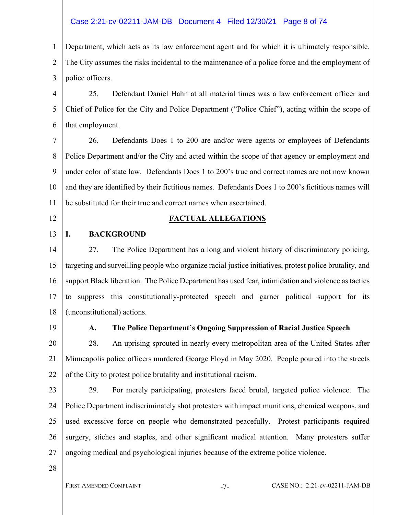### Case 2:21-cv-02211-JAM-DB Document 4 Filed 12/30/21 Page 8 of 74

1  $\mathfrak{D}$ 3 Department, which acts as its law enforcement agent and for which it is ultimately responsible. The City assumes the risks incidental to the maintenance of a police force and the employment of police officers.

4 5 6 25. Defendant Daniel Hahn at all material times was a law enforcement officer and Chief of Police for the City and Police Department ("Police Chief"), acting within the scope of that employment.

7 8 9 10 11 26. Defendants Does 1 to 200 are and/or were agents or employees of Defendants Police Department and/or the City and acted within the scope of that agency or employment and under color of state law. Defendants Does 1 to 200's true and correct names are not now known and they are identified by their fictitious names. Defendants Does 1 to 200's fictitious names will be substituted for their true and correct names when ascertained.

12

13

#### **FACTUAL ALLEGATIONS**

# **I. BACKGROUND**

14 15 16 17 18 27. The Police Department has a long and violent history of discriminatory policing, targeting and surveilling people who organize racial justice initiatives, protest police brutality, and support Black liberation. The Police Department has used fear, intimidation and violence as tactics to suppress this constitutionally-protected speech and garner political support for its (unconstitutional) actions.

19

#### **A. The Police Department's Ongoing Suppression of Racial Justice Speech**

20 21 22 28. An uprising sprouted in nearly every metropolitan area of the United States after Minneapolis police officers murdered George Floyd in May 2020. People poured into the streets of the City to protest police brutality and institutional racism.

23

24

25

26

27

29. For merely participating, protesters faced brutal, targeted police violence. The Police Department indiscriminately shot protesters with impact munitions, chemical weapons, and used excessive force on people who demonstrated peacefully. Protest participants required surgery, stiches and staples, and other significant medical attention. Many protesters suffer ongoing medical and psychological injuries because of the extreme police violence.

28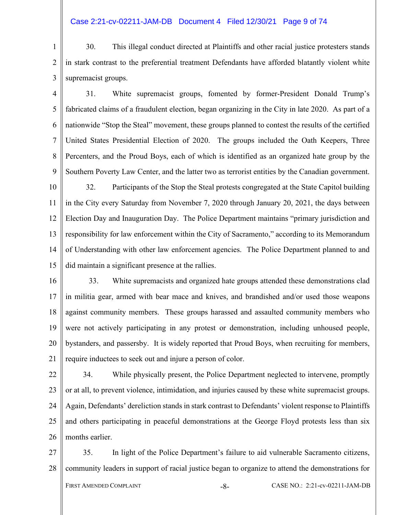### Case 2:21-cv-02211-JAM-DB Document 4 Filed 12/30/21 Page 9 of 74

1  $\mathfrak{D}$ 3 30. This illegal conduct directed at Plaintiffs and other racial justice protesters stands in stark contrast to the preferential treatment Defendants have afforded blatantly violent white supremacist groups.

4 5 6 7 8 9 31. White supremacist groups, fomented by former-President Donald Trump's fabricated claims of a fraudulent election, began organizing in the City in late 2020. As part of a nationwide "Stop the Steal" movement, these groups planned to contest the results of the certified United States Presidential Election of 2020. The groups included the Oath Keepers, Three Percenters, and the Proud Boys, each of which is identified as an organized hate group by the Southern Poverty Law Center, and the latter two as terrorist entities by the Canadian government.

10 11 12 13 14 15 32. Participants of the Stop the Steal protests congregated at the State Capitol building in the City every Saturday from November 7, 2020 through January 20, 2021, the days between Election Day and Inauguration Day. The Police Department maintains "primary jurisdiction and responsibility for law enforcement within the City of Sacramento," according to its Memorandum of Understanding with other law enforcement agencies. The Police Department planned to and did maintain a significant presence at the rallies.

16 17 18 19 20 21 33. White supremacists and organized hate groups attended these demonstrations clad in militia gear, armed with bear mace and knives, and brandished and/or used those weapons against community members. These groups harassed and assaulted community members who were not actively participating in any protest or demonstration, including unhoused people, bystanders, and passersby. It is widely reported that Proud Boys, when recruiting for members, require inductees to seek out and injure a person of color.

22 23 24 25 26 34. While physically present, the Police Department neglected to intervene, promptly or at all, to prevent violence, intimidation, and injuries caused by these white supremacist groups. Again, Defendants' dereliction stands in stark contrast to Defendants' violent response to Plaintiffs and others participating in peaceful demonstrations at the George Floyd protests less than six months earlier.

27 28 FIRST AMENDED COMPLAINT -8- CASE NO.: 2:21-cv-02211-JAM-DB 35. In light of the Police Department's failure to aid vulnerable Sacramento citizens, community leaders in support of racial justice began to organize to attend the demonstrations for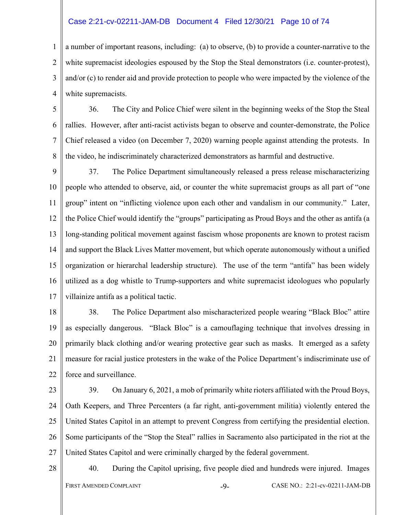#### Case 2:21-cv-02211-JAM-DB Document 4 Filed 12/30/21 Page 10 of 74

1 2 3 4 a number of important reasons, including: (a) to observe, (b) to provide a counter-narrative to the white supremacist ideologies espoused by the Stop the Steal demonstrators (i.e. counter-protest), and/or (c) to render aid and provide protection to people who were impacted by the violence of the white supremacists.

5 6 7 8 36. The City and Police Chief were silent in the beginning weeks of the Stop the Steal rallies. However, after anti-racist activists began to observe and counter-demonstrate, the Police Chief released a video (on December 7, 2020) warning people against attending the protests. In the video, he indiscriminately characterized demonstrators as harmful and destructive.

9 10 11 12 13 14 15 16 17 37. The Police Department simultaneously released a press release mischaracterizing people who attended to observe, aid, or counter the white supremacist groups as all part of "one group" intent on "inflicting violence upon each other and vandalism in our community." Later, the Police Chief would identify the "groups" participating as Proud Boys and the other as antifa (a long-standing political movement against fascism whose proponents are known to protest racism and support the Black Lives Matter movement, but which operate autonomously without a unified organization or hierarchal leadership structure). The use of the term "antifa" has been widely utilized as a dog whistle to Trump-supporters and white supremacist ideologues who popularly villainize antifa as a political tactic.

- 18 19 20 21 22 38. The Police Department also mischaracterized people wearing "Black Bloc" attire as especially dangerous. "Black Bloc" is a camouflaging technique that involves dressing in primarily black clothing and/or wearing protective gear such as masks. It emerged as a safety measure for racial justice protesters in the wake of the Police Department's indiscriminate use of force and surveillance.
- 23

24 25 26 27 39. On January 6, 2021, a mob of primarily white rioters affiliated with the Proud Boys, Oath Keepers, and Three Percenters (a far right, anti-government militia) violently entered the United States Capitol in an attempt to prevent Congress from certifying the presidential election. Some participants of the "Stop the Steal" rallies in Sacramento also participated in the riot at the United States Capitol and were criminally charged by the federal government.

28

40. During the Capitol uprising, five people died and hundreds were injured. Images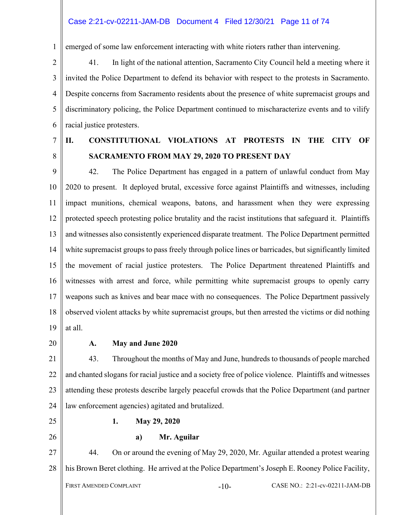emerged of some law enforcement interacting with white rioters rather than intervening.

2 3 4 5 6 41. In light of the national attention, Sacramento City Council held a meeting where it invited the Police Department to defend its behavior with respect to the protests in Sacramento. Despite concerns from Sacramento residents about the presence of white supremacist groups and discriminatory policing, the Police Department continued to mischaracterize events and to vilify racial justice protesters.

7

8

1

**II. CONSTITUTIONAL VIOLATIONS AT PROTESTS IN THE CITY OF SACRAMENTO FROM MAY 29, 2020 TO PRESENT DAY** 

9 10 11 12 13 14 15 16 17 18 19 42. The Police Department has engaged in a pattern of unlawful conduct from May 2020 to present. It deployed brutal, excessive force against Plaintiffs and witnesses, including impact munitions, chemical weapons, batons, and harassment when they were expressing protected speech protesting police brutality and the racist institutions that safeguard it. Plaintiffs and witnesses also consistently experienced disparate treatment. The Police Department permitted white supremacist groups to pass freely through police lines or barricades, but significantly limited the movement of racial justice protesters. The Police Department threatened Plaintiffs and witnesses with arrest and force, while permitting white supremacist groups to openly carry weapons such as knives and bear mace with no consequences. The Police Department passively observed violent attacks by white supremacist groups, but then arrested the victims or did nothing at all.

20

# **A. May and June 2020**

21 22 23 24 43. Throughout the months of May and June, hundreds to thousands of people marched and chanted slogans for racial justice and a society free of police violence. Plaintiffs and witnesses attending these protests describe largely peaceful crowds that the Police Department (and partner law enforcement agencies) agitated and brutalized.

25

26

# **1. May 29, 2020**

**a) Mr. Aguilar** 

27 28 44. On or around the evening of May 29, 2020, Mr. Aguilar attended a protest wearing his Brown Beret clothing. He arrived at the Police Department's Joseph E. Rooney Police Facility,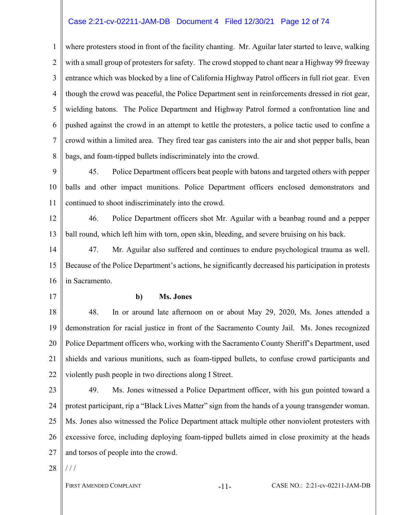# Case 2:21-cv-02211-JAM-DB Document 4 Filed 12/30/21 Page 12 of 74

1 2 3 4 5 6 7 8 where protesters stood in front of the facility chanting. Mr. Aguilar later started to leave, walking with a small group of protesters for safety. The crowd stopped to chant near a Highway 99 freeway entrance which was blocked by a line of California Highway Patrol officers in full riot gear. Even though the crowd was peaceful, the Police Department sent in reinforcements dressed in riot gear, wielding batons. The Police Department and Highway Patrol formed a confrontation line and pushed against the crowd in an attempt to kettle the protesters, a police tactic used to confine a crowd within a limited area. They fired tear gas canisters into the air and shot pepper balls, bean bags, and foam-tipped bullets indiscriminately into the crowd.

9 10 11 45. Police Department officers beat people with batons and targeted others with pepper balls and other impact munitions. Police Department officers enclosed demonstrators and continued to shoot indiscriminately into the crowd.

12 13 46. Police Department officers shot Mr. Aguilar with a beanbag round and a pepper ball round, which left him with torn, open skin, bleeding, and severe bruising on his back.

14 15 16 47. Mr. Aguilar also suffered and continues to endure psychological trauma as well. Because of the Police Department's actions, he significantly decreased his participation in protests in Sacramento.

17

#### **b) Ms. Jones**

18 19 20 21 22 48. In or around late afternoon on or about May 29, 2020, Ms. Jones attended a demonstration for racial justice in front of the Sacramento County Jail. Ms. Jones recognized Police Department officers who, working with the Sacramento County Sheriff's Department, used shields and various munitions, such as foam-tipped bullets, to confuse crowd participants and violently push people in two directions along I Street.

23 24 25 26 27 49. Ms. Jones witnessed a Police Department officer, with his gun pointed toward a protest participant, rip a "Black Lives Matter" sign from the hands of a young transgender woman. Ms. Jones also witnessed the Police Department attack multiple other nonviolent protesters with excessive force, including deploying foam-tipped bullets aimed in close proximity at the heads and torsos of people into the crowd.

28  $/$  /  $/$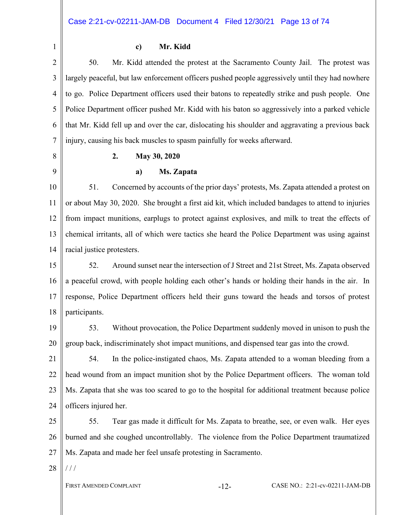1

#### **c) Mr. Kidd**

2 3 4 5 6 7 50. Mr. Kidd attended the protest at the Sacramento County Jail. The protest was largely peaceful, but law enforcement officers pushed people aggressively until they had nowhere to go. Police Department officers used their batons to repeatedly strike and push people. One Police Department officer pushed Mr. Kidd with his baton so aggressively into a parked vehicle that Mr. Kidd fell up and over the car, dislocating his shoulder and aggravating a previous back injury, causing his back muscles to spasm painfully for weeks afterward.

8

# **2. May 30, 2020**

9

#### **a) Ms. Zapata**

10 11 12 13 14 51. Concerned by accounts of the prior days' protests, Ms. Zapata attended a protest on or about May 30, 2020. She brought a first aid kit, which included bandages to attend to injuries from impact munitions, earplugs to protect against explosives, and milk to treat the effects of chemical irritants, all of which were tactics she heard the Police Department was using against racial justice protesters.

15 16 17 18 52. Around sunset near the intersection of J Street and 21st Street, Ms. Zapata observed a peaceful crowd, with people holding each other's hands or holding their hands in the air. In response, Police Department officers held their guns toward the heads and torsos of protest participants.

19

20

53. Without provocation, the Police Department suddenly moved in unison to push the group back, indiscriminately shot impact munitions, and dispensed tear gas into the crowd.

21 22 23 24 54. In the police-instigated chaos, Ms. Zapata attended to a woman bleeding from a head wound from an impact munition shot by the Police Department officers. The woman told Ms. Zapata that she was too scared to go to the hospital for additional treatment because police officers injured her.

25 26 27 55. Tear gas made it difficult for Ms. Zapata to breathe, see, or even walk. Her eyes burned and she coughed uncontrollably. The violence from the Police Department traumatized Ms. Zapata and made her feel unsafe protesting in Sacramento.

28  $/$  /  $/$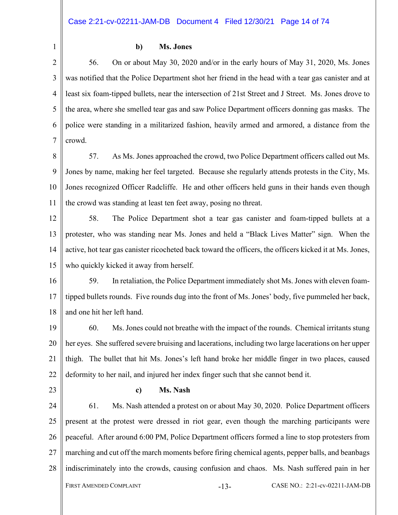1

# **b) Ms. Jones**

2 3 4 5 6 7 56. On or about May 30, 2020 and/or in the early hours of May 31, 2020, Ms. Jones was notified that the Police Department shot her friend in the head with a tear gas canister and at least six foam-tipped bullets, near the intersection of 21st Street and J Street. Ms. Jones drove to the area, where she smelled tear gas and saw Police Department officers donning gas masks. The police were standing in a militarized fashion, heavily armed and armored, a distance from the crowd.

- 8 9 10 11 57. As Ms. Jones approached the crowd, two Police Department officers called out Ms. Jones by name, making her feel targeted. Because she regularly attends protests in the City, Ms. Jones recognized Officer Radcliffe. He and other officers held guns in their hands even though the crowd was standing at least ten feet away, posing no threat.
- 12 13 14 15 58. The Police Department shot a tear gas canister and foam-tipped bullets at a protester, who was standing near Ms. Jones and held a "Black Lives Matter" sign. When the active, hot tear gas canister ricocheted back toward the officers, the officers kicked it at Ms. Jones, who quickly kicked it away from herself.

16 17 18 59. In retaliation, the Police Department immediately shot Ms. Jones with eleven foamtipped bullets rounds. Five rounds dug into the front of Ms. Jones' body, five pummeled her back, and one hit her left hand.

19 20 21 22 60. Ms. Jones could not breathe with the impact of the rounds. Chemical irritants stung her eyes. She suffered severe bruising and lacerations, including two large lacerations on her upper thigh. The bullet that hit Ms. Jones's left hand broke her middle finger in two places, caused deformity to her nail, and injured her index finger such that she cannot bend it.

23

# **c) Ms. Nash**

24 25 26 27 28 FIRST AMENDED COMPLAINT  $-13-$  CASE NO.: 2:21-cv-02211-JAM-DB 61. Ms. Nash attended a protest on or about May 30, 2020. Police Department officers present at the protest were dressed in riot gear, even though the marching participants were peaceful. After around 6:00 PM, Police Department officers formed a line to stop protesters from marching and cut off the march moments before firing chemical agents, pepper balls, and beanbags indiscriminately into the crowds, causing confusion and chaos. Ms. Nash suffered pain in her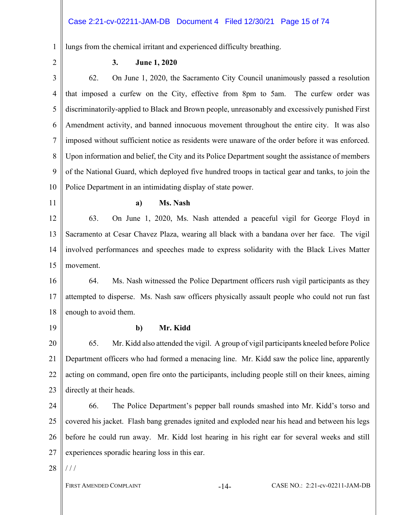# Case 2:21-cv-02211-JAM-DB Document 4 Filed 12/30/21 Page 15 of 74

1 lungs from the chemical irritant and experienced difficulty breathing.

2

# **3. June 1, 2020**

3 4 5 6 7 8 9 10 62. On June 1, 2020, the Sacramento City Council unanimously passed a resolution that imposed a curfew on the City, effective from 8pm to 5am. The curfew order was discriminatorily-applied to Black and Brown people, unreasonably and excessively punished First Amendment activity, and banned innocuous movement throughout the entire city. It was also imposed without sufficient notice as residents were unaware of the order before it was enforced. Upon information and belief, the City and its Police Department sought the assistance of members of the National Guard, which deployed five hundred troops in tactical gear and tanks, to join the Police Department in an intimidating display of state power.

11

#### **a) Ms. Nash**

12 13 14 15 63. On June 1, 2020, Ms. Nash attended a peaceful vigil for George Floyd in Sacramento at Cesar Chavez Plaza, wearing all black with a bandana over her face. The vigil involved performances and speeches made to express solidarity with the Black Lives Matter movement.

16 17 18 64. Ms. Nash witnessed the Police Department officers rush vigil participants as they attempted to disperse. Ms. Nash saw officers physically assault people who could not run fast enough to avoid them.

19

# **b) Mr. Kidd**

20 21 22 23 65. Mr. Kidd also attended the vigil. A group of vigil participants kneeled before Police Department officers who had formed a menacing line. Mr. Kidd saw the police line, apparently acting on command, open fire onto the participants, including people still on their knees, aiming directly at their heads.

24 25 26 27 66. The Police Department's pepper ball rounds smashed into Mr. Kidd's torso and covered his jacket. Flash bang grenades ignited and exploded near his head and between his legs before he could run away. Mr. Kidd lost hearing in his right ear for several weeks and still experiences sporadic hearing loss in this ear.

28  $/ /$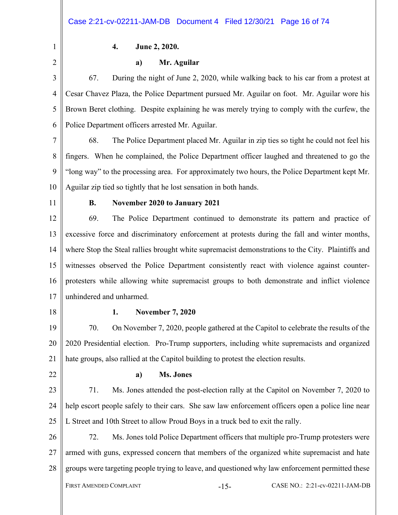1 2

# **4. June 2, 2020.**

#### **a) Mr. Aguilar**

3 4 5 6 67. During the night of June 2, 2020, while walking back to his car from a protest at Cesar Chavez Plaza, the Police Department pursued Mr. Aguilar on foot. Mr. Aguilar wore his Brown Beret clothing. Despite explaining he was merely trying to comply with the curfew, the Police Department officers arrested Mr. Aguilar.

- 7 8 9 10 68. The Police Department placed Mr. Aguilar in zip ties so tight he could not feel his fingers. When he complained, the Police Department officer laughed and threatened to go the "long way" to the processing area. For approximately two hours, the Police Department kept Mr. Aguilar zip tied so tightly that he lost sensation in both hands.
- 11

# **B. November 2020 to January 2021**

12 13 14 15 16 17 69. The Police Department continued to demonstrate its pattern and practice of excessive force and discriminatory enforcement at protests during the fall and winter months, where Stop the Steal rallies brought white supremacist demonstrations to the City. Plaintiffs and witnesses observed the Police Department consistently react with violence against counterprotesters while allowing white supremacist groups to both demonstrate and inflict violence unhindered and unharmed.

18

# **1. November 7, 2020**

19 20 21 70. On November 7, 2020, people gathered at the Capitol to celebrate the results of the 2020 Presidential election. Pro-Trump supporters, including white supremacists and organized hate groups, also rallied at the Capitol building to protest the election results.

22

#### **a) Ms. Jones**

23 24 25 71. Ms. Jones attended the post-election rally at the Capitol on November 7, 2020 to help escort people safely to their cars. She saw law enforcement officers open a police line near L Street and 10th Street to allow Proud Boys in a truck bed to exit the rally.

26 27 28 72. Ms. Jones told Police Department officers that multiple pro-Trump protesters were armed with guns, expressed concern that members of the organized white supremacist and hate groups were targeting people trying to leave, and questioned why law enforcement permitted these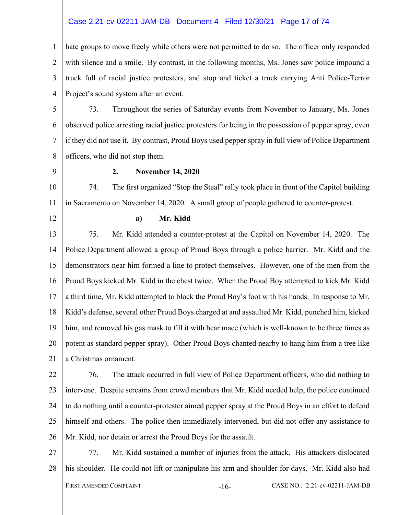# Case 2:21-cv-02211-JAM-DB Document 4 Filed 12/30/21 Page 17 of 74

1 2 3 4 hate groups to move freely while others were not permitted to do so. The officer only responded with silence and a smile. By contrast, in the following months, Ms. Jones saw police impound a truck full of racial justice protesters, and stop and ticket a truck carrying Anti Police-Terror Project's sound system after an event.

5 6 7 8 73. Throughout the series of Saturday events from November to January, Ms. Jones observed police arresting racial justice protesters for being in the possession of pepper spray, even if they did not use it. By contrast, Proud Boys used pepper spray in full view of Police Department officers, who did not stop them.

9

# **2. November 14, 2020**

10 11 74. The first organized "Stop the Steal" rally took place in front of the Capitol building in Sacramento on November 14, 2020. A small group of people gathered to counter-protest.

12

#### **a) Mr. Kidd**

13 14 15 16 17 18 19 20 21 75. Mr. Kidd attended a counter-protest at the Capitol on November 14, 2020. The Police Department allowed a group of Proud Boys through a police barrier. Mr. Kidd and the demonstrators near him formed a line to protect themselves. However, one of the men from the Proud Boys kicked Mr. Kidd in the chest twice. When the Proud Boy attempted to kick Mr. Kidd a third time, Mr. Kidd attempted to block the Proud Boy's foot with his hands. In response to Mr. Kidd's defense, several other Proud Boys charged at and assaulted Mr. Kidd, punched him, kicked him, and removed his gas mask to fill it with bear mace (which is well-known to be three times as potent as standard pepper spray). Other Proud Boys chanted nearby to hang him from a tree like a Christmas ornament.

22 23 24 25 26 76. The attack occurred in full view of Police Department officers, who did nothing to intervene. Despite screams from crowd members that Mr. Kidd needed help, the police continued to do nothing until a counter-protester aimed pepper spray at the Proud Boys in an effort to defend himself and others. The police then immediately intervened, but did not offer any assistance to Mr. Kidd, nor detain or arrest the Proud Boys for the assault.

27 28 FIRST AMENDED COMPLAINT  $-16-$  CASE NO.: 2:21-cv-02211-JAM-DB 77. Mr. Kidd sustained a number of injuries from the attack. His attackers dislocated his shoulder. He could not lift or manipulate his arm and shoulder for days. Mr. Kidd also had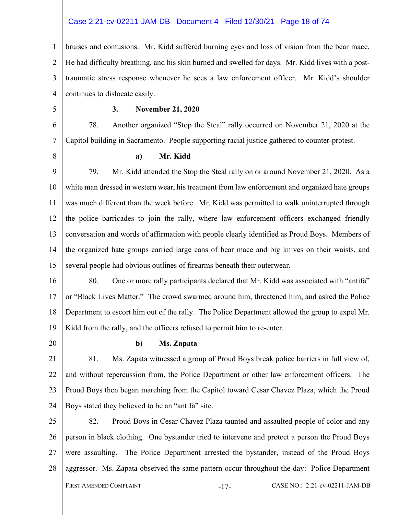# Case 2:21-cv-02211-JAM-DB Document 4 Filed 12/30/21 Page 18 of 74

1  $\mathfrak{D}$ 3 4 bruises and contusions. Mr. Kidd suffered burning eyes and loss of vision from the bear mace. He had difficulty breathing, and his skin burned and swelled for days. Mr. Kidd lives with a posttraumatic stress response whenever he sees a law enforcement officer. Mr. Kidd's shoulder continues to dislocate easily.

5

#### **3. November 21, 2020**

6 7 78. Another organized "Stop the Steal" rally occurred on November 21, 2020 at the Capitol building in Sacramento. People supporting racial justice gathered to counter-protest.

8

#### **a) Mr. Kidd**

9 10 11 12 13 14 15 79. Mr. Kidd attended the Stop the Steal rally on or around November 21, 2020. As a white man dressed in western wear, his treatment from law enforcement and organized hate groups was much different than the week before. Mr. Kidd was permitted to walk uninterrupted through the police barricades to join the rally, where law enforcement officers exchanged friendly conversation and words of affirmation with people clearly identified as Proud Boys. Members of the organized hate groups carried large cans of bear mace and big knives on their waists, and several people had obvious outlines of firearms beneath their outerwear.

16 17 18 19 80. One or more rally participants declared that Mr. Kidd was associated with "antifa" or "Black Lives Matter." The crowd swarmed around him, threatened him, and asked the Police Department to escort him out of the rally. The Police Department allowed the group to expel Mr. Kidd from the rally, and the officers refused to permit him to re-enter.

20

# **b) Ms. Zapata**

21 22 23 24 81. Ms. Zapata witnessed a group of Proud Boys break police barriers in full view of, and without repercussion from, the Police Department or other law enforcement officers. The Proud Boys then began marching from the Capitol toward Cesar Chavez Plaza, which the Proud Boys stated they believed to be an "antifa" site.

25 26 27 28 FIRST AMENDED COMPLAINT -17- CASE NO.: 2:21-cv-02211-JAM-DB 82. Proud Boys in Cesar Chavez Plaza taunted and assaulted people of color and any person in black clothing. One bystander tried to intervene and protect a person the Proud Boys were assaulting. The Police Department arrested the bystander, instead of the Proud Boys aggressor. Ms. Zapata observed the same pattern occur throughout the day: Police Department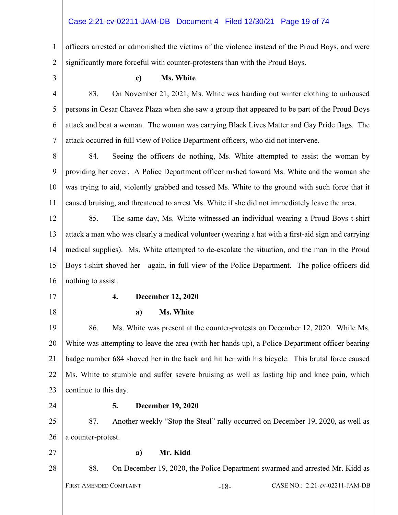# Case 2:21-cv-02211-JAM-DB Document 4 Filed 12/30/21 Page 19 of 74

1 2 officers arrested or admonished the victims of the violence instead of the Proud Boys, and were significantly more forceful with counter-protesters than with the Proud Boys.

3

# **c) Ms. White**

4 5 6 7 83. On November 21, 2021, Ms. White was handing out winter clothing to unhoused persons in Cesar Chavez Plaza when she saw a group that appeared to be part of the Proud Boys attack and beat a woman. The woman was carrying Black Lives Matter and Gay Pride flags. The attack occurred in full view of Police Department officers, who did not intervene.

8 9 10 11 84. Seeing the officers do nothing, Ms. White attempted to assist the woman by providing her cover. A Police Department officer rushed toward Ms. White and the woman she was trying to aid, violently grabbed and tossed Ms. White to the ground with such force that it caused bruising, and threatened to arrest Ms. White if she did not immediately leave the area.

12 13 14 15 16 85. The same day, Ms. White witnessed an individual wearing a Proud Boys t-shirt attack a man who was clearly a medical volunteer (wearing a hat with a first-aid sign and carrying medical supplies). Ms. White attempted to de-escalate the situation, and the man in the Proud Boys t-shirt shoved her—again, in full view of the Police Department. The police officers did nothing to assist.

17

18

# **4. December 12, 2020**

# **a) Ms. White**

19 20 21 22 23 86. Ms. White was present at the counter-protests on December 12, 2020. While Ms. White was attempting to leave the area (with her hands up), a Police Department officer bearing badge number 684 shoved her in the back and hit her with his bicycle. This brutal force caused Ms. White to stumble and suffer severe bruising as well as lasting hip and knee pain, which continue to this day.

24

# **5. December 19, 2020**

25 26 87. Another weekly "Stop the Steal" rally occurred on December 19, 2020, as well as a counter-protest.

27

28

#### **a) Mr. Kidd**

88. On December 19, 2020, the Police Department swarmed and arrested Mr. Kidd as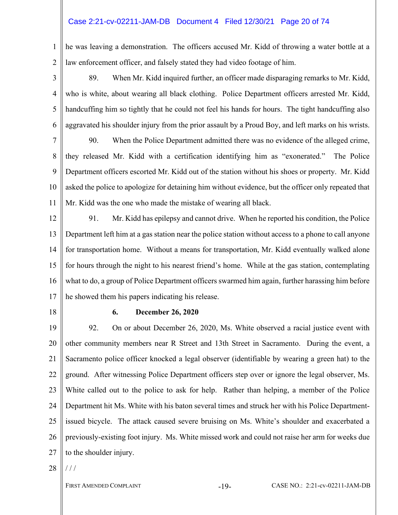# Case 2:21-cv-02211-JAM-DB Document 4 Filed 12/30/21 Page 20 of 74

1 2 he was leaving a demonstration. The officers accused Mr. Kidd of throwing a water bottle at a law enforcement officer, and falsely stated they had video footage of him.

3

4

5

6

89. When Mr. Kidd inquired further, an officer made disparaging remarks to Mr. Kidd, who is white, about wearing all black clothing. Police Department officers arrested Mr. Kidd, handcuffing him so tightly that he could not feel his hands for hours. The tight handcuffing also aggravated his shoulder injury from the prior assault by a Proud Boy, and left marks on his wrists.

7 8 9 10 11 90. When the Police Department admitted there was no evidence of the alleged crime, they released Mr. Kidd with a certification identifying him as "exonerated." The Police Department officers escorted Mr. Kidd out of the station without his shoes or property. Mr. Kidd asked the police to apologize for detaining him without evidence, but the officer only repeated that Mr. Kidd was the one who made the mistake of wearing all black.

- 12 13 14 15 16 17 91. Mr. Kidd has epilepsy and cannot drive. When he reported his condition, the Police Department left him at a gas station near the police station without access to a phone to call anyone for transportation home. Without a means for transportation, Mr. Kidd eventually walked alone for hours through the night to his nearest friend's home. While at the gas station, contemplating what to do, a group of Police Department officers swarmed him again, further harassing him before he showed them his papers indicating his release.
- 18

# **6. December 26, 2020**

19 20 21 22 23 24 25 26 27 92. On or about December 26, 2020, Ms. White observed a racial justice event with other community members near R Street and 13th Street in Sacramento. During the event, a Sacramento police officer knocked a legal observer (identifiable by wearing a green hat) to the ground. After witnessing Police Department officers step over or ignore the legal observer, Ms. White called out to the police to ask for help. Rather than helping, a member of the Police Department hit Ms. White with his baton several times and struck her with his Police Departmentissued bicycle. The attack caused severe bruising on Ms. White's shoulder and exacerbated a previously-existing foot injury. Ms. White missed work and could not raise her arm for weeks due to the shoulder injury.

28  $/$  /  $/$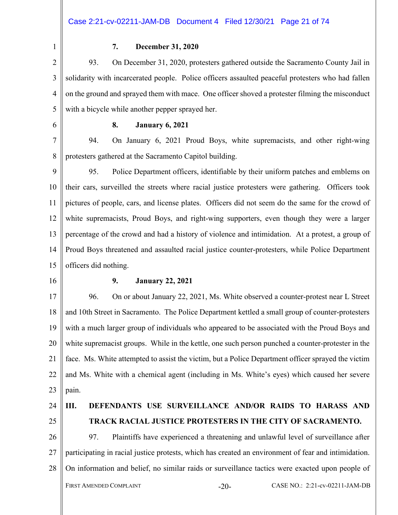1

# **7. December 31, 2020**

2 3 4 5 93. On December 31, 2020, protesters gathered outside the Sacramento County Jail in solidarity with incarcerated people. Police officers assaulted peaceful protesters who had fallen on the ground and sprayed them with mace. One officer shoved a protester filming the misconduct with a bicycle while another pepper sprayed her.

6

#### **8. January 6, 2021**

7 8 94. On January 6, 2021 Proud Boys, white supremacists, and other right-wing protesters gathered at the Sacramento Capitol building.

9 10 11 12 13 14 15 95. Police Department officers, identifiable by their uniform patches and emblems on their cars, surveilled the streets where racial justice protesters were gathering. Officers took pictures of people, cars, and license plates. Officers did not seem do the same for the crowd of white supremacists, Proud Boys, and right-wing supporters, even though they were a larger percentage of the crowd and had a history of violence and intimidation. At a protest, a group of Proud Boys threatened and assaulted racial justice counter-protesters, while Police Department officers did nothing.

16

#### **9. January 22, 2021**

17 18 19 20 21 22 23 96. On or about January 22, 2021, Ms. White observed a counter-protest near L Street and 10th Street in Sacramento. The Police Department kettled a small group of counter-protesters with a much larger group of individuals who appeared to be associated with the Proud Boys and white supremacist groups. While in the kettle, one such person punched a counter-protester in the face. Ms. White attempted to assist the victim, but a Police Department officer sprayed the victim and Ms. White with a chemical agent (including in Ms. White's eyes) which caused her severe pain.

24

# 25

# **III. DEFENDANTS USE SURVEILLANCE AND/OR RAIDS TO HARASS AND TRACK RACIAL JUSTICE PROTESTERS IN THE CITY OF SACRAMENTO.**

26 27 28 FIRST AMENDED COMPLAINT -20- CASE NO.: 2:21-cv-02211-JAM-DB 97. Plaintiffs have experienced a threatening and unlawful level of surveillance after participating in racial justice protests, which has created an environment of fear and intimidation. On information and belief, no similar raids or surveillance tactics were exacted upon people of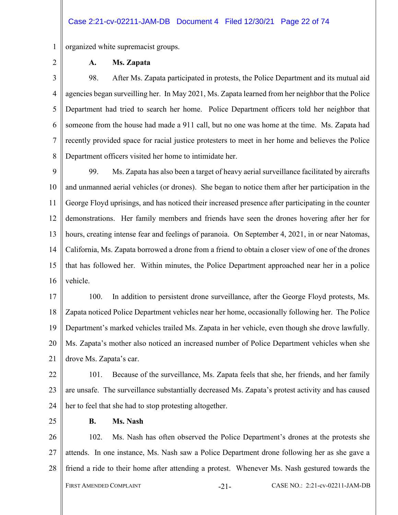1 organized white supremacist groups.

2

# **A. Ms. Zapata**

3 4 5 6 7 8 98. After Ms. Zapata participated in protests, the Police Department and its mutual aid agencies began surveilling her. In May 2021, Ms. Zapata learned from her neighbor that the Police Department had tried to search her home. Police Department officers told her neighbor that someone from the house had made a 911 call, but no one was home at the time. Ms. Zapata had recently provided space for racial justice protesters to meet in her home and believes the Police Department officers visited her home to intimidate her.

9 10 11 12 13 14 15 16 99. Ms. Zapata has also been a target of heavy aerial surveillance facilitated by aircrafts and unmanned aerial vehicles (or drones). She began to notice them after her participation in the George Floyd uprisings, and has noticed their increased presence after participating in the counter demonstrations. Her family members and friends have seen the drones hovering after her for hours, creating intense fear and feelings of paranoia. On September 4, 2021, in or near Natomas, California, Ms. Zapata borrowed a drone from a friend to obtain a closer view of one of the drones that has followed her. Within minutes, the Police Department approached near her in a police vehicle.

17 18 19 20 21 100. In addition to persistent drone surveillance, after the George Floyd protests, Ms. Zapata noticed Police Department vehicles near her home, occasionally following her. The Police Department's marked vehicles trailed Ms. Zapata in her vehicle, even though she drove lawfully. Ms. Zapata's mother also noticed an increased number of Police Department vehicles when she drove Ms. Zapata's car.

22 23 24 101. Because of the surveillance, Ms. Zapata feels that she, her friends, and her family are unsafe. The surveillance substantially decreased Ms. Zapata's protest activity and has caused her to feel that she had to stop protesting altogether.

25

# **B. Ms. Nash**

26 27 28 FIRST AMENDED COMPLAINT -21- CASE NO.: 2:21-cv-02211-JAM-DB 102. Ms. Nash has often observed the Police Department's drones at the protests she attends. In one instance, Ms. Nash saw a Police Department drone following her as she gave a friend a ride to their home after attending a protest. Whenever Ms. Nash gestured towards the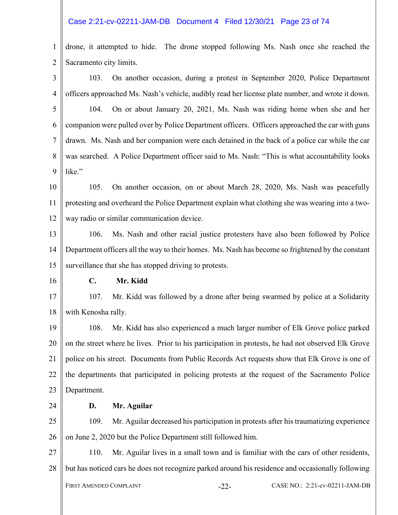#### Case 2:21-cv-02211-JAM-DB Document 4 Filed 12/30/21 Page 23 of 74

1  $\mathfrak{D}$ drone, it attempted to hide. The drone stopped following Ms. Nash once she reached the Sacramento city limits.

3 4 5 6 7 8 9 10 11 12 13 14 15 16 17 18 19 20 21 22 23 24 25 26 27 103. On another occasion, during a protest in September 2020, Police Department officers approached Ms. Nash's vehicle, audibly read her license plate number, and wrote it down. 104. On or about January 20, 2021, Ms. Nash was riding home when she and her companion were pulled over by Police Department officers. Officers approached the car with guns drawn. Ms. Nash and her companion were each detained in the back of a police car while the car was searched. A Police Department officer said to Ms. Nash: "This is what accountability looks like." 105. On another occasion, on or about March 28, 2020, Ms. Nash was peacefully protesting and overheard the Police Department explain what clothing she was wearing into a twoway radio or similar communication device. 106. Ms. Nash and other racial justice protesters have also been followed by Police Department officers all the way to their homes. Ms. Nash has become so frightened by the constant surveillance that she has stopped driving to protests. **C. Mr. Kidd**  107. Mr. Kidd was followed by a drone after being swarmed by police at a Solidarity with Kenosha rally. 108. Mr. Kidd has also experienced a much larger number of Elk Grove police parked on the street where he lives. Prior to his participation in protests, he had not observed Elk Grove police on his street. Documents from Public Records Act requests show that Elk Grove is one of the departments that participated in policing protests at the request of the Sacramento Police Department. **D. Mr. Aguilar**  109. Mr. Aguilar decreased his participation in protests after his traumatizing experience on June 2, 2020 but the Police Department still followed him. 110. Mr. Aguilar lives in a small town and is familiar with the cars of other residents,

28 but has noticed cars he does not recognize parked around his residence and occasionally following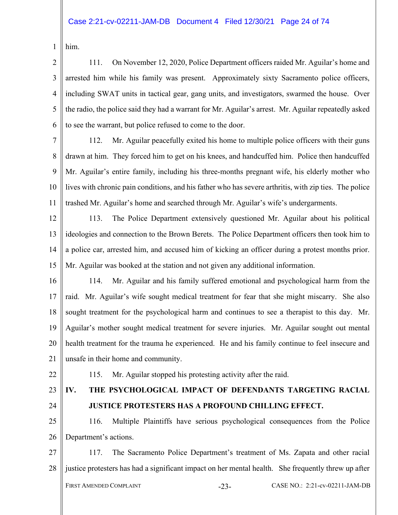```
1 
him.
```
2 3 4 5 6 111. On November 12, 2020, Police Department officers raided Mr. Aguilar's home and arrested him while his family was present. Approximately sixty Sacramento police officers, including SWAT units in tactical gear, gang units, and investigators, swarmed the house. Over the radio, the police said they had a warrant for Mr. Aguilar's arrest. Mr. Aguilar repeatedly asked to see the warrant, but police refused to come to the door.

7 8

9

10

11

112. Mr. Aguilar peacefully exited his home to multiple police officers with their guns drawn at him. They forced him to get on his knees, and handcuffed him. Police then handcuffed Mr. Aguilar's entire family, including his three-months pregnant wife, his elderly mother who lives with chronic pain conditions, and his father who has severe arthritis, with zip ties. The police trashed Mr. Aguilar's home and searched through Mr. Aguilar's wife's undergarments.

12

13

14

15

113. The Police Department extensively questioned Mr. Aguilar about his political ideologies and connection to the Brown Berets. The Police Department officers then took him to a police car, arrested him, and accused him of kicking an officer during a protest months prior. Mr. Aguilar was booked at the station and not given any additional information.

16 17 18 19 20 21 114. Mr. Aguilar and his family suffered emotional and psychological harm from the raid. Mr. Aguilar's wife sought medical treatment for fear that she might miscarry. She also sought treatment for the psychological harm and continues to see a therapist to this day. Mr. Aguilar's mother sought medical treatment for severe injuries. Mr. Aguilar sought out mental health treatment for the trauma he experienced. He and his family continue to feel insecure and unsafe in their home and community.

- 22
- 23

# **IV. THE PSYCHOLOGICAL IMPACT OF DEFENDANTS TARGETING RACIAL**

115. Mr. Aguilar stopped his protesting activity after the raid.

24

# **JUSTICE PROTESTERS HAS A PROFOUND CHILLING EFFECT.**

25 26 116. Multiple Plaintiffs have serious psychological consequences from the Police Department's actions.

27 28 FIRST AMENDED COMPLAINT -23- CASE NO.: 2:21-cv-02211-JAM-DB 117. The Sacramento Police Department's treatment of Ms. Zapata and other racial justice protesters has had a significant impact on her mental health. She frequently threw up after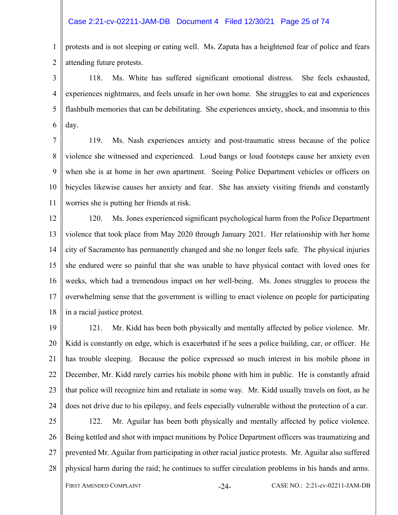#### Case 2:21-cv-02211-JAM-DB Document 4 Filed 12/30/21 Page 25 of 74

1  $\mathfrak{D}$ protests and is not sleeping or eating well. Ms. Zapata has a heightened fear of police and fears attending future protests.

3 4 5 6 118. Ms. White has suffered significant emotional distress. She feels exhausted, experiences nightmares, and feels unsafe in her own home. She struggles to eat and experiences flashbulb memories that can be debilitating. She experiences anxiety, shock, and insomnia to this day.

7 8 9 10 11 119. Ms. Nash experiences anxiety and post-traumatic stress because of the police violence she witnessed and experienced. Loud bangs or loud footsteps cause her anxiety even when she is at home in her own apartment. Seeing Police Department vehicles or officers on bicycles likewise causes her anxiety and fear. She has anxiety visiting friends and constantly worries she is putting her friends at risk.

12 13 14 15 16 17 18 120. Ms. Jones experienced significant psychological harm from the Police Department violence that took place from May 2020 through January 2021. Her relationship with her home city of Sacramento has permanently changed and she no longer feels safe. The physical injuries she endured were so painful that she was unable to have physical contact with loved ones for weeks, which had a tremendous impact on her well-being. Ms. Jones struggles to process the overwhelming sense that the government is willing to enact violence on people for participating in a racial justice protest.

19 20 21 22 23 24 121. Mr. Kidd has been both physically and mentally affected by police violence. Mr. Kidd is constantly on edge, which is exacerbated if he sees a police building, car, or officer. He has trouble sleeping. Because the police expressed so much interest in his mobile phone in December, Mr. Kidd rarely carries his mobile phone with him in public. He is constantly afraid that police will recognize him and retaliate in some way. Mr. Kidd usually travels on foot, as he does not drive due to his epilepsy, and feels especially vulnerable without the protection of a car.

25 26 27 28 122. Mr. Aguilar has been both physically and mentally affected by police violence. Being kettled and shot with impact munitions by Police Department officers was traumatizing and prevented Mr. Aguilar from participating in other racial justice protests. Mr. Aguilar also suffered physical harm during the raid; he continues to suffer circulation problems in his hands and arms.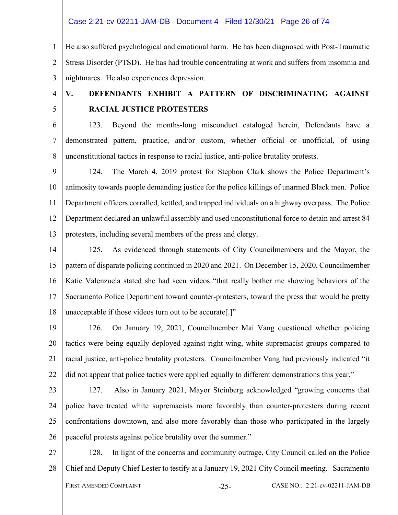Case 2:21-cv-02211-JAM-DB Document 4 Filed 12/30/21 Page 26 of 74

1  $\mathfrak{D}$ 3 He also suffered psychological and emotional harm. He has been diagnosed with Post-Traumatic Stress Disorder (PTSD). He has had trouble concentrating at work and suffers from insomnia and nightmares. He also experiences depression.

4

5

# **V. DEFENDANTS EXHIBIT A PATTERN OF DISCRIMINATING AGAINST RACIAL JUSTICE PROTESTERS**

6 7 8 123. Beyond the months-long misconduct cataloged herein, Defendants have a demonstrated pattern, practice, and/or custom, whether official or unofficial, of using unconstitutional tactics in response to racial justice, anti-police brutality protests.

9 10 11 12 13 124. The March 4, 2019 protest for Stephon Clark shows the Police Department's animosity towards people demanding justice for the police killings of unarmed Black men. Police Department officers corralled, kettled, and trapped individuals on a highway overpass. The Police Department declared an unlawful assembly and used unconstitutional force to detain and arrest 84 protesters, including several members of the press and clergy.

14 15 16 17 18 125. As evidenced through statements of City Councilmembers and the Mayor, the pattern of disparate policing continued in 2020 and 2021. On December 15, 2020, Councilmember Katie Valenzuela stated she had seen videos "that really bother me showing behaviors of the Sacramento Police Department toward counter-protesters, toward the press that would be pretty unacceptable if those videos turn out to be accurate[.]"

19 20 21 22 126. On January 19, 2021, Councilmember Mai Vang questioned whether policing tactics were being equally deployed against right-wing, white supremacist groups compared to racial justice, anti-police brutality protesters. Councilmember Vang had previously indicated "it did not appear that police tactics were applied equally to different demonstrations this year."

23

24 25 26 127. Also in January 2021, Mayor Steinberg acknowledged "growing concerns that police have treated white supremacists more favorably than counter-protesters during recent confrontations downtown, and also more favorably than those who participated in the largely peaceful protests against police brutality over the summer."

27 28 128. In light of the concerns and community outrage, City Council called on the Police Chief and Deputy Chief Lester to testify at a January 19, 2021 City Council meeting. Sacramento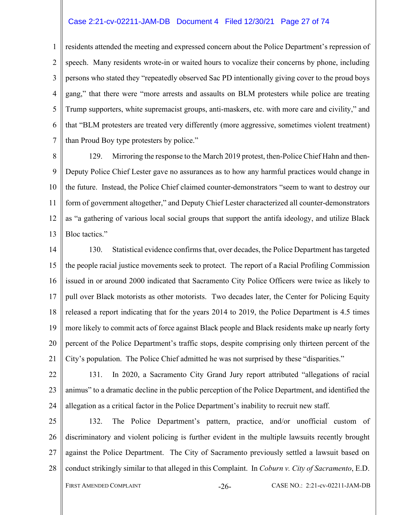#### Case 2:21-cv-02211-JAM-DB Document 4 Filed 12/30/21 Page 27 of 74

1 2 3 4 5 6 7 residents attended the meeting and expressed concern about the Police Department's repression of speech. Many residents wrote-in or waited hours to vocalize their concerns by phone, including persons who stated they "repeatedly observed Sac PD intentionally giving cover to the proud boys gang," that there were "more arrests and assaults on BLM protesters while police are treating Trump supporters, white supremacist groups, anti-maskers, etc. with more care and civility," and that "BLM protesters are treated very differently (more aggressive, sometimes violent treatment) than Proud Boy type protesters by police."

8 9 10 11 12 13 129. Mirroring the response to the March 2019 protest, then-Police Chief Hahn and then-Deputy Police Chief Lester gave no assurances as to how any harmful practices would change in the future. Instead, the Police Chief claimed counter-demonstrators "seem to want to destroy our form of government altogether," and Deputy Chief Lester characterized all counter-demonstrators as "a gathering of various local social groups that support the antifa ideology, and utilize Black Bloc tactics."

14 15 16 17 18 19 20 21 130. Statistical evidence confirms that, over decades, the Police Department has targeted the people racial justice movements seek to protect. The report of a Racial Profiling Commission issued in or around 2000 indicated that Sacramento City Police Officers were twice as likely to pull over Black motorists as other motorists. Two decades later, the Center for Policing Equity released a report indicating that for the years 2014 to 2019, the Police Department is 4.5 times more likely to commit acts of force against Black people and Black residents make up nearly forty percent of the Police Department's traffic stops, despite comprising only thirteen percent of the City's population. The Police Chief admitted he was not surprised by these "disparities."

22 23 24 131. In 2020, a Sacramento City Grand Jury report attributed "allegations of racial animus" to a dramatic decline in the public perception of the Police Department, and identified the allegation as a critical factor in the Police Department's inability to recruit new staff.

25 26 27 28 132. The Police Department's pattern, practice, and/or unofficial custom of discriminatory and violent policing is further evident in the multiple lawsuits recently brought against the Police Department. The City of Sacramento previously settled a lawsuit based on conduct strikingly similar to that alleged in this Complaint. In *Coburn v. City of Sacramento*, E.D.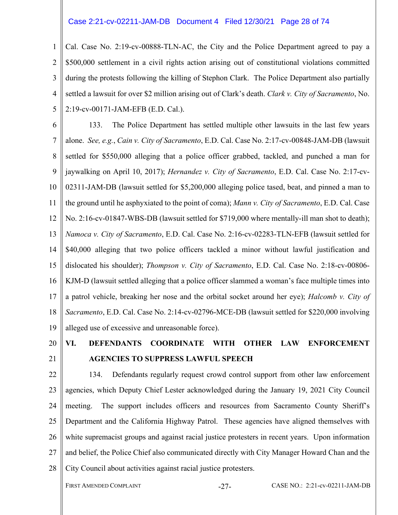#### Case 2:21-cv-02211-JAM-DB Document 4 Filed 12/30/21 Page 28 of 74

1  $\mathfrak{D}$ 3 4 5 Cal. Case No. 2:19-cv-00888-TLN-AC, the City and the Police Department agreed to pay a \$500,000 settlement in a civil rights action arising out of constitutional violations committed during the protests following the killing of Stephon Clark. The Police Department also partially settled a lawsuit for over \$2 million arising out of Clark's death. *Clark v. City of Sacramento*, No. 2:19-cv-00171-JAM-EFB (E.D. Cal.).

6 7 8 9 10 11 12 13 14 15 16 17 18 19 133. The Police Department has settled multiple other lawsuits in the last few years alone. *See, e.g.*, *Cain v. City of Sacramento*, E.D. Cal. Case No. 2:17-cv-00848-JAM-DB (lawsuit settled for \$550,000 alleging that a police officer grabbed, tackled, and punched a man for jaywalking on April 10, 2017); *Hernandez v. City of Sacramento*, E.D. Cal. Case No. 2:17-cv-02311-JAM-DB (lawsuit settled for \$5,200,000 alleging police tased, beat, and pinned a man to the ground until he asphyxiated to the point of coma); *Mann v. City of Sacramento*, E.D. Cal. Case No. 2:16-cv-01847-WBS-DB (lawsuit settled for \$719,000 where mentally-ill man shot to death); *Namoca v. City of Sacramento*, E.D. Cal. Case No. 2:16-cv-02283-TLN-EFB (lawsuit settled for \$40,000 alleging that two police officers tackled a minor without lawful justification and dislocated his shoulder); *Thompson v. City of Sacramento*, E.D. Cal. Case No. 2:18-cv-00806- KJM-D (lawsuit settled alleging that a police officer slammed a woman's face multiple times into a patrol vehicle, breaking her nose and the orbital socket around her eye); *Halcomb v. City of Sacramento*, E.D. Cal. Case No. 2:14-cv-02796-MCE-DB (lawsuit settled for \$220,000 involving alleged use of excessive and unreasonable force).

20 21

# **VI. DEFENDANTS COORDINATE WITH OTHER LAW ENFORCEMENT AGENCIES TO SUPPRESS LAWFUL SPEECH**

22 23 24 25 26 27 28 134. Defendants regularly request crowd control support from other law enforcement agencies, which Deputy Chief Lester acknowledged during the January 19, 2021 City Council meeting. The support includes officers and resources from Sacramento County Sheriff's Department and the California Highway Patrol. These agencies have aligned themselves with white supremacist groups and against racial justice protesters in recent years. Upon information and belief, the Police Chief also communicated directly with City Manager Howard Chan and the City Council about activities against racial justice protesters.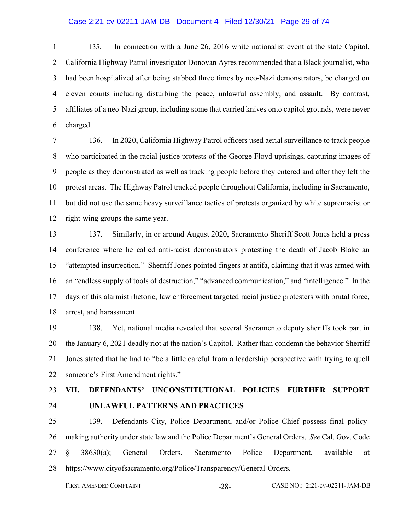# Case 2:21-cv-02211-JAM-DB Document 4 Filed 12/30/21 Page 29 of 74

1  $\overline{2}$ 3 4 5 6 135. In connection with a June 26, 2016 white nationalist event at the state Capitol, California Highway Patrol investigator Donovan Ayres recommended that a Black journalist, who had been hospitalized after being stabbed three times by neo-Nazi demonstrators, be charged on eleven counts including disturbing the peace, unlawful assembly, and assault. By contrast, affiliates of a neo-Nazi group, including some that carried knives onto capitol grounds, were never charged.

7 8 9 10 11 12 136. In 2020, California Highway Patrol officers used aerial surveillance to track people who participated in the racial justice protests of the George Floyd uprisings, capturing images of people as they demonstrated as well as tracking people before they entered and after they left the protest areas. The Highway Patrol tracked people throughout California, including in Sacramento, but did not use the same heavy surveillance tactics of protests organized by white supremacist or right-wing groups the same year.

13 14 15 16 17 18 137. Similarly, in or around August 2020, Sacramento Sheriff Scott Jones held a press conference where he called anti-racist demonstrators protesting the death of Jacob Blake an "attempted insurrection." Sherriff Jones pointed fingers at antifa, claiming that it was armed with an "endless supply of tools of destruction," "advanced communication," and "intelligence." In the days of this alarmist rhetoric, law enforcement targeted racial justice protesters with brutal force, arrest, and harassment.

19 20 21 22 138. Yet, national media revealed that several Sacramento deputy sheriffs took part in the January 6, 2021 deadly riot at the nation's Capitol. Rather than condemn the behavior Sherriff Jones stated that he had to "be a little careful from a leadership perspective with trying to quell someone's First Amendment rights."

23 24

# **VII. DEFENDANTS' UNCONSTITUTIONAL POLICIES FURTHER SUPPORT UNLAWFUL PATTERNS AND PRACTICES**

25 26 27 28 139. Defendants City, Police Department, and/or Police Chief possess final policymaking authority under state law and the Police Department's General Orders. *See* Cal. Gov. Code § 38630(a); General Orders, Sacramento Police Department, available at https://www.cityofsacramento.org/Police/Transparency/General-Orders*.*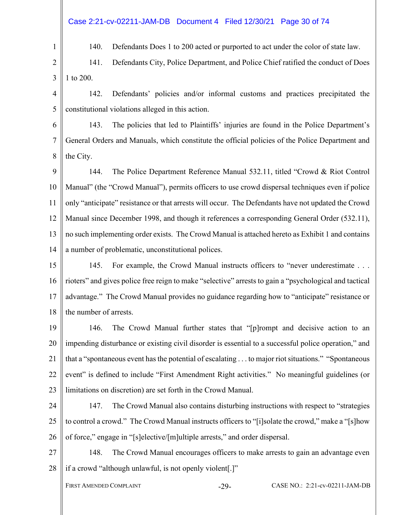# Case 2:21-cv-02211-JAM-DB Document 4 Filed 12/30/21 Page 30 of 74

140. Defendants Does 1 to 200 acted or purported to act under the color of state law.

2 3 141. Defendants City, Police Department, and Police Chief ratified the conduct of Does 1 to 200.

4 5 142. Defendants' policies and/or informal customs and practices precipitated the constitutional violations alleged in this action.

6 7 8 143. The policies that led to Plaintiffs' injuries are found in the Police Department's General Orders and Manuals, which constitute the official policies of the Police Department and the City.

9 10 11 12 13 14 144. The Police Department Reference Manual 532.11, titled "Crowd & Riot Control Manual" (the "Crowd Manual"), permits officers to use crowd dispersal techniques even if police only "anticipate" resistance or that arrests will occur. The Defendants have not updated the Crowd Manual since December 1998, and though it references a corresponding General Order (532.11), no such implementing order exists. The Crowd Manual is attached hereto as Exhibit 1 and contains a number of problematic, unconstitutional polices.

15 16 17 18 145. For example, the Crowd Manual instructs officers to "never underestimate . . . rioters" and gives police free reign to make "selective" arrests to gain a "psychological and tactical advantage." The Crowd Manual provides no guidance regarding how to "anticipate" resistance or the number of arrests.

19 20 21 22 23 146. The Crowd Manual further states that "[p]rompt and decisive action to an impending disturbance or existing civil disorder is essential to a successful police operation," and that a "spontaneous event has the potential of escalating . . . to major riot situations." "Spontaneous event" is defined to include "First Amendment Right activities." No meaningful guidelines (or limitations on discretion) are set forth in the Crowd Manual.

24 25 26 147. The Crowd Manual also contains disturbing instructions with respect to "strategies to control a crowd." The Crowd Manual instructs officers to "[i]solate the crowd," make a "[s]how of force," engage in "[s]elective/[m]ultiple arrests," and order dispersal.

27 28 148. The Crowd Manual encourages officers to make arrests to gain an advantage even if a crowd "although unlawful, is not openly violent[.]"

1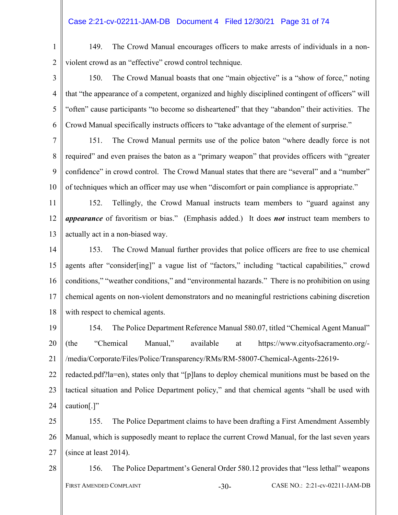# Case 2:21-cv-02211-JAM-DB Document 4 Filed 12/30/21 Page 31 of 74

1 2 149. The Crowd Manual encourages officers to make arrests of individuals in a nonviolent crowd as an "effective" crowd control technique.

3 4 5 6 150. The Crowd Manual boasts that one "main objective" is a "show of force," noting that "the appearance of a competent, organized and highly disciplined contingent of officers" will "often" cause participants "to become so disheartened" that they "abandon" their activities. The Crowd Manual specifically instructs officers to "take advantage of the element of surprise."

7 8 9 10 151. The Crowd Manual permits use of the police baton "where deadly force is not required" and even praises the baton as a "primary weapon" that provides officers with "greater confidence" in crowd control. The Crowd Manual states that there are "several" and a "number" of techniques which an officer may use when "discomfort or pain compliance is appropriate."

11 12 13 152. Tellingly, the Crowd Manual instructs team members to "guard against any *appearance* of favoritism or bias." (Emphasis added.) It does *not* instruct team members to actually act in a non-biased way.

14 15 16 17 18 153. The Crowd Manual further provides that police officers are free to use chemical agents after "consider[ing]" a vague list of "factors," including "tactical capabilities," crowd conditions," "weather conditions," and "environmental hazards." There is no prohibition on using chemical agents on non-violent demonstrators and no meaningful restrictions cabining discretion with respect to chemical agents.

19 20 21 154. The Police Department Reference Manual 580.07, titled "Chemical Agent Manual" (the "Chemical Manual," available at https://www.cityofsacramento.org/- /media/Corporate/Files/Police/Transparency/RMs/RM-58007-Chemical-Agents-22619-

22 23 24 redacted.pdf?la=en), states only that "[p]lans to deploy chemical munitions must be based on the tactical situation and Police Department policy," and that chemical agents "shall be used with caution[.]"

25 26 27 155. The Police Department claims to have been drafting a First Amendment Assembly Manual, which is supposedly meant to replace the current Crowd Manual, for the last seven years (since at least 2014).

28 FIRST AMENDED COMPLAINT -30- CASE NO.: 2:21-cv-02211-JAM-DB 156. The Police Department's General Order 580.12 provides that "less lethal" weapons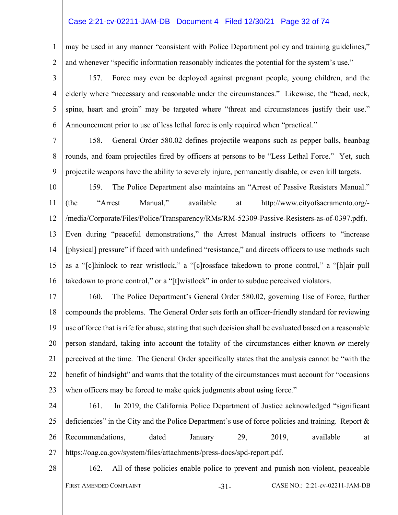#### Case 2:21-cv-02211-JAM-DB Document 4 Filed 12/30/21 Page 32 of 74

1 2 may be used in any manner "consistent with Police Department policy and training guidelines," and whenever "specific information reasonably indicates the potential for the system's use."

3 4 5 6 157. Force may even be deployed against pregnant people, young children, and the elderly where "necessary and reasonable under the circumstances." Likewise, the "head, neck, spine, heart and groin" may be targeted where "threat and circumstances justify their use." Announcement prior to use of less lethal force is only required when "practical."

7

8

9

158. General Order 580.02 defines projectile weapons such as pepper balls, beanbag rounds, and foam projectiles fired by officers at persons to be "Less Lethal Force." Yet, such projectile weapons have the ability to severely injure, permanently disable, or even kill targets.

10 11 12 13 14 15 16 159. The Police Department also maintains an "Arrest of Passive Resisters Manual." (the "Arrest Manual," available at http://www.cityofsacramento.org/- /media/Corporate/Files/Police/Transparency/RMs/RM-52309-Passive-Resisters-as-of-0397.pdf). Even during "peaceful demonstrations," the Arrest Manual instructs officers to "increase [physical] pressure" if faced with undefined "resistance," and directs officers to use methods such as a "[c]hinlock to rear wristlock," a "[c]rossface takedown to prone control," a "[h]air pull takedown to prone control," or a "[t]wistlock" in order to subdue perceived violators.

17 18 19 20 21 22 23 160. The Police Department's General Order 580.02, governing Use of Force, further compounds the problems. The General Order sets forth an officer-friendly standard for reviewing use of force that is rife for abuse, stating that such decision shall be evaluated based on a reasonable person standard, taking into account the totality of the circumstances either known *or* merely perceived at the time. The General Order specifically states that the analysis cannot be "with the benefit of hindsight" and warns that the totality of the circumstances must account for "occasions when officers may be forced to make quick judgments about using force."

24 25 26 27 161. In 2019, the California Police Department of Justice acknowledged "significant deficiencies" in the City and the Police Department's use of force policies and training. Report & Recommendations, dated January 29, 2019, available at https://oag.ca.gov/system/files/attachments/press-docs/spd-report.pdf.

28

FIRST AMENDED COMPLAINT -31- CASE NO.: 2:21-cv-02211-JAM-DB 162. All of these policies enable police to prevent and punish non-violent, peaceable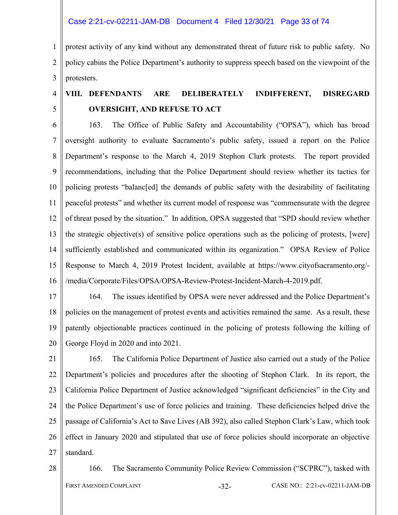Case 2:21-cv-02211-JAM-DB Document 4 Filed 12/30/21 Page 33 of 74

1  $\mathfrak{D}$ 3 protest activity of any kind without any demonstrated threat of future risk to public safety. No policy cabins the Police Department's authority to suppress speech based on the viewpoint of the protesters.

# **VIII. DEFENDANTS ARE DELIBERATELY INDIFFERENT, DISREGARD OVERSIGHT, AND REFUSE TO ACT**

6 7 8 9 10 11 12 13 14 15 16 163. The Office of Public Safety and Accountability ("OPSA"), which has broad oversight authority to evaluate Sacramento's public safety, issued a report on the Police Department's response to the March 4, 2019 Stephon Clark protests. The report provided recommendations, including that the Police Department should review whether its tactics for policing protests "balanc[ed] the demands of public safety with the desirability of facilitating peaceful protests" and whether its current model of response was "commensurate with the degree of threat posed by the situation." In addition, OPSA suggested that "SPD should review whether the strategic objective(s) of sensitive police operations such as the policing of protests, [were] sufficiently established and communicated within its organization." OPSA Review of Police Response to March 4, 2019 Protest Incident, available at https://www.cityofsacramento.org/- /media/Corporate/Files/OPSA/OPSA-Review-Protest-Incident-March-4-2019.pdf.

17 18 19 20 164. The issues identified by OPSA were never addressed and the Police Department's policies on the management of protest events and activities remained the same. As a result, these patently objectionable practices continued in the policing of protests following the killing of George Floyd in 2020 and into 2021.

21 22 23 24 25 26 27 165. The California Police Department of Justice also carried out a study of the Police Department's policies and procedures after the shooting of Stephon Clark. In its report, the California Police Department of Justice acknowledged "significant deficiencies" in the City and the Police Department's use of force policies and training. These deficiencies helped drive the passage of California's Act to Save Lives (AB 392), also called Stephon Clark's Law, which took effect in January 2020 and stipulated that use of force policies should incorporate an objective standard.

28

4

5

166. The Sacramento Community Police Review Commission ("SCPRC"), tasked with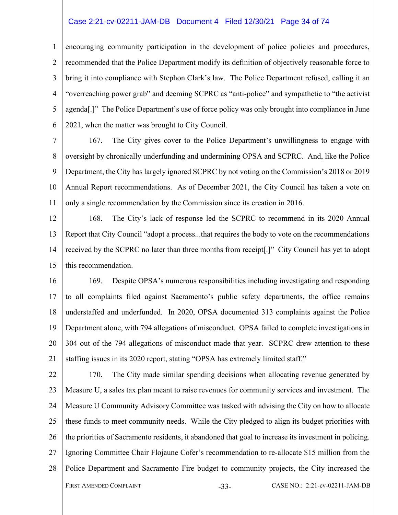#### Case 2:21-cv-02211-JAM-DB Document 4 Filed 12/30/21 Page 34 of 74

1  $\mathfrak{D}$ 3 4 5 6 encouraging community participation in the development of police policies and procedures, recommended that the Police Department modify its definition of objectively reasonable force to bring it into compliance with Stephon Clark's law. The Police Department refused, calling it an "overreaching power grab" and deeming SCPRC as "anti-police" and sympathetic to "the activist agenda[.]" The Police Department's use of force policy was only brought into compliance in June 2021, when the matter was brought to City Council.

7 8 9 10 11 167. The City gives cover to the Police Department's unwillingness to engage with oversight by chronically underfunding and undermining OPSA and SCPRC. And, like the Police Department, the City has largely ignored SCPRC by not voting on the Commission's 2018 or 2019 Annual Report recommendations. As of December 2021, the City Council has taken a vote on only a single recommendation by the Commission since its creation in 2016.

12 13 14 15 168. The City's lack of response led the SCPRC to recommend in its 2020 Annual Report that City Council "adopt a process...that requires the body to vote on the recommendations received by the SCPRC no later than three months from receipt[.]" City Council has yet to adopt this recommendation.

16 17 18 19 20 21 169. Despite OPSA's numerous responsibilities including investigating and responding to all complaints filed against Sacramento's public safety departments, the office remains understaffed and underfunded. In 2020, OPSA documented 313 complaints against the Police Department alone, with 794 allegations of misconduct. OPSA failed to complete investigations in 304 out of the 794 allegations of misconduct made that year. SCPRC drew attention to these staffing issues in its 2020 report, stating "OPSA has extremely limited staff."

22 23 24 25 26 27 28 FIRST AMENDED COMPLAINT -33- CASE NO.: 2:21-cv-02211-JAM-DB 170. The City made similar spending decisions when allocating revenue generated by Measure U, a sales tax plan meant to raise revenues for community services and investment. The Measure U Community Advisory Committee was tasked with advising the City on how to allocate these funds to meet community needs. While the City pledged to align its budget priorities with the priorities of Sacramento residents, it abandoned that goal to increase its investment in policing. Ignoring Committee Chair Flojaune Cofer's recommendation to re-allocate \$15 million from the Police Department and Sacramento Fire budget to community projects, the City increased the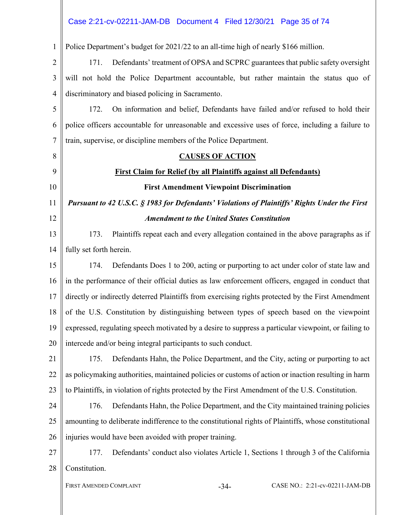#### 1 2 3 4 5 6 7 8 9 10 11 12 13 14 15 16 17 18 19 20 21 22 23 24 25 26 27 28 FIRST AMENDED COMPLAINT  $-34-$  CASE NO.: 2:21-cv-02211-JAM-DB Police Department's budget for 2021/22 to an all-time high of nearly \$166 million. 171. Defendants' treatment of OPSA and SCPRC guarantees that public safety oversight will not hold the Police Department accountable, but rather maintain the status quo of discriminatory and biased policing in Sacramento. 172. On information and belief, Defendants have failed and/or refused to hold their police officers accountable for unreasonable and excessive uses of force, including a failure to train, supervise, or discipline members of the Police Department. **CAUSES OF ACTION First Claim for Relief (by all Plaintiffs against all Defendants) First Amendment Viewpoint Discrimination**  *Pursuant to 42 U.S.C. § 1983 for Defendants' Violations of Plaintiffs' Rights Under the First Amendment to the United States Constitution*  173. Plaintiffs repeat each and every allegation contained in the above paragraphs as if fully set forth herein. 174. Defendants Does 1 to 200, acting or purporting to act under color of state law and in the performance of their official duties as law enforcement officers, engaged in conduct that directly or indirectly deterred Plaintiffs from exercising rights protected by the First Amendment of the U.S. Constitution by distinguishing between types of speech based on the viewpoint expressed, regulating speech motivated by a desire to suppress a particular viewpoint, or failing to intercede and/or being integral participants to such conduct. 175. Defendants Hahn, the Police Department, and the City, acting or purporting to act as policymaking authorities, maintained policies or customs of action or inaction resulting in harm to Plaintiffs, in violation of rights protected by the First Amendment of the U.S. Constitution. 176. Defendants Hahn, the Police Department, and the City maintained training policies amounting to deliberate indifference to the constitutional rights of Plaintiffs, whose constitutional injuries would have been avoided with proper training. 177. Defendants' conduct also violates Article 1, Sections 1 through 3 of the California Constitution. Case 2:21-cv-02211-JAM-DB Document 4 Filed 12/30/21 Page 35 of 74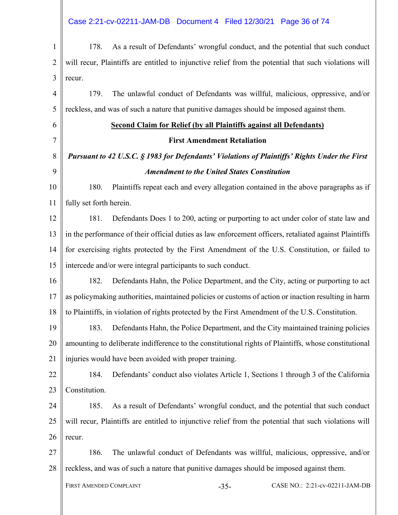# Case 2:21-cv-02211-JAM-DB Document 4 Filed 12/30/21 Page 36 of 74

| $\mathbf{1}$   | As a result of Defendants' wrongful conduct, and the potential that such conduct<br>178.               |  |  |
|----------------|--------------------------------------------------------------------------------------------------------|--|--|
| $\overline{2}$ | will recur, Plaintiffs are entitled to injunctive relief from the potential that such violations will  |  |  |
| 3              | recur.                                                                                                 |  |  |
| $\overline{4}$ | The unlawful conduct of Defendants was willful, malicious, oppressive, and/or<br>179.                  |  |  |
| 5              | reckless, and was of such a nature that punitive damages should be imposed against them.               |  |  |
| 6              | <b>Second Claim for Relief (by all Plaintiffs against all Defendants)</b>                              |  |  |
| $\tau$         | <b>First Amendment Retaliation</b>                                                                     |  |  |
| 8              | Pursuant to 42 U.S.C. § 1983 for Defendants' Violations of Plaintiffs' Rights Under the First          |  |  |
| 9              | <b>Amendment to the United States Constitution</b>                                                     |  |  |
| 10             | Plaintiffs repeat each and every allegation contained in the above paragraphs as if<br>180.            |  |  |
| 11             | fully set forth herein.                                                                                |  |  |
| 12             | 181.<br>Defendants Does 1 to 200, acting or purporting to act under color of state law and             |  |  |
| 13             | in the performance of their official duties as law enforcement officers, retaliated against Plaintiffs |  |  |
| 14             | for exercising rights protected by the First Amendment of the U.S. Constitution, or failed to          |  |  |
| 15             | intercede and/or were integral participants to such conduct.                                           |  |  |
| 16             | 182.<br>Defendants Hahn, the Police Department, and the City, acting or purporting to act              |  |  |
| 17             | as policymaking authorities, maintained policies or customs of action or inaction resulting in harm    |  |  |
| 18             | to Plaintiffs, in violation of rights protected by the First Amendment of the U.S. Constitution.       |  |  |
| 19             | Defendants Hahn, the Police Department, and the City maintained training policies<br>183.              |  |  |
| 20             | amounting to deliberate indifference to the constitutional rights of Plaintiffs, whose constitutional  |  |  |
| 21             | injuries would have been avoided with proper training.                                                 |  |  |
| 22             | 184.<br>Defendants' conduct also violates Article 1, Sections 1 through 3 of the California            |  |  |
| 23             | Constitution.                                                                                          |  |  |
| 24             | As a result of Defendants' wrongful conduct, and the potential that such conduct<br>185.               |  |  |
| 25             | will recur, Plaintiffs are entitled to injunctive relief from the potential that such violations will  |  |  |
| 26             | recur.                                                                                                 |  |  |
| 27             | The unlawful conduct of Defendants was willful, malicious, oppressive, and/or<br>186.                  |  |  |
| 28             | reckless, and was of such a nature that punitive damages should be imposed against them.               |  |  |
|                | FIRST AMENDED COMPLAINT<br>CASE NO.: 2:21-cv-02211-JAM-DB<br>$-35-$                                    |  |  |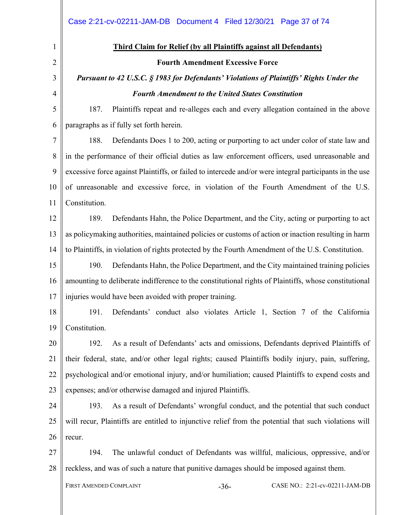|                | Case 2:21-cv-02211-JAM-DB  Document 4  Filed 12/30/21  Page 37 of 74                                    |  |  |  |  |  |  |
|----------------|---------------------------------------------------------------------------------------------------------|--|--|--|--|--|--|
| $\mathbf{1}$   | <b>Third Claim for Relief (by all Plaintiffs against all Defendants)</b>                                |  |  |  |  |  |  |
| $\overline{2}$ | <b>Fourth Amendment Excessive Force</b>                                                                 |  |  |  |  |  |  |
| 3              | Pursuant to 42 U.S.C. § 1983 for Defendants' Violations of Plaintiffs' Rights Under the                 |  |  |  |  |  |  |
| $\overline{4}$ | <b>Fourth Amendment to the United States Constitution</b>                                               |  |  |  |  |  |  |
| 5              | Plaintiffs repeat and re-alleges each and every allegation contained in the above<br>187.               |  |  |  |  |  |  |
| 6              | paragraphs as if fully set forth herein.                                                                |  |  |  |  |  |  |
| $\tau$         | 188.<br>Defendants Does 1 to 200, acting or purporting to act under color of state law and              |  |  |  |  |  |  |
| 8              | in the performance of their official duties as law enforcement officers, used unreasonable and          |  |  |  |  |  |  |
| 9              | excessive force against Plaintiffs, or failed to intercede and/or were integral participants in the use |  |  |  |  |  |  |
| 10             | of unreasonable and excessive force, in violation of the Fourth Amendment of the U.S.                   |  |  |  |  |  |  |
| 11             | Constitution.                                                                                           |  |  |  |  |  |  |
| 12             | Defendants Hahn, the Police Department, and the City, acting or purporting to act<br>189.               |  |  |  |  |  |  |
| 13             | as policymaking authorities, maintained policies or customs of action or inaction resulting in harm     |  |  |  |  |  |  |
| 14             | to Plaintiffs, in violation of rights protected by the Fourth Amendment of the U.S. Constitution.       |  |  |  |  |  |  |
| 15             | 190.<br>Defendants Hahn, the Police Department, and the City maintained training policies               |  |  |  |  |  |  |
| 16             | amounting to deliberate indifference to the constitutional rights of Plaintiffs, whose constitutional   |  |  |  |  |  |  |
| 17             | injuries would have been avoided with proper training.                                                  |  |  |  |  |  |  |
| 18             | 191.<br>Defendants' conduct also violates Article 1, Section 7 of the California                        |  |  |  |  |  |  |
| 19             | Constitution.                                                                                           |  |  |  |  |  |  |
| 20             | As a result of Defendants' acts and omissions, Defendants deprived Plaintiffs of<br>192.                |  |  |  |  |  |  |
| 21             | their federal, state, and/or other legal rights; caused Plaintiffs bodily injury, pain, suffering,      |  |  |  |  |  |  |
| 22             | psychological and/or emotional injury, and/or humiliation; caused Plaintiffs to expend costs and        |  |  |  |  |  |  |
| 23             | expenses; and/or otherwise damaged and injured Plaintiffs.                                              |  |  |  |  |  |  |
| 24             | As a result of Defendants' wrongful conduct, and the potential that such conduct<br>193.                |  |  |  |  |  |  |
| 25             | will recur, Plaintiffs are entitled to injunctive relief from the potential that such violations will   |  |  |  |  |  |  |
| 26             | recur.                                                                                                  |  |  |  |  |  |  |
| 27             | The unlawful conduct of Defendants was willful, malicious, oppressive, and/or<br>194.                   |  |  |  |  |  |  |
| 28             | reckless, and was of such a nature that punitive damages should be imposed against them.                |  |  |  |  |  |  |
|                | FIRST AMENDED COMPLAINT<br>CASE NO.: 2:21-cv-02211-JAM-DB<br>$-36-$                                     |  |  |  |  |  |  |
|                |                                                                                                         |  |  |  |  |  |  |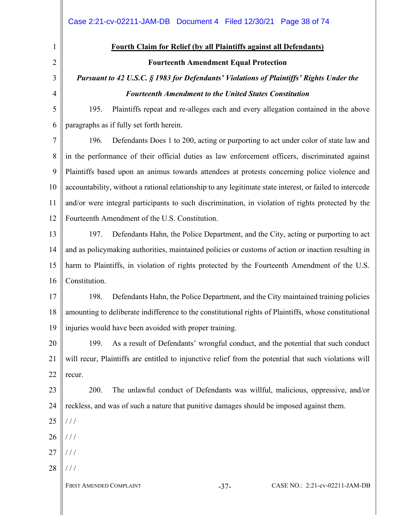1 2 3

4

## **Fourth Claim for Relief (by all Plaintiffs against all Defendants)**

#### **Fourteenth Amendment Equal Protection**

### *Pursuant to 42 U.S.C. § 1983 for Defendants' Violations of Plaintiffs' Rights Under the Fourteenth Amendment to the United States Constitution*

5 6 195. Plaintiffs repeat and re-alleges each and every allegation contained in the above paragraphs as if fully set forth herein.

7 8 9 10 11 12 196. Defendants Does 1 to 200, acting or purporting to act under color of state law and in the performance of their official duties as law enforcement officers, discriminated against Plaintiffs based upon an animus towards attendees at protests concerning police violence and accountability, without a rational relationship to any legitimate state interest, or failed to intercede and/or were integral participants to such discrimination, in violation of rights protected by the Fourteenth Amendment of the U.S. Constitution.

13 14 15 16 197. Defendants Hahn, the Police Department, and the City, acting or purporting to act and as policymaking authorities, maintained policies or customs of action or inaction resulting in harm to Plaintiffs, in violation of rights protected by the Fourteenth Amendment of the U.S. Constitution.

17 18 19 198. Defendants Hahn, the Police Department, and the City maintained training policies amounting to deliberate indifference to the constitutional rights of Plaintiffs, whose constitutional injuries would have been avoided with proper training.

20 21 22 199. As a result of Defendants' wrongful conduct, and the potential that such conduct will recur, Plaintiffs are entitled to injunctive relief from the potential that such violations will recur.

23 24 200. The unlawful conduct of Defendants was willful, malicious, oppressive, and/or reckless, and was of such a nature that punitive damages should be imposed against them.

25 / / /

26 / / /

- 27 / / /
- 28 / / /

FIRST AMENDED COMPLAINT -37- CASE NO.: 2:21-cv-02211-JAM-DB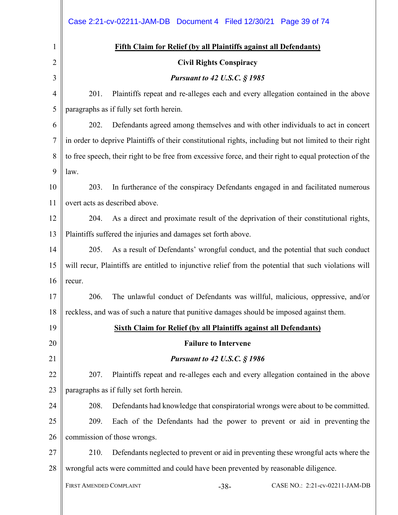|                | Case 2:21-cv-02211-JAM-DB  Document 4  Filed 12/30/21  Page 39 of 74                                    |  |  |  |  |  |  |
|----------------|---------------------------------------------------------------------------------------------------------|--|--|--|--|--|--|
| 1              | <b>Fifth Claim for Relief (by all Plaintiffs against all Defendants)</b>                                |  |  |  |  |  |  |
| $\overline{2}$ | <b>Civil Rights Conspiracy</b>                                                                          |  |  |  |  |  |  |
| 3              | <b>Pursuant to 42 U.S.C. § 1985</b>                                                                     |  |  |  |  |  |  |
| $\overline{4}$ | 201.<br>Plaintiffs repeat and re-alleges each and every allegation contained in the above               |  |  |  |  |  |  |
| 5              | paragraphs as if fully set forth herein.                                                                |  |  |  |  |  |  |
| 6              | 202.<br>Defendants agreed among themselves and with other individuals to act in concert                 |  |  |  |  |  |  |
| $\overline{7}$ | in order to deprive Plaintiffs of their constitutional rights, including but not limited to their right |  |  |  |  |  |  |
| 8              | to free speech, their right to be free from excessive force, and their right to equal protection of the |  |  |  |  |  |  |
| 9              | law.                                                                                                    |  |  |  |  |  |  |
| 10             | In furtherance of the conspiracy Defendants engaged in and facilitated numerous<br>203.                 |  |  |  |  |  |  |
| 11             | overt acts as described above.                                                                          |  |  |  |  |  |  |
| 12             | 204.<br>As a direct and proximate result of the deprivation of their constitutional rights,             |  |  |  |  |  |  |
| 13             | Plaintiffs suffered the injuries and damages set forth above.                                           |  |  |  |  |  |  |
| 14             | 205.<br>As a result of Defendants' wrongful conduct, and the potential that such conduct                |  |  |  |  |  |  |
| 15             | will recur, Plaintiffs are entitled to injunctive relief from the potential that such violations will   |  |  |  |  |  |  |
| 16             | recur.                                                                                                  |  |  |  |  |  |  |
| 17             | The unlawful conduct of Defendants was willful, malicious, oppressive, and/or<br>206.                   |  |  |  |  |  |  |
| 18             | reckless, and was of such a nature that punitive damages should be imposed against them.                |  |  |  |  |  |  |
| 19             | <b>Sixth Claim for Relief (by all Plaintiffs against all Defendants)</b>                                |  |  |  |  |  |  |
| 20             | <b>Failure to Intervene</b>                                                                             |  |  |  |  |  |  |
| 21             | <b>Pursuant to 42 U.S.C. § 1986</b>                                                                     |  |  |  |  |  |  |
| 22             | 207.<br>Plaintiffs repeat and re-alleges each and every allegation contained in the above               |  |  |  |  |  |  |
| 23             | paragraphs as if fully set forth herein.                                                                |  |  |  |  |  |  |
| 24             | 208.<br>Defendants had knowledge that conspiratorial wrongs were about to be committed.                 |  |  |  |  |  |  |
| 25             | 209.<br>Each of the Defendants had the power to prevent or aid in preventing the                        |  |  |  |  |  |  |
| 26             | commission of those wrongs.                                                                             |  |  |  |  |  |  |
| 27             | 210.<br>Defendants neglected to prevent or aid in preventing these wrongful acts where the              |  |  |  |  |  |  |
| 28             | wrongful acts were committed and could have been prevented by reasonable diligence.                     |  |  |  |  |  |  |
|                | FIRST AMENDED COMPLAINT<br>CASE NO.: 2:21-cv-02211-JAM-DB<br>$-38-$                                     |  |  |  |  |  |  |
|                |                                                                                                         |  |  |  |  |  |  |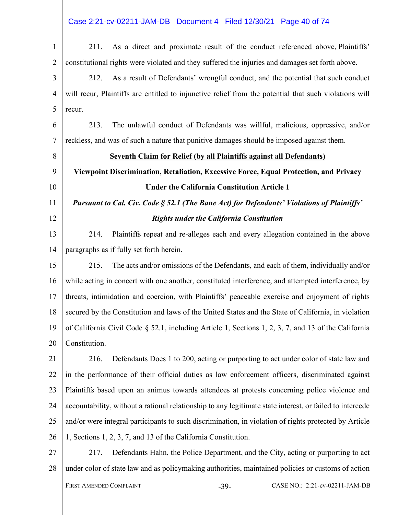### Case 2:21-cv-02211-JAM-DB Document 4 Filed 12/30/21 Page 40 of 74

| $\mathbf{1}$   | As a direct and proximate result of the conduct referenced above, Plaintiffs'<br>211.                    |  |  |  |  |  |
|----------------|----------------------------------------------------------------------------------------------------------|--|--|--|--|--|
| $\overline{2}$ | constitutional rights were violated and they suffered the injuries and damages set forth above.          |  |  |  |  |  |
| 3              | As a result of Defendants' wrongful conduct, and the potential that such conduct<br>212.                 |  |  |  |  |  |
| $\overline{4}$ | will recur, Plaintiffs are entitled to injunctive relief from the potential that such violations will    |  |  |  |  |  |
| 5              | recur.                                                                                                   |  |  |  |  |  |
| 6              | The unlawful conduct of Defendants was willful, malicious, oppressive, and/or<br>213.                    |  |  |  |  |  |
| $\tau$         | reckless, and was of such a nature that punitive damages should be imposed against them.                 |  |  |  |  |  |
| 8              | <b>Seventh Claim for Relief (by all Plaintiffs against all Defendants)</b>                               |  |  |  |  |  |
| 9              | Viewpoint Discrimination, Retaliation, Excessive Force, Equal Protection, and Privacy                    |  |  |  |  |  |
| 10             | <b>Under the California Constitution Article 1</b>                                                       |  |  |  |  |  |
| 11             | Pursuant to Cal. Civ. Code § 52.1 (The Bane Act) for Defendants' Violations of Plaintiffs'               |  |  |  |  |  |
| 12             | <b>Rights under the California Constitution</b>                                                          |  |  |  |  |  |
| 13             | Plaintiffs repeat and re-alleges each and every allegation contained in the above<br>214.                |  |  |  |  |  |
| 14             | paragraphs as if fully set forth herein.                                                                 |  |  |  |  |  |
| 15             | The acts and/or omissions of the Defendants, and each of them, individually and/or<br>215.               |  |  |  |  |  |
| 16             | while acting in concert with one another, constituted interference, and attempted interference, by       |  |  |  |  |  |
| 17             | threats, intimidation and coercion, with Plaintiffs' peaceable exercise and enjoyment of rights          |  |  |  |  |  |
| 18             | secured by the Constitution and laws of the United States and the State of California, in violation      |  |  |  |  |  |
| 19             | of California Civil Code $\S$ 52.1, including Article 1, Sections 1, 2, 3, 7, and 13 of the California   |  |  |  |  |  |
| 20             | Constitution.                                                                                            |  |  |  |  |  |
| 21             | Defendants Does 1 to 200, acting or purporting to act under color of state law and<br>216.               |  |  |  |  |  |
| 22             | in the performance of their official duties as law enforcement officers, discriminated against           |  |  |  |  |  |
| 23             | Plaintiffs based upon an animus towards attendees at protests concerning police violence and             |  |  |  |  |  |
| 24             | accountability, without a rational relationship to any legitimate state interest, or failed to intercede |  |  |  |  |  |
| 25             | and/or were integral participants to such discrimination, in violation of rights protected by Article    |  |  |  |  |  |
| 26             | 1, Sections 1, 2, 3, 7, and 13 of the California Constitution.                                           |  |  |  |  |  |
| 27             | Defendants Hahn, the Police Department, and the City, acting or purporting to act<br>217.                |  |  |  |  |  |
| 28             | under color of state law and as policymaking authorities, maintained policies or customs of action       |  |  |  |  |  |
|                | FIRST AMENDED COMPLAINT<br>CASE NO.: 2:21-cv-02211-JAM-DB<br>$-39-$                                      |  |  |  |  |  |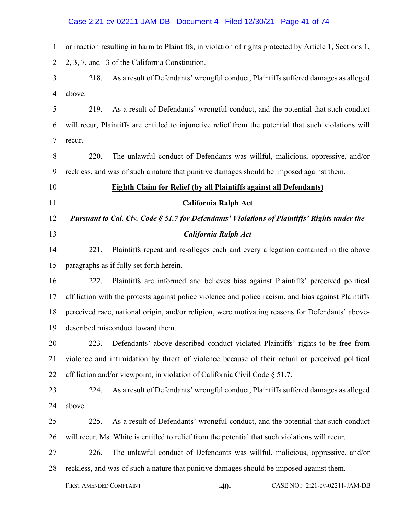|                | Case 2:21-cv-02211-JAM-DB  Document 4  Filed 12/30/21  Page 41 of 74                                    |  |  |  |  |  |  |
|----------------|---------------------------------------------------------------------------------------------------------|--|--|--|--|--|--|
|                |                                                                                                         |  |  |  |  |  |  |
| $\mathbf{1}$   | or inaction resulting in harm to Plaintiffs, in violation of rights protected by Article 1, Sections 1, |  |  |  |  |  |  |
| $\overline{2}$ | 2, 3, 7, and 13 of the California Constitution.                                                         |  |  |  |  |  |  |
| 3              | As a result of Defendants' wrongful conduct, Plaintiffs suffered damages as alleged<br>218.             |  |  |  |  |  |  |
| $\overline{4}$ | above.                                                                                                  |  |  |  |  |  |  |
| 5              | As a result of Defendants' wrongful conduct, and the potential that such conduct<br>219.                |  |  |  |  |  |  |
| 6              | will recur, Plaintiffs are entitled to injunctive relief from the potential that such violations will   |  |  |  |  |  |  |
| $\overline{7}$ | recur.                                                                                                  |  |  |  |  |  |  |
| 8              | 220.<br>The unlawful conduct of Defendants was willful, malicious, oppressive, and/or                   |  |  |  |  |  |  |
| 9              | reckless, and was of such a nature that punitive damages should be imposed against them.                |  |  |  |  |  |  |
| 10             | <b>Eighth Claim for Relief (by all Plaintiffs against all Defendants)</b>                               |  |  |  |  |  |  |
| 11             | <b>California Ralph Act</b>                                                                             |  |  |  |  |  |  |
| 12             | Pursuant to Cal. Civ. Code § 51.7 for Defendants' Violations of Plaintiffs' Rights under the            |  |  |  |  |  |  |
| 13             | <b>California Ralph Act</b>                                                                             |  |  |  |  |  |  |
| 14             | 221.<br>Plaintiffs repeat and re-alleges each and every allegation contained in the above               |  |  |  |  |  |  |
| 15             | paragraphs as if fully set forth herein.                                                                |  |  |  |  |  |  |
| 16             | Plaintiffs are informed and believes bias against Plaintiffs' perceived political<br>222.               |  |  |  |  |  |  |
| 17             | affiliation with the protests against police violence and police racism, and bias against Plaintiffs    |  |  |  |  |  |  |
| 18             | perceived race, national origin, and/or religion, were motivating reasons for Defendants' above-        |  |  |  |  |  |  |
| 19             | described misconduct toward them.                                                                       |  |  |  |  |  |  |
| 20             | 223.<br>Defendants' above-described conduct violated Plaintiffs' rights to be free from                 |  |  |  |  |  |  |
| 21             | violence and intimidation by threat of violence because of their actual or perceived political          |  |  |  |  |  |  |
| 22             | affiliation and/or viewpoint, in violation of California Civil Code $\S$ 51.7.                          |  |  |  |  |  |  |
| 23             | 224.<br>As a result of Defendants' wrongful conduct, Plaintiffs suffered damages as alleged             |  |  |  |  |  |  |
| 24             | above.                                                                                                  |  |  |  |  |  |  |
| 25             | As a result of Defendants' wrongful conduct, and the potential that such conduct<br>225.                |  |  |  |  |  |  |
| 26             | will recur, Ms. White is entitled to relief from the potential that such violations will recur.         |  |  |  |  |  |  |
| 27             | 226.<br>The unlawful conduct of Defendants was willful, malicious, oppressive, and/or                   |  |  |  |  |  |  |
| 28             | reckless, and was of such a nature that punitive damages should be imposed against them.                |  |  |  |  |  |  |
|                | FIRST AMENDED COMPLAINT<br>CASE NO.: 2:21-cv-02211-JAM-DB<br>$-40-$                                     |  |  |  |  |  |  |
|                |                                                                                                         |  |  |  |  |  |  |
|                |                                                                                                         |  |  |  |  |  |  |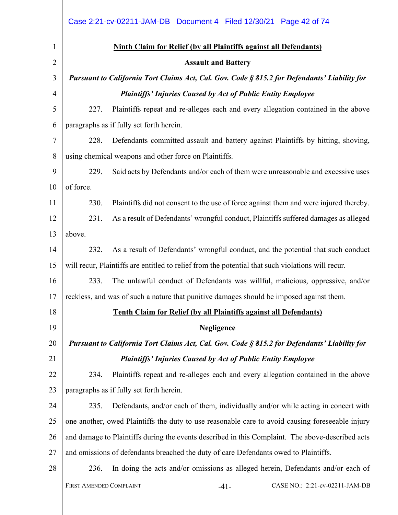|                | Case 2:21-cv-02211-JAM-DB  Document 4  Filed 12/30/21  Page 42 of 74                              |  |  |  |  |  |  |
|----------------|---------------------------------------------------------------------------------------------------|--|--|--|--|--|--|
| $\mathbf{1}$   | <b>Ninth Claim for Relief (by all Plaintiffs against all Defendants)</b>                          |  |  |  |  |  |  |
| $\overline{2}$ | <b>Assault and Battery</b>                                                                        |  |  |  |  |  |  |
| 3              | Pursuant to California Tort Claims Act, Cal. Gov. Code § 815.2 for Defendants' Liability for      |  |  |  |  |  |  |
| $\overline{4}$ | <b>Plaintiffs' Injuries Caused by Act of Public Entity Employee</b>                               |  |  |  |  |  |  |
| 5              | 227.<br>Plaintiffs repeat and re-alleges each and every allegation contained in the above         |  |  |  |  |  |  |
| 6              | paragraphs as if fully set forth herein.                                                          |  |  |  |  |  |  |
| 7              | 228.<br>Defendants committed assault and battery against Plaintiffs by hitting, shoving,          |  |  |  |  |  |  |
| 8              | using chemical weapons and other force on Plaintiffs.                                             |  |  |  |  |  |  |
| 9              | Said acts by Defendants and/or each of them were unreasonable and excessive uses<br>229.          |  |  |  |  |  |  |
| 10             | of force.                                                                                         |  |  |  |  |  |  |
| 11             | 230.<br>Plaintiffs did not consent to the use of force against them and were injured thereby.     |  |  |  |  |  |  |
| 12             | As a result of Defendants' wrongful conduct, Plaintiffs suffered damages as alleged<br>231.       |  |  |  |  |  |  |
| 13             | above.                                                                                            |  |  |  |  |  |  |
| 14             | 232.<br>As a result of Defendants' wrongful conduct, and the potential that such conduct          |  |  |  |  |  |  |
| 15             | will recur, Plaintiffs are entitled to relief from the potential that such violations will recur. |  |  |  |  |  |  |
| 16             | 233.<br>The unlawful conduct of Defendants was willful, malicious, oppressive, and/or             |  |  |  |  |  |  |
| 17             | reckless, and was of such a nature that punitive damages should be imposed against them.          |  |  |  |  |  |  |
| 18             | <b>Tenth Claim for Relief (by all Plaintiffs against all Defendants)</b>                          |  |  |  |  |  |  |
| 19             | Negligence                                                                                        |  |  |  |  |  |  |
| 20             | Pursuant to California Tort Claims Act, Cal. Gov. Code § 815.2 for Defendants' Liability for      |  |  |  |  |  |  |
| 21             | <b>Plaintiffs' Injuries Caused by Act of Public Entity Employee</b>                               |  |  |  |  |  |  |
| 22             | Plaintiffs repeat and re-alleges each and every allegation contained in the above<br>234.         |  |  |  |  |  |  |
| 23             | paragraphs as if fully set forth herein.                                                          |  |  |  |  |  |  |
| 24             | 235.<br>Defendants, and/or each of them, individually and/or while acting in concert with         |  |  |  |  |  |  |
| 25             | one another, owed Plaintiffs the duty to use reasonable care to avoid causing foreseeable injury  |  |  |  |  |  |  |
| 26             | and damage to Plaintiffs during the events described in this Complaint. The above-described acts  |  |  |  |  |  |  |
| 27             | and omissions of defendants breached the duty of care Defendants owed to Plaintiffs.              |  |  |  |  |  |  |
| 28             | 236.<br>In doing the acts and/or omissions as alleged herein, Defendants and/or each of           |  |  |  |  |  |  |
|                | FIRST AMENDED COMPLAINT<br>CASE NO.: 2:21-cv-02211-JAM-DB<br>$-41-$                               |  |  |  |  |  |  |
|                |                                                                                                   |  |  |  |  |  |  |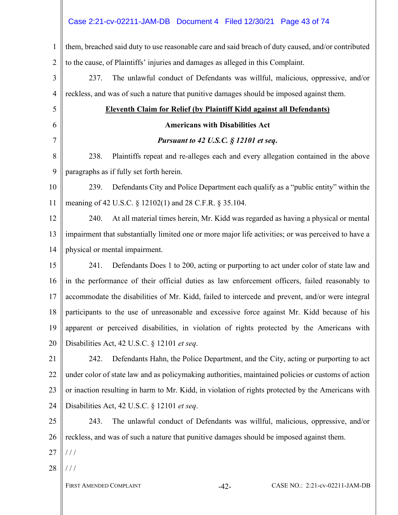## Case 2:21-cv-02211-JAM-DB Document 4 Filed 12/30/21 Page 43 of 74

| $\mathbf{1}$    | them, breached said duty to use reasonable care and said breach of duty caused, and/or contributed  |  |  |  |  |  |
|-----------------|-----------------------------------------------------------------------------------------------------|--|--|--|--|--|
| $\overline{2}$  | to the cause, of Plaintiffs' injuries and damages as alleged in this Complaint.                     |  |  |  |  |  |
| 3               | 237.<br>The unlawful conduct of Defendants was willful, malicious, oppressive, and/or               |  |  |  |  |  |
| $\overline{4}$  | reckless, and was of such a nature that punitive damages should be imposed against them.            |  |  |  |  |  |
| 5               | <b>Eleventh Claim for Relief (by Plaintiff Kidd against all Defendants)</b>                         |  |  |  |  |  |
| 6               | <b>Americans with Disabilities Act</b>                                                              |  |  |  |  |  |
| 7               | Pursuant to 42 U.S.C. § 12101 et seq.                                                               |  |  |  |  |  |
| 8               | 238.<br>Plaintiffs repeat and re-alleges each and every allegation contained in the above           |  |  |  |  |  |
| 9               | paragraphs as if fully set forth herein.                                                            |  |  |  |  |  |
| 10              | 239.<br>Defendants City and Police Department each qualify as a "public entity" within the          |  |  |  |  |  |
| 11              | meaning of 42 U.S.C. § 12102(1) and 28 C.F.R. § 35.104.                                             |  |  |  |  |  |
| 12              | 240.<br>At all material times herein, Mr. Kidd was regarded as having a physical or mental          |  |  |  |  |  |
| 13              | impairment that substantially limited one or more major life activities; or was perceived to have a |  |  |  |  |  |
| 14              | physical or mental impairment.                                                                      |  |  |  |  |  |
| 15              | 241.<br>Defendants Does 1 to 200, acting or purporting to act under color of state law and          |  |  |  |  |  |
| 16              | in the performance of their official duties as law enforcement officers, failed reasonably to       |  |  |  |  |  |
| 17              | accommodate the disabilities of Mr. Kidd, failed to intercede and prevent, and/or were integral     |  |  |  |  |  |
| 18              | participants to the use of unreasonable and excessive force against Mr. Kidd because of his         |  |  |  |  |  |
| 19 <sup>°</sup> | apparent or perceived disabilities, in violation of rights protected by the Americans with          |  |  |  |  |  |
| 20              | Disabilities Act, 42 U.S.C. § 12101 et seq.                                                         |  |  |  |  |  |
| 21              | Defendants Hahn, the Police Department, and the City, acting or purporting to act<br>242.           |  |  |  |  |  |
| 22              | under color of state law and as policymaking authorities, maintained policies or customs of action  |  |  |  |  |  |
| 23              | or inaction resulting in harm to Mr. Kidd, in violation of rights protected by the Americans with   |  |  |  |  |  |
| 24              | Disabilities Act, 42 U.S.C. § 12101 et seq.                                                         |  |  |  |  |  |
| 25              | The unlawful conduct of Defendants was willful, malicious, oppressive, and/or<br>243.               |  |  |  |  |  |
| 26              | reckless, and was of such a nature that punitive damages should be imposed against them.            |  |  |  |  |  |
| 27              | $\frac{1}{2}$                                                                                       |  |  |  |  |  |
| 28              | ///                                                                                                 |  |  |  |  |  |
|                 | CASE NO.: 2:21-cv-02211-JAM-DB<br>FIRST AMENDED COMPLAINT<br>$-42-$                                 |  |  |  |  |  |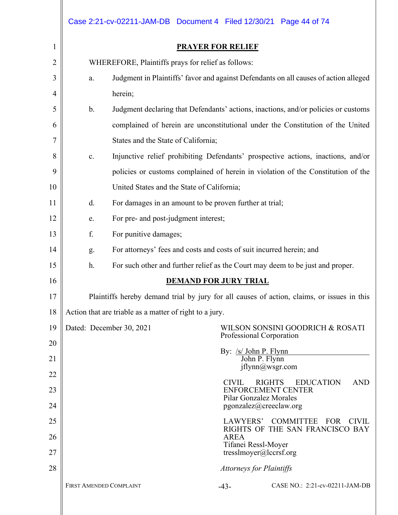|                |                                                                                                 | Case 2:21-cv-02211-JAM-DB  Document 4  Filed 12/30/21  Page 44 of 74               |                              |                                 |                                                                                            |  |  |  |
|----------------|-------------------------------------------------------------------------------------------------|------------------------------------------------------------------------------------|------------------------------|---------------------------------|--------------------------------------------------------------------------------------------|--|--|--|
| $\mathbf{1}$   | <b>PRAYER FOR RELIEF</b>                                                                        |                                                                                    |                              |                                 |                                                                                            |  |  |  |
| $\overline{2}$ | WHEREFORE, Plaintiffs prays for relief as follows:                                              |                                                                                    |                              |                                 |                                                                                            |  |  |  |
| 3              | Judgment in Plaintiffs' favor and against Defendants on all causes of action alleged<br>a.      |                                                                                    |                              |                                 |                                                                                            |  |  |  |
| 4              | herein;                                                                                         |                                                                                    |                              |                                 |                                                                                            |  |  |  |
| 5              | $\mathbf b$ .                                                                                   | Judgment declaring that Defendants' actions, inactions, and/or policies or customs |                              |                                 |                                                                                            |  |  |  |
| 6              |                                                                                                 | complained of herein are unconstitutional under the Constitution of the United     |                              |                                 |                                                                                            |  |  |  |
| $\tau$         |                                                                                                 | States and the State of California;                                                |                              |                                 |                                                                                            |  |  |  |
| 8              | c.                                                                                              | Injunctive relief prohibiting Defendants' prospective actions, inactions, and/or   |                              |                                 |                                                                                            |  |  |  |
| 9              | policies or customs complained of herein in violation of the Constitution of the                |                                                                                    |                              |                                 |                                                                                            |  |  |  |
| 10             |                                                                                                 | United States and the State of California;                                         |                              |                                 |                                                                                            |  |  |  |
| 11             | For damages in an amount to be proven further at trial;<br>d.                                   |                                                                                    |                              |                                 |                                                                                            |  |  |  |
| 12             | For pre- and post-judgment interest;<br>e.                                                      |                                                                                    |                              |                                 |                                                                                            |  |  |  |
| 13             | f.<br>For punitive damages;                                                                     |                                                                                    |                              |                                 |                                                                                            |  |  |  |
| 14             | g.                                                                                              | For attorneys' fees and costs and costs of suit incurred herein; and               |                              |                                 |                                                                                            |  |  |  |
| 15             | h.<br>For such other and further relief as the Court may deem to be just and proper.            |                                                                                    |                              |                                 |                                                                                            |  |  |  |
| 16             |                                                                                                 |                                                                                    | <b>DEMAND FOR JURY TRIAL</b> |                                 |                                                                                            |  |  |  |
| 17             |                                                                                                 |                                                                                    |                              |                                 | Plaintiffs hereby demand trial by jury for all causes of action, claims, or issues in this |  |  |  |
| 18             |                                                                                                 | Action that are triable as a matter of right to a jury.                            |                              |                                 |                                                                                            |  |  |  |
| 19<br>20       | Dated: December 30, 2021<br>WILSON SONSINI GOODRICH & ROSATI<br>Professional Corporation        |                                                                                    |                              |                                 |                                                                                            |  |  |  |
| 21             |                                                                                                 |                                                                                    |                              | By: /s/ John P. Flynn           |                                                                                            |  |  |  |
| 22             | John P. Flynn<br>iflynn@wsgr.com                                                                |                                                                                    |                              |                                 |                                                                                            |  |  |  |
| 23             | <b>CIVIL</b><br><b>EDUCATION</b><br><b>AND</b><br><b>RIGHTS</b><br><b>ENFORCEMENT CENTER</b>    |                                                                                    |                              |                                 |                                                                                            |  |  |  |
| 24             | Pilar Gonzalez Morales<br>pgonzalez@creeclaw.org                                                |                                                                                    |                              |                                 |                                                                                            |  |  |  |
| 25             | LAWYERS' COMMITTEE<br>FOR<br><b>CIVIL</b>                                                       |                                                                                    |                              |                                 |                                                                                            |  |  |  |
| 26<br>27       | RIGHTS OF THE SAN FRANCISCO BAY<br><b>AREA</b><br>Tifanei Ressl-Moyer<br>tresslmoyer@lccrsf.org |                                                                                    |                              |                                 |                                                                                            |  |  |  |
| 28             |                                                                                                 |                                                                                    |                              | <b>Attorneys for Plaintiffs</b> |                                                                                            |  |  |  |
|                | FIRST AMENDED COMPLAINT                                                                         |                                                                                    |                              | $-43-$                          | CASE NO.: 2:21-cv-02211-JAM-DB                                                             |  |  |  |
|                |                                                                                                 |                                                                                    |                              |                                 |                                                                                            |  |  |  |
|                |                                                                                                 |                                                                                    |                              |                                 |                                                                                            |  |  |  |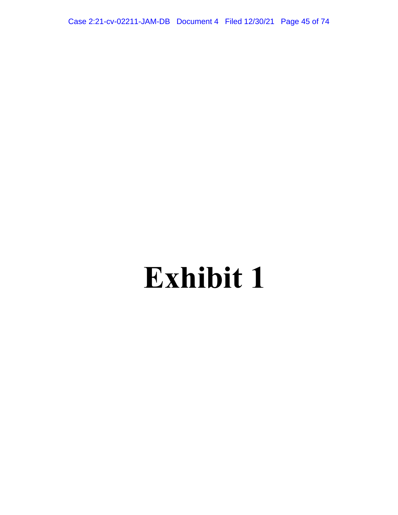Case 2:21-cv-02211-JAM-DB Document 4 Filed 12/30/21 Page 45 of 74

# **Exhibit 1**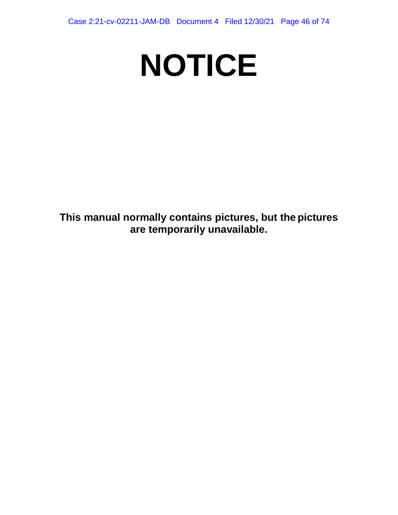# **NOTICE**

**This manual normally contains pictures, but the pictures are temporarily unavailable.**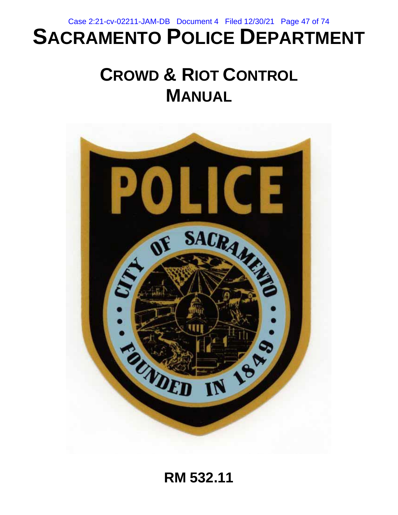Case 2:21-cv-02211-JAM-DB Document 4 Filed 12/30/21 Page 47 of 74

# **SACRAMENTO POLICE DEPARTMENT**

# **CROWD & RIOT CONTROL MANUAL**



**RM 532.11**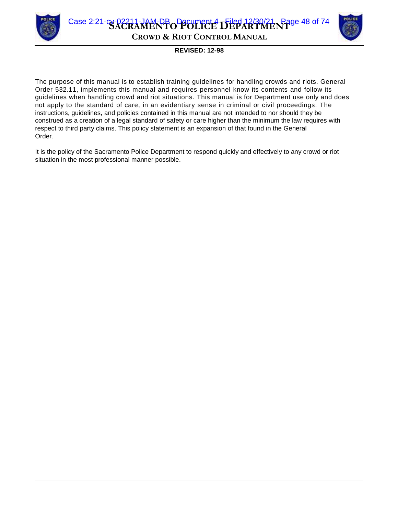

**SACRAMENTO POLICE DEPARTMENT** Case 2:21-cv-02211-JAM-DB Document 4 Filed 12/30/21 Page 48 of 74**CROWD & RIOT CONTROL MANUAL**



#### **REVISED: 12-98**

The purpose of this manual is to establish training guidelines for handling crowds and riots. General Order 532.11, implements this manual and requires personnel know its contents and follow its guidelines when handling crowd and riot situations. This manual is for Department use only and does not apply to the standard of care, in an evidentiary sense in criminal or civil proceedings. The instructions, guidelines, and policies contained in this manual are not intended to nor should they be construed as a creation of a legal standard of safety or care higher than the minimum the law requires with respect to third party claims. This policy statement is an expansion of that found in the General Order.

It is the policy of the Sacramento Police Department to respond quickly and effectively to any crowd or riot situation in the most professional manner possible.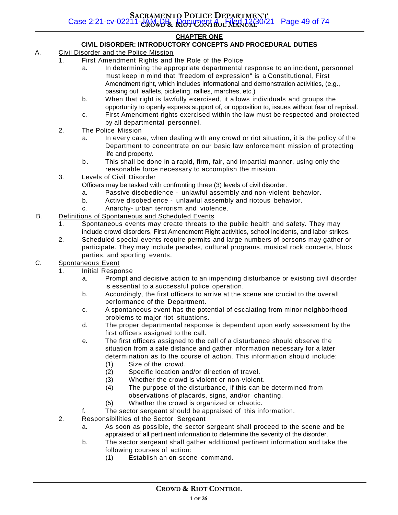#### **CHAPTER ONE**

#### **CIVIL DISORDER: INTRODUCTORY CONCEPTS AND PROCEDURAL DUTIES**

- A. Civil Disorder and the Police Mission
	- 1. First Amendment Rights and the Role of the Police
		- a. In determining the appropriate departmental response to an incident, personnel must keep in mind that "freedom of expression" is a Constitutional, First Amendment right, which includes informational and demonstration activities, (e.g., passing out leaflets, picketing, rallies, marches, etc.)
		- b. When that right is lawfully exercised, it allows individuals and groups the opportunity to openly express support of, or opposition to, issues without fear of reprisal.
		- c. First Amendment rights exercised within the law must be respected and protected by all departmental personnel.
	- 2. The Police Mission
		- a. In every case, when dealing with any crowd or riot situation, it is the policy of the Department to concentrate on our basic law enforcement mission of protecting life and property.
		- b . This shall be done in a rapid, firm, fair, and impartial manner, using only the reasonable force necessary to accomplish the mission.
	- 3. Levels of Civil Disorder

Officers may be tasked with confronting three (3) levels of civil disorder.

- a. Passive disobedience unlawful assembly and non-violent behavior.
- b. Active disobedience unlawful assembly and riotous behavior.
- c. Anarchy- urban terrorism and violence.
- B. Definitions of Spontaneous and Scheduled Events
	- 1. Spontaneous events may create threats to the public health and safety. They may include crowd disorders, First Amendment Right activities, school incidents, and labor strikes.
	- 2. Scheduled special events require permits and large numbers of persons may gather or participate. They may include parades, cultural programs, musical rock concerts, block parties, and sporting events.
- C. Spontaneous Event
	- 1. Initial Response
		- a. Prompt and decisive action to an impending disturbance or existing civil disorder is essential to a successful police operation.
		- b. Accordingly, the first officers to arrive at the scene are crucial to the overall performance of the Department.
		- c. A spontaneous event has the potential of escalating from minor neighborhood problems to major riot situations.
		- d. The proper departmental response is dependent upon early assessment by the first officers assigned to the call.
		- e. The first officers assigned to the call of a disturbance should observe the situation from a safe distance and gather information necessary for a later determination as to the course of action. This information should include:
			- (1) Size of the crowd.
			- (2) Specific location and/or direction of travel.
			- (3) Whether the crowd is violent or non-violent.
			- (4) The purpose of the disturbance, if this can be determined from observations of placards, signs, and/or chanting.
			- (5) Whether the crowd is organized or chaotic.
		- f. The sector sergeant should be appraised of this information.
	- 2. Responsibilities of the Sector Sergeant
		- a. As soon as possible, the sector sergeant shall proceed to the scene and be appraised of all pertinent information to determine the severity of the disorder.
		- b. The sector sergeant shall gather additional pertinent information and take the following courses of action:
			- (1) Establish an on-scene command.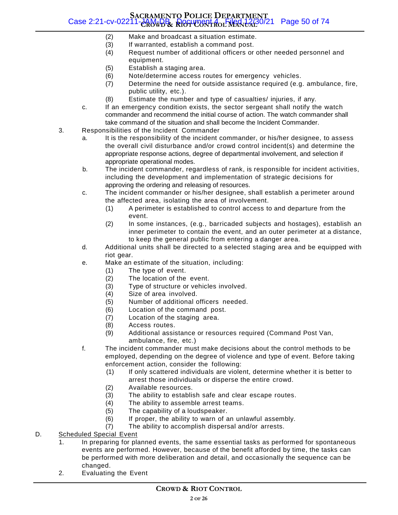#### **SACRAMENTO POLICE DEPARTMENT CROWD & RIOT CONTROL MANUAL** Case 2:21-cv-02211-JAM-DB Document 4 Filed 12/30/21 Page 50 of 74

- (2) Make and broadcast a situation estimate.
- (3) If warranted, establish a command post.
- (4) Request number of additional officers or other needed personnel and equipment.
- (5) Establish a staging area.
- (6) Note/determine access routes for emergency vehicles.
- (7) Determine the need for outside assistance required (e.g. ambulance, fire, public utility, etc.).
- (8) Estimate the number and type of casualties/ injuries, if any.
- c. If an emergency condition exists, the sector sergeant shall notify the watch commander and recommend the initial course of action. The watch commander shall take command of the situation and shall become the Incident Commander.
- 3. Responsibilities of the Incident Commander
	- a. It is the responsibility of the incident commander, or his/her designee, to assess the overall civil disturbance and/or crowd control incident(s) and determine the appropriate response actions, degree of departmental involvement, and selection if appropriate operational modes.
	- b. The incident commander, regardless of rank, is responsible for incident activities, including the development and implementation of strategic decisions for approving the ordering and releasing of resources.
	- c. The incident commander or his/her designee, shall establish a perimeter around the affected area, isolating the area of involvement.
		- (1) A perimeter is established to control access to and departure from the event.
		- (2) In some instances, (e.g., barricaded subjects and hostages), establish an inner perimeter to contain the event, and an outer perimeter at a distance, to keep the general public from entering a danger area.
	- d. Additional units shall be directed to a selected staging area and be equipped with riot gear.
	- e. Make an estimate of the situation, including:
		- (1) The type of event.
		- (2) The location of the event.
		- (3) Type of structure or vehicles involved.
		- (4) Size of area involved.
		- (5) Number of additional officers needed.
		- (6) Location of the command post.
		- (7) Location of the staging area.
		- (8) Access routes.
		- (9) Additional assistance or resources required (Command Post Van, ambulance, fire, etc.)
	- f. The incident commander must make decisions about the control methods to be employed, depending on the degree of violence and type of event. Before taking enforcement action, consider the following:
		- (1) If only scattered individuals are violent, determine whether it is better to arrest those individuals or disperse the entire crowd.
		- (2) Available resources.
		- (3) The ability to establish safe and clear escape routes.
		- (4) The ability to assemble arrest teams.
		- (5) The capability of a loudspeaker.
		- (6) If proper, the ability to warn of an unlawful assembly.
		- (7) The ability to accomplish dispersal and/or arrests.
- D. Scheduled Special Event
	- 1. In preparing for planned events, the same essential tasks as performed for spontaneous events are performed. However, because of the benefit afforded by time, the tasks can be performed with more deliberation and detail, and occasionally the sequence can be changed.
	- 2. Evaluating the Event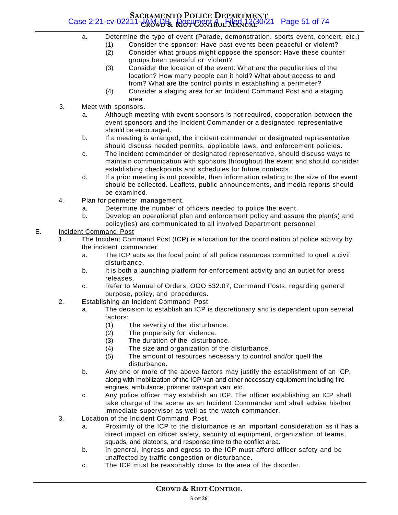#### **SACRAMENTO POLICE DEPARTMENT CROWD & RIOT CONTROL MANUAL** Case 2:21-cv-02211-JAM-DB Document 4 Filed 12/30/21 Page 51 of 74

- a. Determine the type of event (Parade, demonstration, sports event, concert, etc.)
	- (1) Consider the sponsor: Have past events been peaceful or violent?
	- (2) Consider what groups might oppose the sponsor: Have these counter groups been peaceful or violent?
	- (3) Consider the location of the event: What are the peculiarities of the location? How many people can it hold? What about access to and from? What are the control points in establishing a perimeter?
	- (4) Consider a staging area for an Incident Command Post and a staging area.
- 3. Meet with sponsors.
	- a. Although meeting with event sponsors is not required, cooperation between the event sponsors and the Incident Commander or a designated representative should be encouraged.
	- b. If a meeting is arranged, the incident commander or designated representative should discuss needed permits, applicable laws, and enforcement policies.
	- c. The incident commander or designated representative, should discuss ways to maintain communication with sponsors throughout the event and should consider establishing checkpoints and schedules for future contacts.
	- d. If a prior meeting is not possible, then information relating to the size of the event should be collected. Leaflets, public announcements, and media reports should be examined.
- 4. Plan for perimeter management.
	- a. Determine the number of officers needed to police the event.
	- b. Develop an operational plan and enforcement policy and assure the plan(s) and policy(ies) are communicated to all involved Department personnel.

#### E. Incident Command Post

- 1. The Incident Command Post (ICP) is a location for the coordination of police activity by the incident commander.
	- a. The ICP acts as the focal point of all police resources committed to quell a civil disturbance.
	- b. It is both a launching platform for enforcement activity and an outlet for press releases.
	- c. Refer to Manual of Orders, OOO 532.07, Command Posts, regarding general purpose, policy, and procedures.
- 2. Establishing an Incident Command Post
	- a. The decision to establish an ICP is discretionary and is dependent upon several factors:
		- (1) The severity of the disturbance.
		- (2) The propensity for violence.
		- (3) The duration of the disturbance.
		- (4) The size and organization of the disturbance.
		- (5) The amount of resources necessary to control and/or quell the disturbance.
	- b. Any one or more of the above factors may justify the establishment of an ICP, along with mobilization of the ICP van and other necessary equipment including fire engines, ambulance, prisoner transport van, etc.
	- c. Any police officer may establish an ICP. The officer establishing an ICP shall take charge of the scene as an Incident Commander and shall advise his/her immediate supervisor as well as the watch commander.
- 3. Location of the Incident Command Post.
	- a. Proximity of the ICP to the disturbance is an important consideration as it has a direct impact on officer safety, security of equipment, organization of teams, squads, and platoons, and response time to the conflict area.
	- b. In general, ingress and egress to the ICP must afford officer safety and be unaffected by traffic congestion or disturbance.
	- c. The ICP must be reasonably close to the area of the disorder.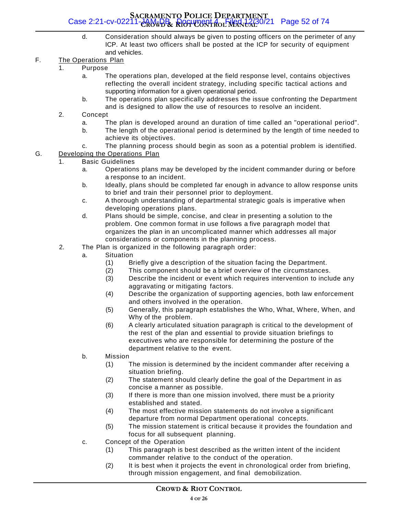#### **SACRAMENTO POLICE DEPARTMENT CROWD & RIOT CONTROL MANUAL** Case 2:21-cv-02211-JAM-DB Document 4 Filed 12/30/21 Page 52 of 74

d. Consideration should always be given to posting officers on the perimeter of any ICP. At least two officers shall be posted at the ICP for security of equipment and vehicles.

#### F. The Operations Plan

- 1. Purpose
	- a. The operations plan, developed at the field response level, contains objectives reflecting the overall incident strategy, including specific tactical actions and supporting information for a given operational period.
	- b. The operations plan specifically addresses the issue confronting the Department and is designed to allow the use of resources to resolve an incident.
- 2. Concept
	- a. The plan is developed around an duration of time called an "operational period".
	- b. The length of the operational period is determined by the length of time needed to achieve its objectives.
	- c. The planning process should begin as soon as a potential problem is identified.
- G. Developing the Operations Plan
	- 1. Basic Guidelines
		- a. Operations plans may be developed by the incident commander during or before a response to an incident.
		- b. Ideally, plans should be completed far enough in advance to allow response units to brief and train their personnel prior to deployment.
		- c. A thorough understanding of departmental strategic goals is imperative when developing operations plans.
		- d. Plans should be simple, concise, and clear in presenting a solution to the problem. One common format in use follows a five paragraph model that organizes the plan in an uncomplicated manner which addresses all major considerations or components in the planning process.
	- 2. The Plan is organized in the following paragraph order:
		- a. Situation
			- (1) Briefly give a description of the situation facing the Department.
			- (2) This component should be a brief overview of the circumstances.
			- (3) Describe the incident or event which requires intervention to include any aggravating or mitigating factors.
			- (4) Describe the organization of supporting agencies, both law enforcement and others involved in the operation.
			- (5) Generally, this paragraph establishes the Who, What, Where, When, and Why of the problem.
			- (6) A clearly articulated situation paragraph is critical to the development of the rest of the plan and essential to provide situation briefings to executives who are responsible for determining the posture of the department relative to the event.
		- b. Mission
			- (1) The mission is determined by the incident commander after receiving a situation briefing.
			- (2) The statement should clearly define the goal of the Department in as concise a manner as possible.
			- (3) If there is more than one mission involved, there must be a priority established and stated.
			- (4) The most effective mission statements do not involve a significant departure from normal Department operational concepts.
			- (5) The mission statement is critical because it provides the foundation and focus for all subsequent planning.
		- c. Concept of the Operation
			- (1) This paragraph is best described as the written intent of the incident commander relative to the conduct of the operation.
			- (2) It is best when it projects the event in chronological order from briefing, through mission engagement, and final demobilization.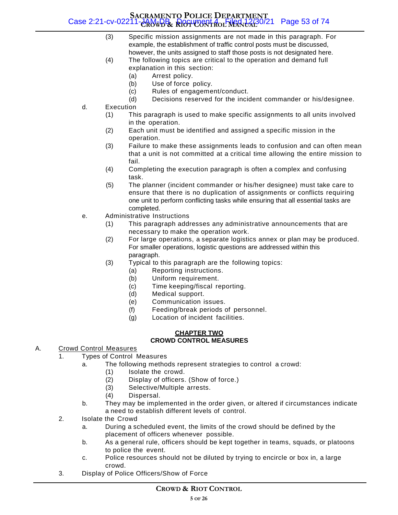#### **SACRAMENTO POLICE DEPARTMENT CROWD & RIOT CONTROL MANUAL** Case 2:21-cv-02211-JAM-DB Document 4 Filed 12/30/21 Page 53 of 74

- (3) Specific mission assignments are not made in this paragraph. For example, the establishment of traffic control posts must be discussed, however, the units assigned to staff those posts is not designated here.
- (4) The following topics are critical to the operation and demand full explanation in this section:
	- (a) Arrest policy.
	- (b) Use of force policy.
	- (c) Rules of engagement/conduct.
	- (d) Decisions reserved for the incident commander or his/designee.
- d. Execution
	- (1) This paragraph is used to make specific assignments to all units involved in the operation.
	- (2) Each unit must be identified and assigned a specific mission in the operation.
	- (3) Failure to make these assignments leads to confusion and can often mean that a unit is not committed at a critical time allowing the entire mission to fail.
	- (4) Completing the execution paragraph is often a complex and confusing task.
	- (5) The planner (incident commander or his/her designee) must take care to ensure that there is no duplication of assignments or conflicts requiring one unit to perform conflicting tasks while ensuring that all essential tasks are completed.
- e. Administrative Instructions
	- (1) This paragraph addresses any administrative announcements that are necessary to make the operation work.
	- (2) For large operations, a separate logistics annex or plan may be produced. For smaller operations, logistic questions are addressed within this paragraph.
	- (3) Typical to this paragraph are the following topics:
		- (a) Reporting instructions.
		- (b) Uniform requirement.
		- (c) Time keeping/fiscal reporting.
		- (d) Medical support.
		- (e) Communication issues.
		- (f) Feeding/break periods of personnel.
			- (g) Location of incident facilities.

#### **CHAPTER TWO CROWD CONTROL MEASURES**

#### A. Crowd Control Measures

- 1. Types of Control Measures
	- a. The following methods represent strategies to control a crowd:
		- (1) Isolate the crowd.
		- (2) Display of officers. (Show of force.)
		- (3) Selective/Multiple arrests.
		- (4) Dispersal.
	- b. They may be implemented in the order given, or altered if circumstances indicate a need to establish different levels of control.
- 2. Isolate the Crowd
	- a. During a scheduled event, the limits of the crowd should be defined by the placement of officers whenever possible.
	- b. As a general rule, officers should be kept together in teams, squads, or platoons to police the event.
	- c. Police resources should not be diluted by trying to encircle or box in, a large crowd.
- 3. Display of Police Officers/Show of Force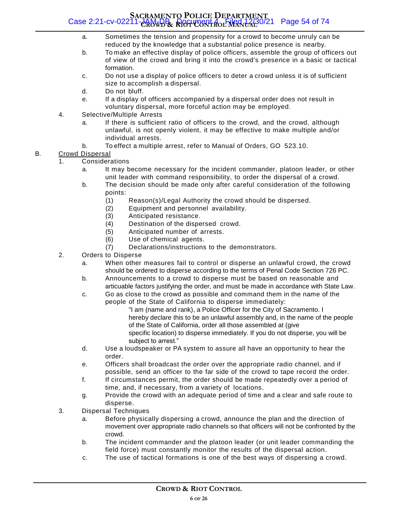#### **SACRAMENTO POLICE DEPARTMENT CROWD & RIOT CONTROL MANUAL** Case 2:21-cv-02211-JAM-DB Document 4 Filed 12/30/21 Page 54 of 74

- a. Sometimes the tension and propensity for a crowd to become unruly can be reduced by the knowledge that a substantial police presence is nearby.
- b. To make an effective display of police officers, assemble the group of officers out of view of the crowd and bring it into the crowd's presence in a basic or tactical formation.
- c. Do not use a display of police officers to deter a crowd unless it is of sufficient size to accomplish a dispersal.
- d. Do not bluff.
- e. If a display of officers accompanied by a dispersal order does not result in voluntary dispersal, more forceful action may be employed.
- 4. Selective/Multiple Arrests
	- a. If there is sufficient ratio of officers to the crowd, and the crowd, although unlawful, is not openly violent, it may be effective to make multiple and/or individual arrests.
	- b. To effect a multiple arrest, refer to Manual of Orders, GO 523.10.

#### B. Crowd Dispersal

- 1. Considerations
	- a. It may become necessary for the incident commander, platoon leader, or other unit leader with command responsibility, to order the dispersal of a crowd.
	- b. The decision should be made only after careful consideration of the following points:
		- (1) Reason(s)/Legal Authority the crowd should be dispersed.
		- (2) Equipment and personnel availability.
		- (3) Anticipated resistance.
		- (4) Destination of the dispersed crowd.
		- (5) Anticipated number of arrests.
		- (6) Use of chemical agents.
		- (7) Declarations/instructions to the demonstrators.
- 2. Orders to Disperse
	- a. When other measures fail to control or disperse an unlawful crowd, the crowd should be ordered to disperse according to the terms of Penal Code Section 726 PC.
	- b. Announcements to a crowd to disperse must be based on reasonable and articuable factors justifying the order, and must be made in accordance with State Law.
	- c. Go as close to the crowd as possible and command them in the name of the people of the State of California to disperse immediately:
		- "I am (name and rank), a Police Officer for the City of Sacramento. I hereby declare this to be an unlawful assembly and, in the name of the people of the State of California, order all those assembled at (give specific location) to disperse immediately. If you do not disperse, you will be subject to arrest."
	- d. Use a loudspeaker or PA system to assure all have an opportunity to hear the order.
	- e. Officers shall broadcast the order over the appropriate radio channel, and if possible, send an officer to the far side of the crowd to tape record the order.
	- f. If circumstances permit, the order should be made repeatedly over a period of time, and, if necessary, from a variety of locations.
	- g. Provide the crowd with an adequate period of time and a clear and safe route to disperse.
- 3. Dispersal Techniques
	- a. Before physically dispersing a crowd, announce the plan and the direction of movement over appropriate radio channels so that officers will not be confronted by the crowd.
	- b. The incident commander and the platoon leader (or unit leader commanding the field force) must constantly monitor the results of the dispersal action.
	- c. The use of tactical formations is one of the best ways of dispersing a crowd.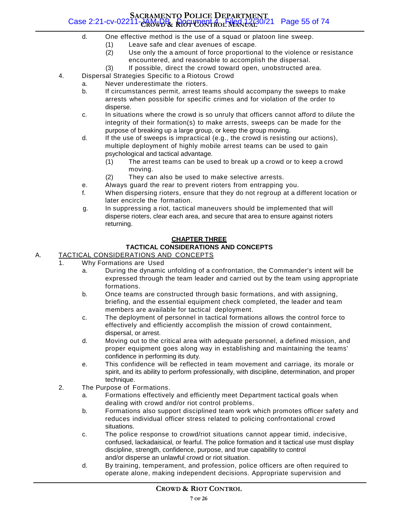#### **SACRAMENTO POLICE DEPARTMENT CROWD & RIOT CONTROL MANUAL** Case 2:21-cv-02211-JAM-DB Document 4 Filed 12/30/21 Page 55 of 74

- d. One effective method is the use of a squad or platoon line sweep.
	- (1) Leave safe and clear avenues of escape.
	- (2) Use only the a amount of force proportional to the violence or resistance encountered, and reasonable to accomplish the dispersal.
	- (3) If possible, direct the crowd toward open, unobstructed area.
- 4. Dispersal Strategies Specific to a Riotous Crowd
	- a. Never underestimate the rioters.
		- b. If circumstances permit, arrest teams should accompany the sweeps to make arrests when possible for specific crimes and for violation of the order to disperse.
		- c. In situations where the crowd is so unruly that officers cannot afford to dilute the integrity of their formation(s) to make arrests, sweeps can be made for the purpose of breaking up a large group, or keep the group moving.
		- d. If the use of sweeps is impractical (e.g., the crowd is resisting our actions), multiple deployment of highly mobile arrest teams can be used to gain psychological and tactical advantage.
			- (1) The arrest teams can be used to break up a crowd or to keep a crowd moving.
			- (2) They can also be used to make selective arrests.
		- e. Always guard the rear to prevent rioters from entrapping you.
		- f. When dispersing rioters, ensure that they do not regroup at a different location or later encircle the formation.
		- g. In suppressing a riot, tactical maneuvers should be implemented that will disperse rioters, clear each area, and secure that area to ensure against rioters returning.

#### **CHAPTER THREE**

#### **TACTICAL CONSIDERATIONS AND CONCEPTS**

#### A. TACTICAL CONSIDERATIONS AND CONCEPTS

- 1. Why Formations are Used
	- a. During the dynamic unfolding of a confrontation, the Commander's intent will be expressed through the team leader and carried out by the team using appropriate formations.
	- b. Once teams are constructed through basic formations, and with assigning, briefing, and the essential equipment check completed, the leader and team members are available for tactical deployment.
	- c. The deployment of personnel in tactical formations allows the control force to effectively and efficiently accomplish the mission of crowd containment, dispersal, or arrest.
	- d. Moving out to the critical area with adequate personnel, a defined mission, and proper equipment goes along way in establishing and maintaining the teams' confidence in performing its duty.
	- e. This confidence will be reflected in team movement and carriage, its morale or spirit, and its ability to perform professionally, with discipline, determination, and proper technique.
- 2. The Purpose of Formations.
	- a. Formations effectively and efficiently meet Department tactical goals when dealing with crowd and/or riot control problems.
	- b. Formations also support disciplined team work which promotes officer safety and reduces individual officer stress related to policing confrontational crowd situations.
	- c. The police response to crowd/riot situations cannot appear timid, indecisive, confused, lackadaisical, or fearful. The police formation and it tactical use must display discipline, strength, confidence, purpose, and true capability to control and/or disperse an unlawful crowd or riot situation.
	- d. By training, temperament, and profession, police officers are often required to operate alone, making independent decisions. Appropriate supervision and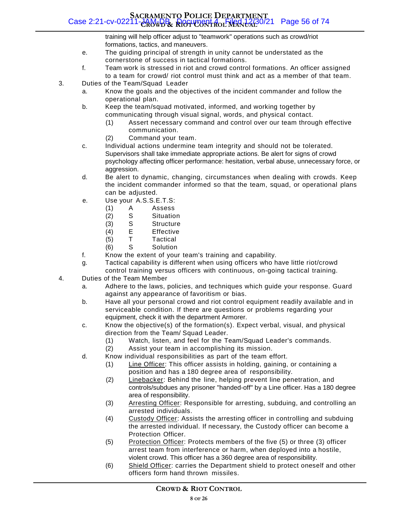#### **SACRAMENTO POLICE DEPARTMENT CROWD & RIOT CONTROL MANUAL** Case 2:21-cv-02211-JAM-DB Document 4 Filed 12/30/21 Page 56 of 74

training will help officer adjust to "teamwork" operations such as crowd/riot formations, tactics, and maneuvers.

- e. The guiding principal of strength in unity cannot be understated as the cornerstone of success in tactical formations.
- f. Team work is stressed in riot and crowd control formations. An officer assigned to a team for crowd/ riot control must think and act as a member of that team.
- 3. Duties of the Team/Squad Leader
	- a. Know the goals and the objectives of the incident commander and follow the operational plan.
	- b. Keep the team/squad motivated, informed, and working together by communicating through visual signal, words, and physical contact.
		- (1) Assert necessary command and control over our team through effective communication.
		- (2) Command your team.
	- c. Individual actions undermine team integrity and should not be tolerated. Supervisors shall take immediate appropriate actions. Be alert for signs of crowd psychology affecting officer performance: hesitation, verbal abuse, unnecessary force, or aggression.
	- d. Be alert to dynamic, changing, circumstances when dealing with crowds. Keep the incident commander informed so that the team, squad, or operational plans can be adjusted.
	- e. Use your A.S.S.E.T.S:
		- (1) A Assess
		- (2) S Situation
		- (3) S Structure
		- (4) E Effective
		- (5) T Tactical
		- (6) S Solution
	- f. Know the extent of your team's training and capability.
	- g. Tactical capability is different when using officers who have little riot/crowd control training versus officers with continuous, on-going tactical training.
- 4. Duties of the Team Member
	- a. Adhere to the laws, policies, and techniques which guide your response. Guard against any appearance of favoritism or bias.
	- b. Have all your personal crowd and riot control equipment readily available and in serviceable condition. If there are questions or problems regarding your equipment, check it with the department Armorer.
	- c. Know the objective(s) of the formation(s). Expect verbal, visual, and physical direction from the Team/ Squad Leader.
		- (1) Watch, listen, and feel for the Team/Squad Leader's commands.
			- (2) Assist your team in accomplishing its mission.
	- d. Know individual responsibilities as part of the team effort.
		- (1) Line Officer: This officer assists in holding, gaining, or containing a position and has a 180 degree area of responsibility.
		- (2) Linebacker: Behind the line, helping prevent line penetration, and controls/subdues any prisoner "handed-off" by a Line officer. Has a 180 degree area of responsibility.
		- (3) Arresting Officer: Responsible for arresting, subduing, and controlling an arrested individuals.
		- (4) Custody Officer: Assists the arresting officer in controlling and subduing the arrested individual. If necessary, the Custody officer can become a Protection Officer.
		- (5) Protection Officer: Protects members of the five (5) or three (3) officer arrest team from interference or harm, when deployed into a hostile, violent crowd. This officer has a 360 degree area of responsibility.
		- (6) Shield Officer: carries the Department shield to protect oneself and other officers form hand thrown missiles.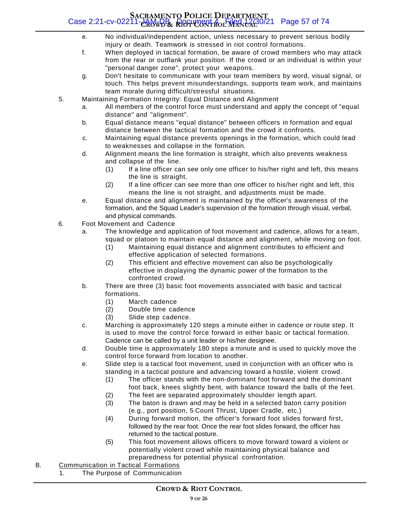#### **SACRAMENTO POLICE DEPARTMENT CROWD & RIOT CONTROL MANUAL** Case 2:21-cv-02211-JAM-DB Document 4 Filed 12/30/21 Page 57 of 74

- e. No individual/independent action, unless necessary to prevent serious bodily injury or death. Teamwork is stressed in riot control formations.
- f. When deployed in tactical formation, be aware of crowd members who may attack from the rear or outflank your position. If the crowd or an individual is within your "personal danger zone", protect your weapons.
- g. Don't hesitate to communicate with your team members by word, visual signal, or touch. This helps prevent misunderstandings, supports team work, and maintains team morale during difficult/stressful situations.
- 5. Maintaining Formation Integrity: Equal Distance and Alignment
	- a. All members of the control force must understand and apply the concept of "equal distance" and "alignment".
	- b. Equal distance means "equal distance" between officers in formation and equal distance between the tactical formation and the crowd it confronts.
	- c. Maintaining equal distance prevents openings in the formation, which could lead to weaknesses and collapse in the formation.
	- d. Alignment means the line formation is straight, which also prevents weakness and collapse of the line.
		- (1) If a line officer can see only one officer to his/her right and left, this means the line is straight.
		- (2) If a line officer can see more than one officer to his/her right and left, this means the line is not straight, and adjustments must be made.
	- e. Equal distance and alignment is maintained by the officer's awareness of the formation, and the Squad Leader's supervision of the formation through visual, verbal, and physical commands.
- 6. Foot Movement and Cadence
	- a. The knowledge and application of foot movement and cadence, allows for a team, squad or platoon to maintain equal distance and alignment, while moving on foot.
		- (1) Maintaining equal distance and alignment contributes to efficient and effective application of selected formations.
		- (2) This efficient and effective movement can also be psychologically effective in displaying the dynamic power of the formation to the confronted crowd.
	- b. There are three (3) basic foot movements associated with basic and tactical formations.
		- (1) March cadence
		- (2) Double time cadence
		- (3) Slide step cadence.
	- c. Marching is approximately 120 steps a minute either in cadence or route step. It is used to move the control force forward in either basic or tactical formation. Cadence can be called by a unit leader or his/her designee.
	- d. Double time is approximately 180 steps a minute and is used to quickly move the control force forward from location to another.
	- e. Slide step is a tactical foot movement, used in conjunction with an officer who is standing in a tactical posture and advancing toward a hostile, violent crowd.
		- (1) The officer stands with the non-dominant foot forward and the dominant foot back, knees slightly bent, with balance toward the balls of the feet.
			- (2) The feet are separated approximately shoulder length apart.
			- (3) The baton is drawn and may be held in a selected baton carry position (e.g., port position, 5 Count Thrust, Upper Cradle, etc.)
			- (4) During forward motion, the officer's forward foot slides forward first, followed by the rear foot. Once the rear foot slides forward, the officer has returned to the tactical posture.
			- (5) This foot movement allows officers to move forward toward a violent or potentially violent crowd while maintaining physical balance and preparedness for potential physical confrontation.
- B. Communication in Tactical Formations
	- 1. The Purpose of Communication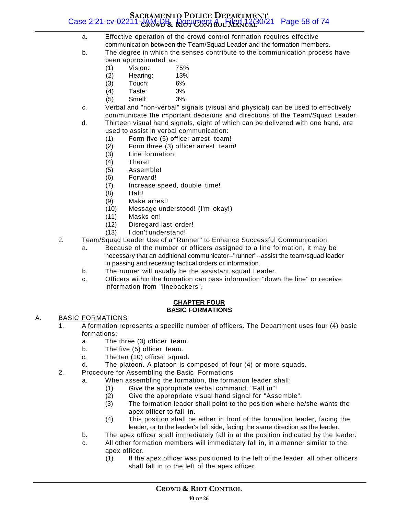#### **SACRAMENTO POLICE DEPARTMENT CROWD & RIOT CONTROL MANUAL** Case 2:21-cv-02211-JAM-DB Document 4 Filed 12/30/21 Page 58 of 74

- a. Effective operation of the crowd control formation requires effective communication between the Team/Squad Leader and the formation members.
- b. The degree in which the senses contribute to the communication process have been approximated as:
	- (1) Vision: 75%
	- (2) Hearing: 13%
	- (3) Touch: 6%
	- (4) Taste: 3%
	- (5) Smell: 3%
- c. Verbal and "non-verbal" signals (visual and physical) can be used to effectively communicate the important decisions and directions of the Team/Squad Leader.
- d. Thirteen visual hand signals, eight of which can be delivered with one hand, are used to assist in verbal communication:
	- (1) Form five (5) officer arrest team!
	- (2) Form three (3) officer arrest team!
	- (3) Line formation!
	- (4) There!
	- (5) Assemble!
	- (6) Forward!
	- (7) Increase speed, double time!
	- (8) Halt!
	- (9) Make arrest!
	- (10) Message understood! (I'm okay!)
	- (11) Masks on!
	- (12) Disregard last order!
	- (13) I don't understand!
- 2. Team/Squad Leader Use of a "Runner" to Enhance Successful Communication.
	- a. Because of the number or officers assigned to a line formation, it may be necessary that an additional communicator--"runner"--assist the team/squad leader in passing and receiving tactical orders or information.
	- b. The runner will usually be the assistant squad Leader.
	- c. Officers within the formation can pass information "down the line" or receive information from "linebackers".

#### **CHAPTER FOUR BASIC FORMATIONS**

#### A. BASIC FORMATIONS

- 1. A formation represents a specific number of officers. The Department uses four (4) basic formations:
	- a. The three (3) officer team.
	- b. The five (5) officer team.
	- c. The ten (10) officer squad.
	- d. The platoon. A platoon is composed of four (4) or more squads.
- 2. Procedure for Assembling the Basic Formations
	- a. When assembling the formation, the formation leader shall:
		- (1) Give the appropriate verbal command, "Fall in"!
		- (2) Give the appropriate visual hand signal for "Assemble".
		- (3) The formation leader shall point to the position where he/she wants the apex officer to fall in.
		- (4) This position shall be either in front of the formation leader, facing the leader, or to the leader's left side, facing the same direction as the leader.
	- b. The apex officer shall immediately fall in at the position indicated by the leader.
	- c. All other formation members will immediately fall in, in a manner similar to the apex officer.
		- (1) If the apex officer was positioned to the left of the leader, all other officers shall fall in to the left of the apex officer.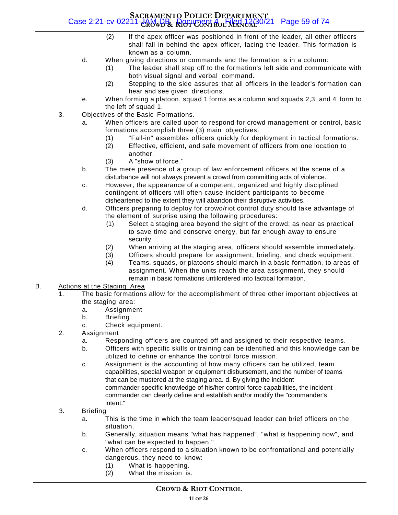#### **SACRAMENTO POLICE DEPARTMENT CROWD & RIOT CONTROL MANUAL** Case 2:21-cv-02211-JAM-DB Document 4 Filed 12/30/21 Page 59 of 74

- (2) If the apex officer was positioned in front of the leader, all other officers shall fall in behind the apex officer, facing the leader. This formation is known as a column.
- d. When giving directions or commands and the formation is in a column:
	- (1) The leader shall step off to the formation's left side and communicate with both visual signal and verbal command.
	- (2) Stepping to the side assures that all officers in the leader's formation can hear and see given directions.
- e. When forming a platoon, squad 1 forms as a column and squads 2,3, and 4 form to the left of squad 1.
- 3. Objectives of the Basic Formations.
	- a. When officers are called upon to respond for crowd management or control, basic formations accomplish three (3) main objectives.
		- (1) "Fall-in" assembles officers quickly for deployment in tactical formations.
		- (2) Effective, efficient, and safe movement of officers from one location to another.
		- (3) A "show of force."
	- b. The mere presence of a group of law enforcement officers at the scene of a disturbance will not always prevent a crowd from committing acts of violence.
	- c. However, the appearance of a competent, organized and highly disciplined contingent of officers will often cause incident participants to become disheartened to the extent they will abandon their disruptive activities.
	- d. Officers preparing to deploy for crowd/riot control duty should take advantage of the element of surprise using the following procedures:
		- (1) Select a staging area beyond the sight of the crowd; as near as practical to save time and conserve energy, but far enough away to ensure security.
		- (2) When arriving at the staging area, officers should assemble immediately.
		- (3) Officers should prepare for assignment, briefing, and check equipment.
		- (4) Teams, squads, or platoons should march in a basic formation, to areas of assignment. When the units reach the area assignment, they should remain in basic formations untilordered into tactical formation.

#### B. Actions at the Staging Area

- 1. The basic formations allow for the accomplishment of three other important objectives at the staging area:
	- a. Assignment
	- b. Briefing
	- c. Check equipment.
- 2. Assignment
	- a. Responding officers are counted off and assigned to their respective teams.
	- b. Officers with specific skills or training can be identified and this knowledge can be utilized to define or enhance the control force mission.
	- c. Assignment is the accounting of how many officers can be utilized, team capabilities, special weapon or equipment disbursement, and the number of teams that can be mustered at the staging area. d. By giving the incident commander specific knowledge of his/her control force capabilities, the incident commander can clearly define and establish and/or modify the "commander's intent."
- 3. Briefing
	- a. This is the time in which the team leader/squad leader can brief officers on the situation.
	- b. Generally, situation means "what has happened", "what is happening now", and "what can be expected to happen."
	- c. When officers respond to a situation known to be confrontational and potentially dangerous, they need to know:
		- (1) What is happening.
		- (2) What the mission is.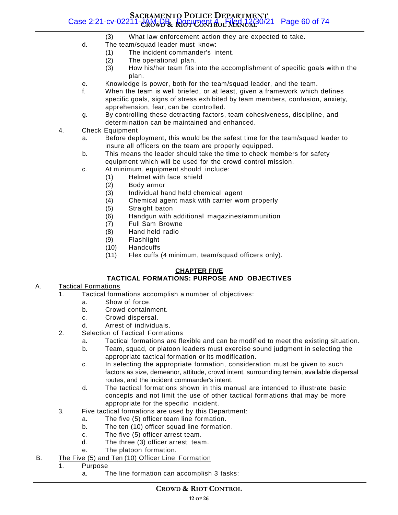#### **SACRAMENTO POLICE DEPARTMENT CROWD & RIOT CONTROL MANUAL** Case 2:21-cv-02211-JAM-DB Document 4 Filed 12/30/21 Page 60 of 74

- (3) What law enforcement action they are expected to take.
- d. The team/squad leader must know:
	- (1) The incident commander's intent.
	- (2) The operational plan.
	- (3) How his/her team fits into the accomplishment of specific goals within the plan.
- e. Knowledge is power, both for the team/squad leader, and the team.
- f. When the team is well briefed, or at least, given a framework which defines specific goals, signs of stress exhibited by team members, confusion, anxiety, apprehension, fear, can be controlled.
- g. By controlling these detracting factors, team cohesiveness, discipline, and determination can be maintained and enhanced.
- 4. Check Equipment
	- a. Before deployment, this would be the safest time for the team/squad leader to insure all officers on the team are properly equipped.
	- b. This means the leader should take the time to check members for safety equipment which will be used for the crowd control mission.
	- c. At minimum, equipment should include:
		- (1) Helmet with face shield
			- (2) Body armor
			- (3) Individual hand held chemical agent
			- (4) Chemical agent mask with carrier worn properly
			- (5) Straight baton
			- (6) Handgun with additional magazines/ammunition
			- (7) Full Sam Browne
			- (8) Hand held radio
			- (9) Flashlight
			- (10) Handcuffs
			- (11) Flex cuffs (4 minimum, team/squad officers only).

#### **CHAPTER FIVE**

#### **TACTICAL FORMATIONS: PURPOSE AND OBJECTIVES**

#### A. Tactical Formations

- 1. Tactical formations accomplish a number of objectives:
	- a. Show of force.
	- b. Crowd containment.
	- c. Crowd dispersal.
	- d. Arrest of individuals.
- 2. Selection of Tactical Formations
	- a. Tactical formations are flexible and can be modified to meet the existing situation.
	- b. Team, squad, or platoon leaders must exercise sound judgment in selecting the appropriate tactical formation or its modification.
	- c. In selecting the appropriate formation, consideration must be given to such factors as size, demeanor, attitude, crowd intent, surrounding terrain, available dispersal routes, and the incident commander's intent.
	- d. The tactical formations shown in this manual are intended to illustrate basic concepts and not limit the use of other tactical formations that may be more appropriate for the specific incident.
- 3. Five tactical formations are used by this Department:
	- a. The five (5) officer team line formation.
	- b. The ten (10) officer squad line formation.
	- c. The five (5) officer arrest team.
	- d. The three (3) officer arrest team.
	- e. The platoon formation.
- B. The Five (5) and Ten (10) Officer Line Formation
	- 1. Purpose
		- a. The line formation can accomplish 3 tasks: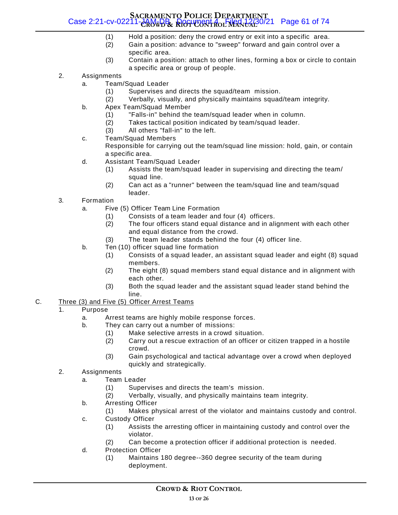#### **SACRAMENTO POLICE DEPARTMENT CROWD & RIOT CONTROL MANUAL** Case 2:21-cv-02211-JAM-DB Document 4 Filed 12/30/21 Page 61 of 74

- (1) Hold a position: deny the crowd entry or exit into a specific area.
- (2) Gain a position: advance to "sweep" forward and gain control over a specific area.
- (3) Contain a position: attach to other lines, forming a box or circle to contain a specific area or group of people.
- 2. Assignments
	- a. Team/Squad Leader
		- (1) Supervises and directs the squad/team mission.
		- (2) Verbally, visually, and physically maintains squad/team integrity.
	- b. Apex Team/Squad Member
		- (1) "Falls-in" behind the team/squad leader when in column.
		- (2) Takes tactical position indicated by team/squad leader.
		- (3) All others "fall-in" to the left.
	- c. Team/Squad Members

Responsible for carrying out the team/squad line mission: hold, gain, or contain a specific area.

- d. Assistant Team/Squad Leader
	- (1) Assists the team/squad leader in supervising and directing the team/ squad line.
	- (2) Can act as a "runner" between the team/squad line and team/squad leader.
- 3. Formation
	- a. Five (5) Officer Team Line Formation
		- (1) Consists of a team leader and four (4) officers.
		- (2) The four officers stand equal distance and in alignment with each other and equal distance from the crowd.
		- (3) The team leader stands behind the four (4) officer line.
	- b. Ten (10) officer squad line formation
		- (1) Consists of a squad leader, an assistant squad leader and eight (8) squad members.
		- (2) The eight (8) squad members stand equal distance and in alignment with each other.
		- (3) Both the squad leader and the assistant squad leader stand behind the line.
- C. Three (3) and Five (5) Officer Arrest Teams
	- 1. Purpose
		- a. Arrest teams are highly mobile response forces.
		- b. They can carry out a number of missions:
			- (1) Make selective arrests in a crowd situation.
			- (2) Carry out a rescue extraction of an officer or citizen trapped in a hostile crowd.
			- (3) Gain psychological and tactical advantage over a crowd when deployed quickly and strategically.
	- 2. Assignments
		- a. Team Leader
			- (1) Supervises and directs the team's mission.
			- (2) Verbally, visually, and physically maintains team integrity.
		- b. Arresting Officer
			- (1) Makes physical arrest of the violator and maintains custody and control.
		- c. Custody Officer
			- (1) Assists the arresting officer in maintaining custody and control over the violator.
			- (2) Can become a protection officer if additional protection is needed.
		- d. Protection Officer
			- (1) Maintains 180 degree--360 degree security of the team during deployment.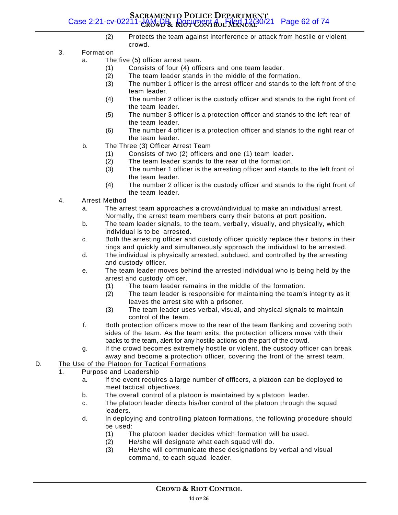#### **SACRAMENTO POLICE DEPARTMENT CROWD & RIOT CONTROL MANUAL** Case 2:21-cv-02211-JAM-DB Document 4 Filed 12/30/21 Page 62 of 74

- (2) Protects the team against interference or attack from hostile or violent crowd.
- 3. Formation
	- a. The five (5) officer arrest team.
		- (1) Consists of four (4) officers and one team leader.
		- (2) The team leader stands in the middle of the formation.
		- (3) The number 1 officer is the arrest officer and stands to the left front of the team leader.
		- (4) The number 2 officer is the custody officer and stands to the right front of the team leader.
		- (5) The number 3 officer is a protection officer and stands to the left rear of the team leader.
		- (6) The number 4 officer is a protection officer and stands to the right rear of the team leader.
	- b. The Three (3) Officer Arrest Team
		- (1) Consists of two (2) officers and one (1) team leader.
		- (2) The team leader stands to the rear of the formation.
		- (3) The number 1 officer is the arresting officer and stands to the left front of the team leader.
		- (4) The number 2 officer is the custody officer and stands to the right front of the team leader.
- 4. Arrest Method
	- a. The arrest team approaches a crowd/individual to make an individual arrest. Normally, the arrest team members carry their batons at port position.
	- b. The team leader signals, to the team, verbally, visually, and physically, which individual is to be arrested.
	- c. Both the arresting officer and custody officer quickly replace their batons in their rings and quickly and simultaneously approach the individual to be arrested.
	- d. The individual is physically arrested, subdued, and controlled by the arresting and custody officer.
	- e. The team leader moves behind the arrested individual who is being held by the arrest and custody officer.
		- (1) The team leader remains in the middle of the formation.
		- (2) The team leader is responsible for maintaining the team's integrity as it leaves the arrest site with a prisoner.
		- (3) The team leader uses verbal, visual, and physical signals to maintain control of the team.
	- f. Both protection officers move to the rear of the team flanking and covering both sides of the team. As the team exits, the protection officers move with their backs to the team, alert for any hostile actions on the part of the crowd.
	- g. If the crowd becomes extremely hostile or violent, the custody officer can break away and become a protection officer, covering the front of the arrest team.
- D. The Use of the Platoon for Tactical Formations

#### 1. Purpose and Leadership

- a. If the event requires a large number of officers, a platoon can be deployed to meet tactical objectives.
- b. The overall control of a platoon is maintained by a platoon leader.
- c. The platoon leader directs his/her control of the platoon through the squad leaders.
- d. In deploying and controlling platoon formations, the following procedure should be used:
	- (1) The platoon leader decides which formation will be used.
	- (2) He/she will designate what each squad will do.
	- (3) He/she will communicate these designations by verbal and visual command, to each squad leader.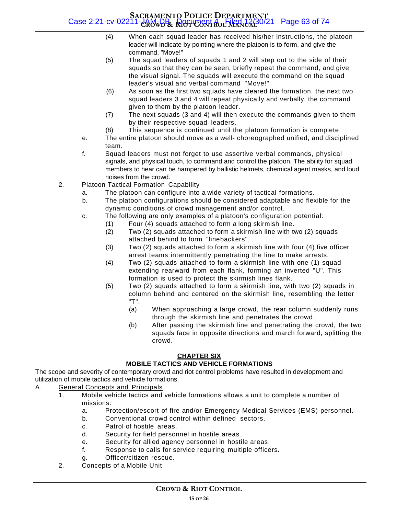#### **SACRAMENTO POLICE DEPARTMENT CROWD & RIOT CONTROL MANUAL** Case 2:21-cv-02211-JAM-DB Document 4 Filed 12/30/21 Page 63 of 74

- (4) When each squad leader has received his/her instructions, the platoon leader will indicate by pointing where the platoon is to form, and give the command, "Move!"
- (5) The squad leaders of squads 1 and 2 will step out to the side of their squads so that they can be seen, briefly repeat the command, and give the visual signal. The squads will execute the command on the squad leader's visual and verbal command "Move!"
- (6) As soon as the first two squads have cleared the formation, the next two squad leaders 3 and 4 will repeat physically and verbally, the command given to them by the platoon leader.
- (7) The next squads (3 and 4) will then execute the commands given to them by their respective squad leaders.
- (8) This sequence is continued until the platoon formation is complete.
- e. The entire platoon should move as a well- choreographed unified, and disciplined team.
- f. Squad leaders must not forget to use assertive verbal commands, physical signals, and physical touch, to command and control the platoon. The ability for squad members to hear can be hampered by ballistic helmets, chemical agent masks, and loud noises from the crowd.
- 2. Platoon Tactical Formation Capability
	- a. The platoon can configure into a wide variety of tactical formations.
	- b. The platoon configurations should be considered adaptable and flexible for the dynamic conditions of crowd management and/or control.
	- c. The following are only examples of a platoon's configuration potential:
		- (1) Four (4) squads attached to form a long skirmish line.
		- (2) Two (2) squads attached to form a skirmish line with two (2) squads attached behind to form "linebackers".
		- (3) Two (2) squads attached to form a skirmish line with four (4) five officer arrest teams intermittently penetrating the line to make arrests.
		- (4) Two (2) squads attached to form a skirmish line with one (1) squad extending rearward from each flank, forming an inverted "U". This formation is used to protect the skirmish lines flank.
		- (5) Two (2) squads attached to form a skirmish line, with two (2) squads in column behind and centered on the skirmish line, resembling the letter "T".
			- (a) When approaching a large crowd, the rear column suddenly runs through the skirmish line and penetrates the crowd.
			- (b) After passing the skirmish line and penetrating the crowd, the two squads face in opposite directions and march forward, splitting the crowd.

#### **CHAPTER SIX**

#### **MOBILE TACTICS AND VEHICLE FORMATIONS**

The scope and severity of contemporary crowd and riot control problems have resulted in development and utilization of mobile tactics and vehicle formations.

#### A. General Concepts and Principals

- 1. Mobile vehicle tactics and vehicle formations allows a unit to complete a number of missions:
	- a. Protection/escort of fire and/or Emergency Medical Services (EMS) personnel.
	- b. Conventional crowd control within defined sectors.
	- c. Patrol of hostile areas.
	- d. Security for field personnel in hostile areas.
	- e. Security for allied agency personnel in hostile areas.
	- f. Response to calls for service requiring multiple officers.
	- g. Officer/citizen rescue.
- 2. Concepts of a Mobile Unit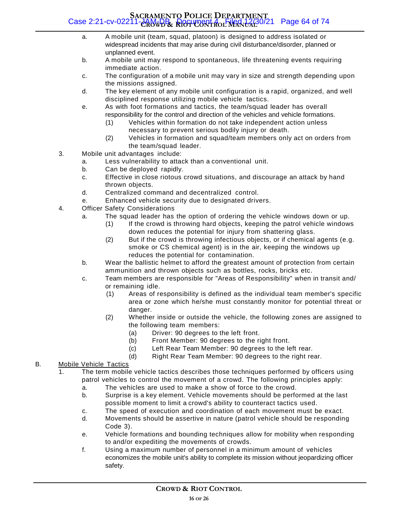#### **SACRAMENTO POLICE DEPARTMENT CROWD & RIOT CONTROL MANUAL** Case 2:21-cv-02211-JAM-DB Document 4 Filed 12/30/21 Page 64 of 74

- a. A mobile unit (team, squad, platoon) is designed to address isolated or widespread incidents that may arise during civil disturbance/disorder, planned or unplanned event.
- b. A mobile unit may respond to spontaneous, life threatening events requiring immediate action.
- c. The configuration of a mobile unit may vary in size and strength depending upon the missions assigned.
- d. The key element of any mobile unit configuration is a rapid, organized, and well disciplined response utilizing mobile vehicle tactics.
- e. As with foot formations and tactics, the team/squad leader has overall responsibility for the control and direction of the vehicles and vehicle formations.
	- (1) Vehicles within formation do not take independent action unless necessary to prevent serious bodily injury or death.
	- (2) Vehicles in formation and squad/team members only act on orders from the team/squad leader.
- 3. Mobile unit advantages include:
	- a. Less vulnerability to attack than a conventional unit.
	- b. Can be deployed rapidly.
	- c. Effective in close riotous crowd situations, and discourage an attack by hand thrown objects.
	- d. Centralized command and decentralized control.
	- e. Enhanced vehicle security due to designated drivers.
- 4. Officer Safety Considerations
	- a. The squad leader has the option of ordering the vehicle windows down or up.
		- (1) If the crowd is throwing hard objects, keeping the patrol vehicle windows down reduces the potential for injury from shattering glass.
		- (2) But if the crowd is throwing infectious objects, or if chemical agents (e.g. smoke or CS chemical agent) is in the air, keeping the windows up reduces the potential for contamination.
	- b. Wear the ballistic helmet to afford the greatest amount of protection from certain ammunition and thrown objects such as bottles, rocks, bricks etc.
	- c. Team members are responsible for "Areas of Responsibility" when in transit and/ or remaining idle.
		- (1) Areas of responsibility is defined as the individual team member's specific area or zone which he/she must constantly monitor for potential threat or danger.
		- (2) Whether inside or outside the vehicle, the following zones are assigned to the following team members:
			- (a) Driver: 90 degrees to the left front.
			- (b) Front Member: 90 degrees to the right front.
			- (c) Left Rear Team Member: 90 degrees to the left rear.
			- (d) Right Rear Team Member: 90 degrees to the right rear.

#### B. Mobile Vehicle Tactics

- 1. The term mobile vehicle tactics describes those techniques performed by officers using patrol vehicles to control the movement of a crowd. The following principles apply:
	- a. The vehicles are used to make a show of force to the crowd.
	- b. Surprise is a key element. Vehicle movements should be performed at the last possible moment to limit a crowd's ability to counteract tactics used.
	- c. The speed of execution and coordination of each movement must be exact.
	- d. Movements should be assertive in nature (patrol vehicle should be responding Code 3).
	- e. Vehicle formations and bounding techniques allow for mobility when responding to and/or expediting the movements of crowds.
	- f. Using a maximum number of personnel in a minimum amount of vehicles economizes the mobile unit's ability to complete its mission without jeopardizing officer safety.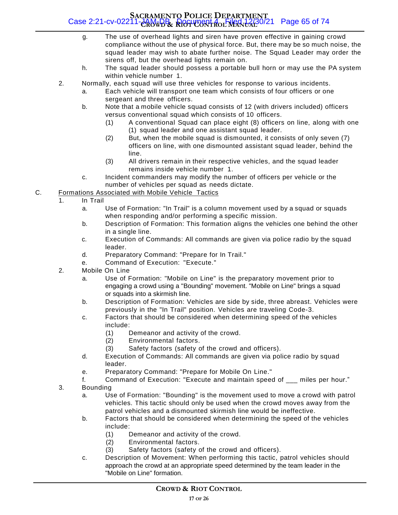#### **SACRAMENTO POLICE DEPARTMENT CROWD & RIOT CONTROL MANUAL** Case 2:21-cv-02211-JAM-DB Document 4 Filed 12/30/21 Page 65 of 74

- g. The use of overhead lights and siren have proven effective in gaining crowd compliance without the use of physical force. But, there may be so much noise, the squad leader may wish to abate further noise. The Squad Leader may order the sirens off, but the overhead lights remain on.
- h. The squad leader should possess a portable bull horn or may use the PA system within vehicle number 1.
- 2. Normally, each squad will use three vehicles for response to various incidents.
	- a. Each vehicle will transport one team which consists of four officers or one sergeant and three officers.
	- b. Note that a mobile vehicle squad consists of 12 (with drivers included) officers versus conventional squad which consists of 10 officers.
		- (1) A conventional Squad can place eight (8) officers on line, along with one (1) squad leader and one assistant squad leader.
		- (2) But, when the mobile squad is dismounted, it consists of only seven (7) officers on line, with one dismounted assistant squad leader, behind the line.
		- (3) All drivers remain in their respective vehicles, and the squad leader remains inside vehicle number 1.
	- c. Incident commanders may modify the number of officers per vehicle or the number of vehicles per squad as needs dictate.
- C. Formations Associated with Mobile Vehicle Tactics
	- 1. In Trail
		- a. Use of Formation: "In Trail" is a column movement used by a squad or squads when responding and/or performing a specific mission.
		- b. Description of Formation: This formation aligns the vehicles one behind the other in a single line.
		- c. Execution of Commands: All commands are given via police radio by the squad leader.
		- d. Preparatory Command: "Prepare for In Trail."
		- e. Command of Execution: "Execute."
	- 2. Mobile On Line
		- a. Use of Formation: "Mobile on Line" is the preparatory movement prior to engaging a crowd using a "Bounding" movement. "Mobile on Line" brings a squad or squads into a skirmish line.
		- b. Description of Formation: Vehicles are side by side, three abreast. Vehicles were previously in the "In Trail" position. Vehicles are traveling Code-3.
		- c. Factors that should be considered when determining speed of the vehicles include:
			- (1) Demeanor and activity of the crowd.
			- (2) Environmental factors.
			- (3) Safety factors (safety of the crowd and officers).
		- d. Execution of Commands: All commands are given via police radio by squad leader.
		- e. Preparatory Command: "Prepare for Mobile On Line."
		- f. Command of Execution: "Execute and maintain speed of \_\_\_ miles per hour."
	- 3. Bounding
		- a. Use of Formation: "Bounding" is the movement used to move a crowd with patrol vehicles. This tactic should only be used when the crowd moves away from the patrol vehicles and a dismounted skirmish line would be ineffective.
		- b. Factors that should be considered when determining the speed of the vehicles include:
			- (1) Demeanor and activity of the crowd.
			- (2) Environmental factors.
			- (3) Safety factors (safety of the crowd and officers).
		- c. Description of Movement: When performing this tactic, patrol vehicles should approach the crowd at an appropriate speed determined by the team leader in the "Mobile on Line" formation.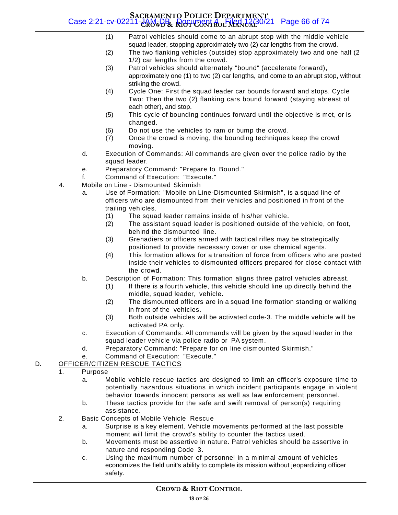#### **SACRAMENTO POLICE DEPARTMENT CROWD & RIOT CONTROL MANUAL** Case 2:21-cv-02211-JAM-DB Document 4 Filed 12/30/21 Page 66 of 74

- (1) Patrol vehicles should come to an abrupt stop with the middle vehicle squad leader, stopping approximately two (2) car lengths from the crowd.
- (2) The two flanking vehicles (outside) stop approximately two and one half (2 1/2) car lengths from the crowd.
- (3) Patrol vehicles should alternately "bound" (accelerate forward), approximately one (1) to two (2) car lengths, and come to an abrupt stop, without striking the crowd.
- (4) Cycle One: First the squad leader car bounds forward and stops. Cycle Two: Then the two (2) flanking cars bound forward (staying abreast of each other), and stop.
- (5) This cycle of bounding continues forward until the objective is met, or is changed.
- (6) Do not use the vehicles to ram or bump the crowd.
- (7) Once the crowd is moving, the bounding techniques keep the crowd moving.
- d. Execution of Commands: All commands are given over the police radio by the squad leader.
- e. Preparatory Command: "Prepare to Bound."
- f. Command of Execution: "Execute."
- 4. Mobile on Line Dismounted Skirmish
	- a. Use of Formation: "Mobile on Line-Dismounted Skirmish", is a squad line of officers who are dismounted from their vehicles and positioned in front of the trailing vehicles.
		- (1) The squad leader remains inside of his/her vehicle.
		- (2) The assistant squad leader is positioned outside of the vehicle, on foot, behind the dismounted line.
		- (3) Grenadiers or officers armed with tactical rifles may be strategically positioned to provide necessary cover or use chemical agents.
		- (4) This formation allows for a transition of force from officers who are posted inside their vehicles to dismounted officers prepared for close contact with the crowd.
	- b. Description of Formation: This formation aligns three patrol vehicles abreast.
		- (1) If there is a fourth vehicle, this vehicle should line up directly behind the middle, squad leader, vehicle.
		- (2) The dismounted officers are in a squad line formation standing or walking in front of the vehicles.
		- (3) Both outside vehicles will be activated code-3. The middle vehicle will be activated PA only.
	- c. Execution of Commands: All commands will be given by the squad leader in the squad leader vehicle via police radio or PA system.
	- d. Preparatory Command: "Prepare for on line dismounted Skirmish."
	- e. Command of Execution: "Execute."

#### D. OFFICER/CITIZEN RESCUE TACTICS

- 1. Purpose
	- a. Mobile vehicle rescue tactics are designed to limit an officer's exposure time to potentially hazardous situations in which incident participants engage in violent behavior towards innocent persons as well as law enforcement personnel.
	- b. These tactics provide for the safe and swift removal of person(s) requiring assistance.
- 2. Basic Concepts of Mobile Vehicle Rescue
	- a. Surprise is a key element. Vehicle movements performed at the last possible moment will limit the crowd's ability to counter the tactics used.
	- b. Movements must be assertive in nature. Patrol vehicles should be assertive in nature and responding Code 3.
	- c. Using the maximum number of personnel in a minimal amount of vehicles economizes the field unit's ability to complete its mission without jeopardizing officer safety.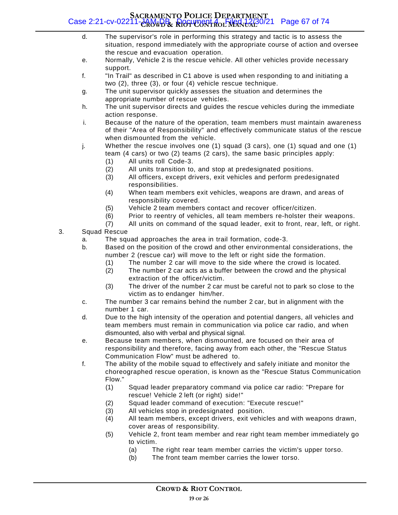#### **SACRAMENTO POLICE DEPARTMENT CROWD & RIOT CONTROL MANUAL** Case 2:21-cv-02211-JAM-DB Document 4 Filed 12/30/21 Page 67 of 74

- d. The supervisor's role in performing this strategy and tactic is to assess the situation, respond immediately with the appropriate course of action and oversee the rescue and evacuation operation.
- e. Normally, Vehicle 2 is the rescue vehicle. All other vehicles provide necessary support.
- f. "In Trail" as described in C1 above is used when responding to and initiating a two (2), three (3), or four (4) vehicle rescue technique.
- g. The unit supervisor quickly assesses the situation and determines the appropriate number of rescue vehicles.
- h. The unit supervisor directs and guides the rescue vehicles during the immediate action response.
- i. Because of the nature of the operation, team members must maintain awareness of their "Area of Responsibility" and effectively communicate status of the rescue when dismounted from the vehicle.
- j. Whether the rescue involves one (1) squad (3 cars), one (1) squad and one (1) team (4 cars) or two (2) teams (2 cars), the same basic principles apply:
	- (1) All units roll Code-3.
	- (2) All units transition to, and stop at predesignated positions.
	- (3) All officers, except drivers, exit vehicles and perform predesignated responsibilities.
	- (4) When team members exit vehicles, weapons are drawn, and areas of responsibility covered.
	- (5) Vehicle 2 team members contact and recover officer/citizen.
	- (6) Prior to reentry of vehicles, all team members re-holster their weapons.
	- (7) All units on command of the squad leader, exit to front, rear, left, or right.
- 3. Squad Rescue
	- a. The squad approaches the area in trail formation, code-3.
	- b. Based on the position of the crowd and other environmental considerations, the number 2 (rescue car) will move to the left or right side the formation.
		- (1) The number 2 car will move to the side where the crowd is located.
		- (2) The number 2 car acts as a buffer between the crowd and the physical extraction of the officer/victim.
		- (3) The driver of the number 2 car must be careful not to park so close to the victim as to endanger him/her.
	- c. The number 3 car remains behind the number 2 car, but in alignment with the number 1 car.
	- d. Due to the high intensity of the operation and potential dangers, all vehicles and team members must remain in communication via police car radio, and when dismounted, also with verbal and physical signal.
	- e. Because team members, when dismounted, are focused on their area of responsibility and therefore, facing away from each other, the "Rescue Status Communication Flow" must be adhered to.
	- f. The ability of the mobile squad to effectively and safely initiate and monitor the choreographed rescue operation, is known as the "Rescue Status Communication Flow."
		- (1) Squad leader preparatory command via police car radio: "Prepare for rescue! Vehicle 2 left (or right) side!"
		- (2) Squad leader command of execution: "Execute rescue!"
		- (3) All vehicles stop in predesignated position.
		- (4) All team members, except drivers, exit vehicles and with weapons drawn, cover areas of responsibility.
		- (5) Vehicle 2, front team member and rear right team member immediately go to victim.
			- (a) The right rear team member carries the victim's upper torso.
			- (b) The front team member carries the lower torso.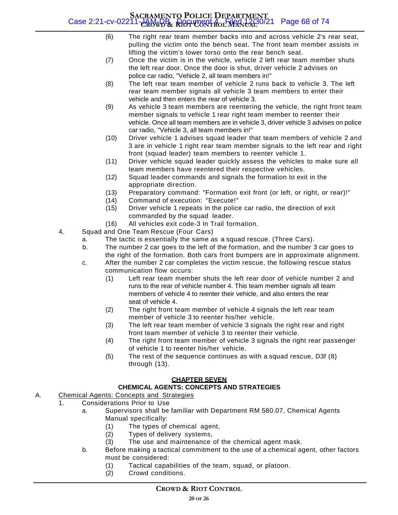#### **SACRAMENTO POLICE DEPARTMENT CROWD & RIOT CONTROL MANUAL** Case 2:21-cv-02211-JAM-DB Document 4 Filed 12/30/21 Page 68 of 74

- (6) The right rear team member backs into and across vehicle 2's rear seat, pulling the victim onto the bench seat. The front team member assists in lifting the victim's lower torso onto the rear bench seat.
- (7) Once the victim is in the vehicle, vehicle 2 left rear team member shuts the left rear door. Once the door is shut, driver vehicle 2 advises on police car radio, "Vehicle 2, all team members in!"
- (8) The left rear team member of vehicle 2 runs back to vehicle 3. The left rear team member signals all vehicle 3 team members to enter their vehicle and then enters the rear of vehicle 3.
- (9) As vehicle 3 team members are reentering the vehicle, the right front team member signals to vehicle 1 rear right team member to reenter their vehicle. Once all team members are in vehicle 3, driver vehicle 3 advises on police car radio, "Vehicle 3, all team members in!"
- (10) Driver vehicle 1 advises squad leader that team members of vehicle 2 and 3 are in vehicle 1 right rear team member signals to the left rear and right front (squad leader) team members to reenter vehicle 1.
- (11) Driver vehicle squad leader quickly assess the vehicles to make sure all team members have reentered their respective vehicles.
- (12) Squad leader commands and signals the formation to exit in the appropriate direction.
- (13) Preparatory command: "Formation exit front (or left, or right, or rear)!"
- (14) Command of execution: "Execute!"
- (15) Driver vehicle 1 repeats in the police car radio, the direction of exit commanded by the squad leader.
- (16) All vehicles exit code-3 In Trail formation.
- 4. Squad and One Team Rescue (Four Cars)
	- a. The tactic is essentially the same as a squad rescue. (Three Cars).
	- b. The number 2 car goes to the left of the formation, and the number 3 car goes to the right of the formation. Both cars front bumpers are in approximate alignment.
	- c. After the number 2 car completes the victim rescue, the following rescue status communication flow occurs:
		- (1) Left rear team member shuts the left rear door of vehicle number 2 and runs to the rear of vehicle number 4. This team member signals all team members of vehicle 4 to reenter their vehicle, and also enters the rear seat of vehicle 4.
		- (2) The right front team member of vehicle 4 signals the left rear team member of vehicle 3 to reenter his/her vehicle.
		- (3) The left rear team member of vehicle 3 signals the right rear and right front team member of vehicle 3 to reenter their vehicle.
		- (4) The right front team member of vehicle 3 signals the right rear passenger of vehicle 1 to reenter his/her vehicle.
		- (5) The rest of the sequence continues as with a squad rescue, D3f (8) through (13).

#### **CHAPTER SEVEN**

#### **CHEMICAL AGENTS: CONCEPTS AND STRATEGIES**

- A. Chemical Agents: Concepts and Strategies
	- 1. Considerations Prior to Use
		- a. Supervisors shall be familiar with Department RM 580.07, Chemical Agents Manual specifically:
			- (1) The types of chemical agent,
			- (2) Types of delivery systems,
			- (3) The use and maintenance of the chemical agent mask.
		- b. Before making a tactical commitment to the use of a chemical agent, other factors must be considered:
			- (1) Tactical capabilities of the team, squad, or platoon.
			- (2) Crowd conditions.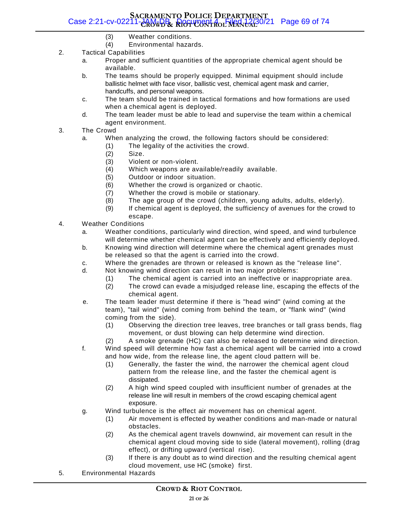#### **SACRAMENTO POLICE DEPARTMENT CROWD & RIOT CONTROL MANUAL** Case 2:21-cv-02211-JAM-DB Document 4 Filed 12/30/21 Page 69 of 74

- (3) Weather conditions.
- (4) Environmental hazards.
- 2. Tactical Capabilities
	- a. Proper and sufficient quantities of the appropriate chemical agent should be available.
	- b. The teams should be properly equipped. Minimal equipment should include ballistic helmet with face visor, ballistic vest, chemical agent mask and carrier, handcuffs, and personal weapons.
	- c. The team should be trained in tactical formations and how formations are used when a chemical agent is deployed.
	- d. The team leader must be able to lead and supervise the team within a chemical agent environment.
- 3. The Crowd
	- a. When analyzing the crowd, the following factors should be considered:
		- (1) The legality of the activities the crowd.
		- (2) Size.
		- (3) Violent or non-violent.
		- (4) Which weapons are available/readily available.
		- (5) Outdoor or indoor situation.
		- (6) Whether the crowd is organized or chaotic.
		- (7) Whether the crowd is mobile or stationary.
		- (8) The age group of the crowd (children, young adults, adults, elderly).
		- (9) If chemical agent is deployed, the sufficiency of avenues for the crowd to escape.
- 4. Weather Conditions
	- a. Weather conditions, particularly wind direction, wind speed, and wind turbulence will determine whether chemical agent can be effectively and efficiently deployed.
	- b. Knowing wind direction will determine where the chemical agent grenades must be released so that the agent is carried into the crowd.
	- c. Where the grenades are thrown or released is known as the "release line".
	- d. Not knowing wind direction can result in two major problems:
		- (1) The chemical agent is carried into an ineffective or inappropriate area.
		- (2) The crowd can evade a misjudged release line, escaping the effects of the chemical agent.
	- e. The team leader must determine if there is "head wind" (wind coming at the team), "tail wind" (wind coming from behind the team, or "flank wind" (wind coming from the side).
		- (1) Observing the direction tree leaves, tree branches or tall grass bends, flag movement, or dust blowing can help determine wind direction.
		- (2) A smoke grenade (HC) can also be released to determine wind direction.
	- f. Wind speed will determine how fast a chemical agent will be carried into a crowd and how wide, from the release line, the agent cloud pattern will be.
		- (1) Generally, the faster the wind, the narrower the chemical agent cloud pattern from the release line, and the faster the chemical agent is dissipated.
		- (2) A high wind speed coupled with insufficient number of grenades at the release line will result in members of the crowd escaping chemical agent exposure.
	- g. Wind turbulence is the effect air movement has on chemical agent.
		- (1) Air movement is effected by weather conditions and man-made or natural obstacles.
		- (2) As the chemical agent travels downwind, air movement can result in the chemical agent cloud moving side to side (lateral movement), rolling (drag effect), or drifting upward (vertical rise).
		- (3) If there is any doubt as to wind direction and the resulting chemical agent cloud movement, use HC (smoke) first.
- 5. Environmental Hazards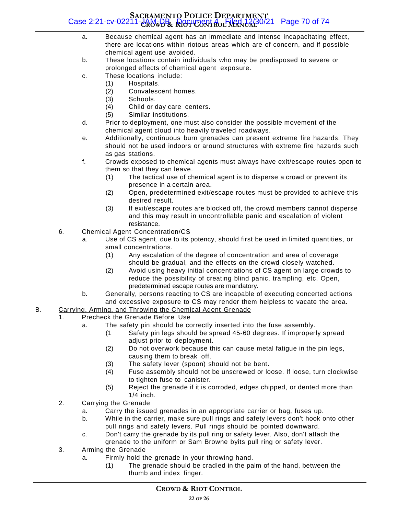#### **SACRAMENTO POLICE DEPARTMENT CROWD & RIOT CONTROL MANUAL** Case 2:21-cv-02211-JAM-DB Document 4 Filed 12/30/21 Page 70 of 74

- a. Because chemical agent has an immediate and intense incapacitating effect, there are locations within riotous areas which are of concern, and if possible chemical agent use avoided.
- b. These locations contain individuals who may be predisposed to severe or prolonged effects of chemical agent exposure.
- c. These locations include:
	- (1) Hospitals.
	- (2) Convalescent homes.
	- (3) Schools.
	- (4) Child or day care centers.
	- (5) Similar institutions.
- d. Prior to deployment, one must also consider the possible movement of the chemical agent cloud into heavily traveled roadways.
- e. Additionally, continuous burn grenades can present extreme fire hazards. They should not be used indoors or around structures with extreme fire hazards such as gas stations.
- f. Crowds exposed to chemical agents must always have exit/escape routes open to them so that they can leave.
	- (1) The tactical use of chemical agent is to disperse a crowd or prevent its presence in a certain area.
	- (2) Open, predetermined exit/escape routes must be provided to achieve this desired result.
	- (3) If exit/escape routes are blocked off, the crowd members cannot disperse and this may result in uncontrollable panic and escalation of violent resistance.
- 6. Chemical Agent Concentration/CS
	- a. Use of CS agent, due to its potency, should first be used in limited quantities, or small concentrations.
		- (1) Any escalation of the degree of concentration and area of coverage should be gradual, and the effects on the crowd closely watched.
		- (2) Avoid using heavy initial concentrations of CS agent on large crowds to reduce the possibility of creating blind panic, trampling, etc. Open, predetermined escape routes are mandatory.
	- b. Generally, persons reacting to CS are incapable of executing concerted actions and excessive exposure to CS may render them helpless to vacate the area.
- B. Carrying, Arming, and Throwing the Chemical Agent Grenade
	- 1. Precheck the Grenade Before Use
		- a. The safety pin should be correctly inserted into the fuse assembly.
			- (1 Safety pin legs should be spread 45-60 degrees. If improperly spread adjust prior to deployment.
			- (2) Do not overwork because this can cause metal fatigue in the pin legs, causing them to break off.
			- (3) The safety lever (spoon) should not be bent.
			- (4) Fuse assembly should not be unscrewed or loose. If loose, turn clockwise to tighten fuse to canister.
			- (5) Reject the grenade if it is corroded, edges chipped, or dented more than 1/4 inch.
	- 2. Carrying the Grenade
		- a. Carry the issued grenades in an appropriate carrier or bag, fuses up.
		- b. While in the carrier, make sure pull rings and safety levers don't hook onto other pull rings and safety levers. Pull rings should be pointed downward.
		- c. Don't carry the grenade by its pull ring or safety lever. Also, don't attach the grenade to the uniform or Sam Browne byits pull ring or safety lever.
	- 3. Arming the Grenade
		- a. Firmly hold the grenade in your throwing hand.
			- (1) The grenade should be cradled in the palm of the hand, between the thumb and index finger.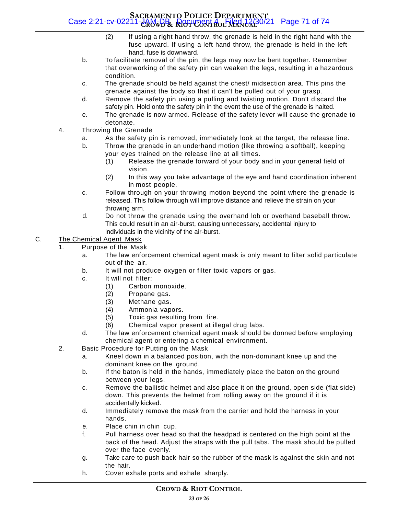#### **SACRAMENTO POLICE DEPARTMENT CROWD & RIOT CONTROL MANUAL** Case 2:21-cv-02211-JAM-DB Document 4 Filed 12/30/21 Page 71 of 74

- (2) If using a right hand throw, the grenade is held in the right hand with the fuse upward. If using a left hand throw, the grenade is held in the left hand, fuse is downward.
- b. To facilitate removal of the pin, the legs may now be bent together. Remember that overworking of the safety pin can weaken the legs, resulting in a hazardous condition.
- c. The grenade should be held against the chest/ midsection area. This pins the grenade against the body so that it can't be pulled out of your grasp.
- d. Remove the safety pin using a pulling and twisting motion. Don't discard the safety pin. Hold onto the safety pin in the event the use of the grenade is halted.
- e. The grenade is now armed. Release of the safety lever will cause the grenade to detonate.
- 4. Throwing the Grenade
	- a. As the safety pin is removed, immediately look at the target, the release line.
	- b. Throw the grenade in an underhand motion (like throwing a softball), keeping your eyes trained on the release line at all times.
		- (1) Release the grenade forward of your body and in your general field of vision.
		- (2) In this way you take advantage of the eye and hand coordination inherent in most people.
	- c. Follow through on your throwing motion beyond the point where the grenade is released. This follow through will improve distance and relieve the strain on your throwing arm.
	- d. Do not throw the grenade using the overhand lob or overhand baseball throw. This could result in an air-burst, causing unnecessary, accidental injury to individuals in the vicinity of the air-burst.

#### C. The Chemical Agent Mask

- 1. Purpose of the Mask
	- a. The law enforcement chemical agent mask is only meant to filter solid particulate out of the air.
	- b. It will not produce oxygen or filter toxic vapors or gas.
	- c. It will not filter:
		- (1) Carbon monoxide.
		- (2) Propane gas.
		- (3) Methane gas.
		- (4) Ammonia vapors.
		- (5) Toxic gas resulting from fire.
		- (6) Chemical vapor present at illegal drug labs.
	- d. The law enforcement chemical agent mask should be donned before employing chemical agent or entering a chemical environment.
- 2. Basic Procedure for Putting on the Mask
	- a. Kneel down in a balanced position, with the non-dominant knee up and the dominant knee on the ground.
	- b. If the baton is held in the hands, immediately place the baton on the ground between your legs.
	- c. Remove the ballistic helmet and also place it on the ground, open side (flat side) down. This prevents the helmet from rolling away on the ground if it is accidentally kicked.
	- d. Immediately remove the mask from the carrier and hold the harness in your hands.
	- e. Place chin in chin cup.
	- f. Pull harness over head so that the headpad is centered on the high point at the back of the head. Adjust the straps with the pull tabs. The mask should be pulled over the face evenly.
	- g. Take care to push back hair so the rubber of the mask is against the skin and not the hair.
	- h. Cover exhale ports and exhale sharply.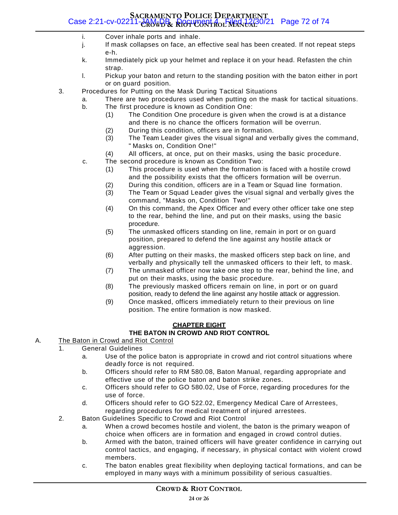#### **SACRAMENTO POLICE DEPARTMENT CROWD & RIOT CONTROL MANUAL** Case 2:21-cv-02211-JAM-DB Document 4 Filed 12/30/21 Page 72 of 74

- i. Cover inhale ports and inhale.
- j. If mask collapses on face, an effective seal has been created. If not repeat steps e-h.
- k. Immediately pick up your helmet and replace it on your head. Refasten the chin strap.
- l. Pickup your baton and return to the standing position with the baton either in port or on guard position.
- 3. Procedures for Putting on the Mask During Tactical Situations
	- a. There are two procedures used when putting on the mask for tactical situations.
	- b. The first procedure is known as Condition One:
		- (1) The Condition One procedure is given when the crowd is at a distance and there is no chance the officers formation will be overrun.
		- (2) During this condition, officers are in formation.
		- (3) The Team Leader gives the visual signal and verbally gives the command, " Masks on, Condition One!"
		- (4) All officers, at once, put on their masks, using the basic procedure.
	- c. The second procedure is known as Condition Two:
		- (1) This procedure is used when the formation is faced with a hostile crowd and the possibility exists that the officers formation will be overrun.
		- (2) During this condition, officers are in a Team or Squad line formation.
		- (3) The Team or Squad Leader gives the visual signal and verbally gives the command, "Masks on, Condition Two!"
		- (4) On this command, the Apex Officer and every other officer take one step to the rear, behind the line, and put on their masks, using the basic procedure.
		- (5) The unmasked officers standing on line, remain in port or on guard position, prepared to defend the line against any hostile attack or aggression.
		- (6) After putting on their masks, the masked officers step back on line, and verbally and physically tell the unmasked officers to their left, to mask.
		- (7) The unmasked officer now take one step to the rear, behind the line, and put on their masks, using the basic procedure.
		- (8) The previously masked officers remain on line, in port or on guard position, ready to defend the line against any hostile attack or aggression.
		- (9) Once masked, officers immediately return to their previous on line position. The entire formation is now masked.

#### **CHAPTER EIGHT**

#### **THE BATON IN CROWD AND RIOT CONTROL**

- A. The Baton in Crowd and Riot Control
	- 1. General Guidelines
		- a. Use of the police baton is appropriate in crowd and riot control situations where deadly force is not required.
		- b. Officers should refer to RM 580.08, Baton Manual, regarding appropriate and effective use of the police baton and baton strike zones.
		- c. Officers should refer to GO 580.02, Use of Force, regarding procedures for the use of force.
		- d. Officers should refer to GO 522.02, Emergency Medical Care of Arrestees, regarding procedures for medical treatment of injured arrestees.
	- 2. Baton Guidelines Specific to Crowd and Riot Control
		- a. When a crowd becomes hostile and violent, the baton is the primary weapon of choice when officers are in formation and engaged in crowd control duties.
		- b. Armed with the baton, trained officers will have greater confidence in carrying out control tactics, and engaging, if necessary, in physical contact with violent crowd members.
		- c. The baton enables great flexibility when deploying tactical formations, and can be employed in many ways with a minimum possibility of serious casualties.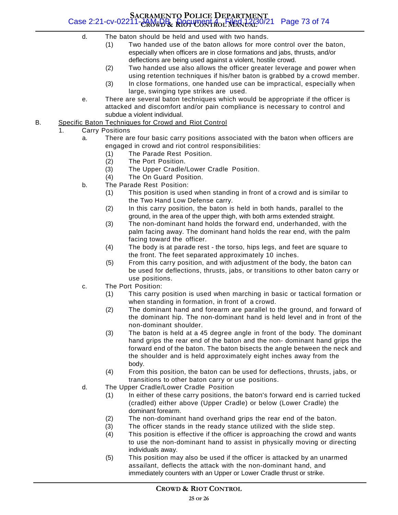## **SACRAMENTO POLICE DEPARTMENT CROWD & RIOT CONTROL MANUAL** Case 2:21-cv-02211-JAM-DB Document 4 Filed 12/30/21 Page 73 of 74

- d. The baton should be held and used with two hands.
	- (1) Two handed use of the baton allows for more control over the baton, especially when officers are in close formations and jabs, thrusts, and/or deflections are being used against a violent, hostile crowd.
	- (2) Two handed use also allows the officer greater leverage and power when using retention techniques if his/her baton is grabbed by a crowd member.
	- (3) In close formations, one handed use can be impractical, especially when large, swinging type strikes are used.
- e. There are several baton techniques which would be appropriate if the officer is attacked and discomfort and/or pain compliance is necessary to control and subdue a violent individual.
- B. Specific Baton Techniques for Crowd and Riot Control
	- 1. Carry Positions
		- a. There are four basic carry positions associated with the baton when officers are engaged in crowd and riot control responsibilities:
			- (1) The Parade Rest Position.
			- (2) The Port Position.
			- (3) The Upper Cradle/Lower Cradle Position.
			- (4) The On Guard Position.
		- b. The Parade Rest Position:
			- (1) This position is used when standing in front of a crowd and is similar to the Two Hand Low Defense carry.
			- (2) In this carry position, the baton is held in both hands, parallel to the ground, in the area of the upper thigh, with both arms extended straight.
			- (3) The non-dominant hand holds the forward end, underhanded, with the palm facing away. The dominant hand holds the rear end, with the palm facing toward the officer.
			- (4) The body is at parade rest the torso, hips legs, and feet are square to the front. The feet separated approximately 10 inches.
			- (5) From this carry position, and with adjustment of the body, the baton can be used for deflections, thrusts, jabs, or transitions to other baton carry or use positions.
		- c. The Port Position:
			- (1) This carry position is used when marching in basic or tactical formation or when standing in formation, in front of a crowd.
			- (2) The dominant hand and forearm are parallel to the ground, and forward of the dominant hip. The non-dominant hand is held level and in front of the non-dominant shoulder.
			- (3) The baton is held at a 45 degree angle in front of the body. The dominant hand grips the rear end of the baton and the non- dominant hand grips the forward end of the baton. The baton bisects the angle between the neck and the shoulder and is held approximately eight inches away from the body.
			- (4) From this position, the baton can be used for deflections, thrusts, jabs, or transitions to other baton carry or use positions.
		- d. The Upper Cradle/Lower Cradle Position
			- (1) In either of these carry positions, the baton's forward end is carried tucked (cradled) either above (Upper Cradle) or below (Lower Cradle) the dominant forearm.
			- (2) The non-dominant hand overhand grips the rear end of the baton.
			- (3) The officer stands in the ready stance utilized with the slide step.
			- (4) This position is effective if the officer is approaching the crowd and wants to use the non-dominant hand to assist in physically moving or directing individuals away.
			- (5) This position may also be used if the officer is attacked by an unarmed assailant, deflects the attack with the non-dominant hand, and immediately counters with an Upper or Lower Cradle thrust or strike.